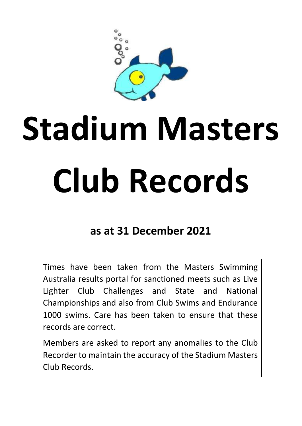# **Stadium Masters Club Records**

# **as at 31 December 2021**

Times have been taken from the Masters Swimming Australia results portal for sanctioned meets such as Live Lighter Club Challenges and State and National Championships and also from Club Swims and Endurance 1000 swims. Care has been taken to ensure that these records are correct.

Members are asked to report any anomalies to the Club Recorder to maintain the accuracy of the Stadium Masters Club Records.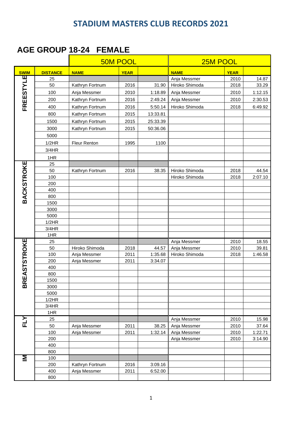#### **AGE GROUP 18-24 FEMALE**

|                   |                 |                 | <b>50M POOL</b> |          | 25M POOL       |             |         |
|-------------------|-----------------|-----------------|-----------------|----------|----------------|-------------|---------|
| <b>SWIM</b>       | <b>DISTANCE</b> | <b>NAME</b>     | <b>YEAR</b>     |          | <b>NAME</b>    | <b>YEAR</b> |         |
|                   | 25              |                 |                 |          | Anja Messmer   | 2010        | 14.87   |
|                   | 50              | Kathryn Fortnum | 2016            | 31.90    | Hiroko Shimoda | 2018        | 33.29   |
|                   | 100             | Anja Messmer    | 2010            | 1:18.89  | Anja Messmer   | 2010        | 1:12.15 |
|                   | 200             | Kathryn Fortnum | 2016            | 2:49.24  | Anja Messmer   | 2010        | 2:30.53 |
| FREESTYLE         | 400             | Kathryn Fortnum | 2016            | 5:50.14  | Hiroko Shimoda | 2018        | 6:49.92 |
|                   | 800             | Kathryn Fortnum | 2015            | 13:33.81 |                |             |         |
|                   | 1500            | Kathryn Fortnum | 2015            | 25:33.39 |                |             |         |
|                   | 3000            | Kathryn Fortnum | 2015            | 50:36.06 |                |             |         |
|                   | 5000            |                 |                 |          |                |             |         |
|                   | 1/2HR           | Fleur Renton    | 1995            | 1100     |                |             |         |
|                   | 3/4HR           |                 |                 |          |                |             |         |
|                   |                 |                 |                 |          |                |             |         |
|                   | 1HR             |                 |                 |          |                |             |         |
|                   | 25<br>50        | Kathryn Fortnum | 2016            | 38.35    | Hiroko Shimoda | 2018        | 44.54   |
|                   | 100             |                 |                 |          | Hiroko Shimoda | 2018        | 2:07.10 |
|                   | 200             |                 |                 |          |                |             |         |
|                   | 400             |                 |                 |          |                |             |         |
| <b>BACKSTROKE</b> | 800             |                 |                 |          |                |             |         |
|                   | 1500            |                 |                 |          |                |             |         |
|                   | 3000            |                 |                 |          |                |             |         |
|                   | 5000            |                 |                 |          |                |             |         |
|                   | 1/2HR           |                 |                 |          |                |             |         |
|                   | 3/4HR           |                 |                 |          |                |             |         |
|                   | 1HR             |                 |                 |          |                |             |         |
| EASTSTROKE        | 25              |                 |                 |          | Anja Messmer   | 2010        | 18.55   |
|                   | 50              | Hiroko Shimoda  | 2018            | 44.57    | Anja Messmer   | 2010        | 39.81   |
|                   | 100             | Anja Messmer    | 2011            | 1:35.68  | Hiroko Shimoda | 2018        | 1:46.58 |
|                   | 200             | Anja Messmer    | 2011            | 3:34.07  |                |             |         |
|                   | 400<br>800      |                 |                 |          |                |             |         |
|                   | 1500            |                 |                 |          |                |             |         |
| BR                | 3000            |                 |                 |          |                |             |         |
|                   | 5000            |                 |                 |          |                |             |         |
|                   | 1/2HR           |                 |                 |          |                |             |         |
|                   | 3/4HR           |                 |                 |          |                |             |         |
|                   | 1HR             |                 |                 |          |                |             |         |
| FLY               | 25              |                 |                 |          | Anja Messmer   | 2010        | 15.98   |
|                   | 50              | Anja Messmer    | 2011            | 38.25    | Anja Messmer   | 2010        | 37.64   |
|                   | 100             | Anja Messmer    | 2011            | 1:32.14  | Anja Messmer   | 2010        | 1:22.71 |
|                   | 200             |                 |                 |          | Anja Messmer   | 2010        | 3:14.90 |
|                   | 400             |                 |                 |          |                |             |         |
|                   | 800             |                 |                 |          |                |             |         |
| Σ                 | 100             |                 |                 |          |                |             |         |
|                   | 200             | Kathryn Fortnum | 2016            | 3:09.16  |                |             |         |
|                   | 400             | Anja Messmer    | 2011            | 6:52.00  |                |             |         |
|                   | 800             |                 |                 |          |                |             |         |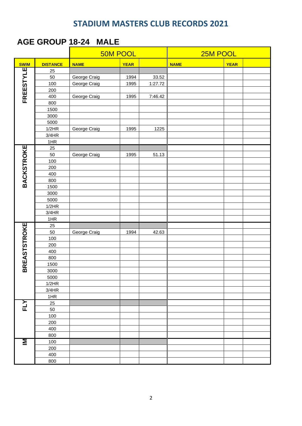### **AGE GROUP 18-24 MALE**

|                     |                 |              | <b>50M POOL</b> |         |             | 25M POOL    |  |  |
|---------------------|-----------------|--------------|-----------------|---------|-------------|-------------|--|--|
| <b>SWIM</b>         | <b>DISTANCE</b> | <b>NAME</b>  | <b>YEAR</b>     |         | <b>NAME</b> | <b>YEAR</b> |  |  |
| <b>FREESTYLE</b>    | 25              |              |                 |         |             |             |  |  |
|                     | 50              | George Craig | 1994            | 33.52   |             |             |  |  |
|                     | 100             | George Craig | 1995            | 1:27.72 |             |             |  |  |
|                     | 200             |              |                 |         |             |             |  |  |
|                     | 400             | George Craig | 1995            | 7:46.42 |             |             |  |  |
|                     | 800             |              |                 |         |             |             |  |  |
|                     | 1500            |              |                 |         |             |             |  |  |
|                     | 3000            |              |                 |         |             |             |  |  |
|                     | 5000            |              |                 |         |             |             |  |  |
|                     | 1/2HR           | George Craig | 1995            | 1225    |             |             |  |  |
|                     | 3/4HR           |              |                 |         |             |             |  |  |
|                     | 1HR             |              |                 |         |             |             |  |  |
|                     | 25              |              |                 |         |             |             |  |  |
| <b>BACKSTROKE</b>   | 50              | George Craig | 1995            | 51.13   |             |             |  |  |
|                     | 100             |              |                 |         |             |             |  |  |
|                     | 200             |              |                 |         |             |             |  |  |
|                     | 400             |              |                 |         |             |             |  |  |
|                     | 800             |              |                 |         |             |             |  |  |
|                     | 1500            |              |                 |         |             |             |  |  |
|                     | 3000            |              |                 |         |             |             |  |  |
|                     | 5000            |              |                 |         |             |             |  |  |
|                     | 1/2HR           |              |                 |         |             |             |  |  |
|                     | 3/4HR           |              |                 |         |             |             |  |  |
|                     | 1HR             |              |                 |         |             |             |  |  |
|                     | 25              |              |                 |         |             |             |  |  |
|                     | 50              | George Craig | 1994            | 42.63   |             |             |  |  |
|                     | 100             |              |                 |         |             |             |  |  |
|                     | 200             |              |                 |         |             |             |  |  |
|                     | 400             |              |                 |         |             |             |  |  |
|                     | 800             |              |                 |         |             |             |  |  |
| <b>BREASTSTROKE</b> | 1500            |              |                 |         |             |             |  |  |
|                     | 3000            |              |                 |         |             |             |  |  |
|                     | 5000            |              |                 |         |             |             |  |  |
|                     | 1/2HR           |              |                 |         |             |             |  |  |
|                     | 3/4HR           |              |                 |         |             |             |  |  |
|                     | 1HR             |              |                 |         |             |             |  |  |
| FLY                 | 25              |              |                 |         |             |             |  |  |
|                     | 50              |              |                 |         |             |             |  |  |
|                     | 100             |              |                 |         |             |             |  |  |
|                     | 200             |              |                 |         |             |             |  |  |
|                     | 400             |              |                 |         |             |             |  |  |
|                     | 800             |              |                 |         |             |             |  |  |
| Σ                   | 100             |              |                 |         |             |             |  |  |
|                     | 200             |              |                 |         |             |             |  |  |
|                     | 400             |              |                 |         |             |             |  |  |
|                     | 800             |              |                 |         |             |             |  |  |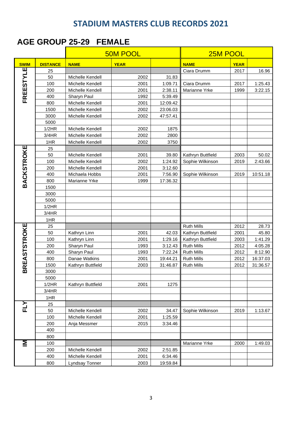#### **AGE GROUP 25-29 FEMALE**

|                     |                 |                   | <b>50M POOL</b> |          | 25M POOL          |             |          |  |
|---------------------|-----------------|-------------------|-----------------|----------|-------------------|-------------|----------|--|
| <b>SWIM</b>         | <b>DISTANCE</b> | <b>NAME</b>       | <b>YEAR</b>     |          | <b>NAME</b>       | <b>YEAR</b> |          |  |
| ш                   | 25              |                   |                 |          | Ciara Drumm       | 2017        | 16.96    |  |
| FREESTYL            | 50              | Michelle Kendell  | 2002            | 31.83    |                   |             |          |  |
|                     | 100             | Michelle Kendell  | 2001            | 1:09.71  | Ciara Drumm       | 2017        | 1:25.43  |  |
|                     | 200             | Michelle Kendell  | 2001            | 2:38.11  | Marianne Yrke     | 1999        | 3:22.15  |  |
|                     | 400             | Sharyn Paul       | 1992            | 5:39.49  |                   |             |          |  |
|                     | 800             | Michelle Kendell  | 2001            | 12:09.42 |                   |             |          |  |
|                     | 1500            | Michelle Kendell  | 2002            | 23:06.03 |                   |             |          |  |
|                     | 3000            | Michelle Kendell  | 2002            | 47:57.41 |                   |             |          |  |
|                     | 5000            |                   |                 |          |                   |             |          |  |
|                     | 1/2HR           | Michelle Kendell  | 2002            | 1875     |                   |             |          |  |
|                     | 3/4HR           | Michelle Kendell  | 2002            | 2800     |                   |             |          |  |
|                     | 1HR             | Michelle Kendell  | 2002            | 3750     |                   |             |          |  |
|                     | 25              |                   |                 |          |                   |             |          |  |
|                     | 50              | Michelle Kendell  | 2001            | 39.80    | Kathryn Buttfield | 2003        | 50.02    |  |
|                     | 100             | Michelle Kendell  | 2002            | 1:24.92  | Sophie Wilkinson  | 2019        | 2:43.66  |  |
|                     | 200             | Michelle Kendell  | 2001            | 3:12.60  |                   |             |          |  |
|                     | 400             | Michaela Hobbs    | 2001            | 7:56.90  | Sophie Wilkinson  | 2019        | 10:51.18 |  |
| <b>BACKSTROKE</b>   | 800             | Marianne Yrke     | 1999            | 17:36.32 |                   |             |          |  |
|                     | 1500            |                   |                 |          |                   |             |          |  |
|                     | 3000            |                   |                 |          |                   |             |          |  |
|                     | 5000            |                   |                 |          |                   |             |          |  |
|                     | 1/2HR           |                   |                 |          |                   |             |          |  |
|                     | 3/4HR           |                   |                 |          |                   |             |          |  |
|                     | 1HR             |                   |                 |          |                   |             |          |  |
| <b>BREASTSTROKE</b> | 25              |                   |                 |          | <b>Ruth Mills</b> | 2012        | 28.73    |  |
|                     | 50              | Kathryn Linn      | 2001            | 42.03    | Kathryn Buttfield | 2001        | 45.80    |  |
|                     | 100             | Kathryn Linn      | 2001            | 1:29.16  | Kathryn Buttfield | 2003        | 1:41.29  |  |
|                     | 200             | Sharyn Paul       | 1993            | 3:12.43  | <b>Ruth Mills</b> | 2012        | 4:05.28  |  |
|                     | 400             | Sharyn Paul       | 1993            | 7:22.24  | <b>Ruth Mills</b> | 2012        | 8:12.90  |  |
|                     | 800             | Danae Watkins     | 2001            | 19:44.21 | <b>Ruth Mills</b> | 2012        | 16:37.03 |  |
|                     | 1500            | Kathryn Buttfield | 2003            | 31:46.87 | <b>Ruth Mills</b> | 2012        | 31:36.57 |  |
|                     | 3000            |                   |                 |          |                   |             |          |  |
|                     | 5000            |                   |                 |          |                   |             |          |  |
|                     | 1/2HR           | Kathryn Buttfield | 2001            | 1275     |                   |             |          |  |
|                     | 3/4HR           |                   |                 |          |                   |             |          |  |
|                     | 1HR             |                   |                 |          |                   |             |          |  |
| FLY                 | 25              |                   |                 |          |                   |             |          |  |
|                     | 50              | Michelle Kendell  | 2002            | 34.47    | Sophie Wilkinson  | 2019        | 1:13.67  |  |
|                     | 100             | Michelle Kendell  | 2001            | 1:25.59  |                   |             |          |  |
|                     | 200             | Anja Messmer      | 2015            | 3:34.46  |                   |             |          |  |
|                     | 400             |                   |                 |          |                   |             |          |  |
|                     | 800             |                   |                 |          |                   |             |          |  |
| Σ                   | 100             |                   |                 |          | Marianne Yrke     | 2000        | 1:49.03  |  |
|                     | 200             | Michelle Kendell  | 2002            | 2:51.85  |                   |             |          |  |
|                     | 400             | Michelle Kendell  | 2001            | 6:34.46  |                   |             |          |  |
|                     | 800             | Lyndsay Tonner    | 2003            | 19:59.84 |                   |             |          |  |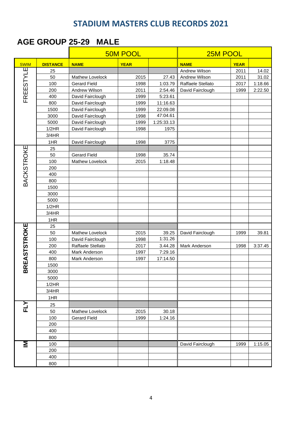#### **AGE GROUP 25-29 MALE**

|                     |                 | 50M POOL            | 25M POOL    |            |                   |             |         |
|---------------------|-----------------|---------------------|-------------|------------|-------------------|-------------|---------|
| <b>SWIM</b>         | <b>DISTANCE</b> | <b>NAME</b>         | <b>YEAR</b> |            | <b>NAME</b>       | <b>YEAR</b> |         |
|                     | 25              |                     |             |            | Andrew Wilson     | 2011        | 14.02   |
| FREESTYLE           | 50              | Mathew Lovelock     | 2015        | 27.43      | Andrew Wilson     | 2011        | 31.02   |
|                     | 100             | <b>Gerard Field</b> | 1998        | 1:03.79    | Raffaele Stellato | 2017        | 1:18.66 |
|                     | 200             | Andrew Wilson       | 2011        | 2:54.46    | David Fairclough  | 1999        | 2:22.50 |
|                     | 400             | David Fairclough    | 1999        | 5:23.61    |                   |             |         |
|                     | 800             | David Fairclough    | 1999        | 11:16.63   |                   |             |         |
|                     | 1500            | David Fairclough    | 1999        | 22:09.08   |                   |             |         |
|                     | 3000            | David Fairclough    | 1998        | 47:04.61   |                   |             |         |
|                     | 5000            | David Fairclough    | 1999        | 1:25:33.13 |                   |             |         |
|                     | 1/2HR           | David Fairclough    | 1998        | 1975       |                   |             |         |
|                     | 3/4HR           |                     |             |            |                   |             |         |
|                     | 1HR             | David Fairclough    | 1998        | 3775       |                   |             |         |
|                     | 25              |                     |             |            |                   |             |         |
|                     | 50              | <b>Gerard Field</b> | 1998        | 35.74      |                   |             |         |
|                     | 100             | Mathew Lovelock     | 2015        | 1:18.48    |                   |             |         |
|                     | 200             |                     |             |            |                   |             |         |
|                     | 400             |                     |             |            |                   |             |         |
| BACKSTROKE          | 800             |                     |             |            |                   |             |         |
|                     | 1500            |                     |             |            |                   |             |         |
|                     | 3000            |                     |             |            |                   |             |         |
|                     | 5000            |                     |             |            |                   |             |         |
|                     | 1/2HR           |                     |             |            |                   |             |         |
|                     | 3/4HR           |                     |             |            |                   |             |         |
|                     | 1HR             |                     |             |            |                   |             |         |
| <b>BREASTSTROKE</b> | 25              |                     |             |            |                   |             |         |
|                     | 50              | Mathew Lovelock     | 2015        | 39.25      | David Fairclough  | 1999        | 39.81   |
|                     | 100             | David Fairclough    | 1998        | 1:31.26    |                   |             |         |
|                     | 200             | Raffaele Stellato   | 2017        | 3.44.28    | Mark Anderson     | 1998        | 3:37.45 |
|                     | 400             | Mark Anderson       | 1997        | 7:29.16    |                   |             |         |
|                     | 800             | Mark Anderson       | 1997        | 17:14.50   |                   |             |         |
|                     | 1500            |                     |             |            |                   |             |         |
|                     | 3000            |                     |             |            |                   |             |         |
|                     | 5000            |                     |             |            |                   |             |         |
|                     | 1/2HR           |                     |             |            |                   |             |         |
|                     | 3/4HR           |                     |             |            |                   |             |         |
|                     | 1HR             |                     |             |            |                   |             |         |
| FLY                 | 25              |                     |             |            |                   |             |         |
|                     | 50              | Mathew Lovelock     | 2015        | 30.18      |                   |             |         |
|                     | 100             | <b>Gerard Field</b> | 1999        | 1:24.16    |                   |             |         |
|                     | 200             |                     |             |            |                   |             |         |
|                     | 400             |                     |             |            |                   |             |         |
|                     | 800             |                     |             |            |                   |             |         |
| Σ                   | 100             |                     |             |            | David Fairclough  | 1999        | 1:15.05 |
|                     | 200             |                     |             |            |                   |             |         |
|                     | 400             |                     |             |            |                   |             |         |
|                     | 800             |                     |             |            |                   |             |         |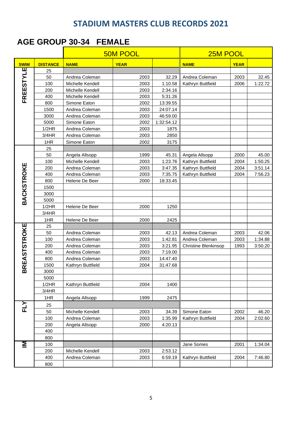### **AGE GROUP 30-34 FEMALE**

|                     |                 |                   | <b>50M POOL</b> | 25M POOL   |                             |             |         |
|---------------------|-----------------|-------------------|-----------------|------------|-----------------------------|-------------|---------|
| <b>SWIM</b>         | <b>DISTANCE</b> | <b>NAME</b>       | <b>YEAR</b>     |            | <b>NAME</b>                 | <b>YEAR</b> |         |
| щ                   | 25              |                   |                 |            |                             |             |         |
| FREESTYL            | 50              | Andrea Coleman    | 2003            | 32.29      | Andrea Coleman              | 2003        | 32.45   |
|                     | 100             | Michelle Kendell  | 2003            | 1:10.58    | Kathryn Buttfield           | 2006        | 1:22.72 |
|                     | 200             | Michelle Kendell  | 2003            | 2:34.16    |                             |             |         |
|                     | 400             | Michelle Kendell  | 2003            | 5:31.26    |                             |             |         |
|                     | 800             | Simone Eaton      | 2002            | 13:39.55   |                             |             |         |
|                     | 1500            | Andrea Coleman    | 2003            | 24:07.14   |                             |             |         |
|                     | 3000            | Andrea Coleman    | 2003            | 46:59.00   |                             |             |         |
|                     | 5000            | Simone Eaton      | 2002            | 1:32:54.12 |                             |             |         |
|                     | 1/2HR           | Andrea Coleman    | 2003            | 1875       |                             |             |         |
|                     | 3/4HR           | Andrea Coleman    | 2003            | 2850       |                             |             |         |
|                     | 1HR             | Simone Eaton      | 2002            | 3175       |                             |             |         |
|                     | 25              |                   |                 |            |                             |             |         |
|                     | 50              | Angela Allsopp    | 1999            | 45.31      | Angela Allsopp              | 2000        | 45.00   |
|                     | 100             | Michelle Kendell  | 2003            | 1:23.76    | Kathryn Buttfield           | 2004        | 1:50.25 |
|                     | 200             | Andrea Coleman    | 2003            | 3:47.35    | Kathryn Buttfield           | 2004        | 3:51.14 |
|                     | 400             | Andrea Coleman    | 2003            | 7:35.75    | Kathryn Buttfield           | 2004        | 7:56.23 |
|                     | 800             | Helene De Beer    | 2000            | 18:33.45   |                             |             |         |
|                     | 1500            |                   |                 |            |                             |             |         |
|                     | 3000            |                   |                 |            |                             |             |         |
| BACKSTROKE          | 5000            |                   |                 |            |                             |             |         |
|                     | 1/2HR           | Helene De Beer    | 2000            | 1250       |                             |             |         |
|                     | 3/4HR           |                   |                 |            |                             |             |         |
|                     | 1HR             | Helene De Beer    | 2000            | 2425       |                             |             |         |
| <b>BREASTSTROKE</b> | 25              |                   |                 |            |                             |             |         |
|                     | 50              | Andrea Coleman    | 2003            | 42.13      | Andrea Coleman              | 2003        | 42.06   |
|                     | 100             | Andrea Coleman    | 2003            | 1:42.81    | Andrea Coleman              | 2003        | 1:34.88 |
|                     | 200             | Andrea Coleman    | 2003            | 3:21.95    | <b>Christine Blenkinsop</b> | 1993        | 3:50.20 |
|                     | 400             | Andrea Coleman    | 2003            | 7:19.00    |                             |             |         |
|                     | 800             | Andrea Coleman    | 2003            | 14:47.40   |                             |             |         |
|                     | 1500            | Kathryn Buttfield | 2004            | 31:47.68   |                             |             |         |
|                     | 3000            |                   |                 |            |                             |             |         |
|                     | 5000            |                   |                 |            |                             |             |         |
|                     | 1/2HR           | Kathryn Buttfield | 2004            | 1400       |                             |             |         |
|                     | 3/4HR           |                   |                 |            |                             |             |         |
|                     | 1HR             | Angela Allsopp    | 1999            | 2475       |                             |             |         |
| FLY                 | 25              |                   |                 |            |                             |             |         |
|                     | 50              | Michelle Kendell  | 2003            | 34.39      | Simone Eaton                | 2002        | 46.20   |
|                     | 100             | Andrea Coleman    | 2003            | 1:35.99    | Kathryn Buttfield           | 2004        | 2:02.60 |
|                     | 200             | Angela Allsopp    | 2000            | 4:20.13    |                             |             |         |
|                     | 400             |                   |                 |            |                             |             |         |
|                     | 800             |                   |                 |            |                             |             |         |
| Σ                   | 100             |                   |                 |            | Jane Somes                  | 2001        | 1:34.04 |
|                     | 200             | Michelle Kendell  | 2003            | 2:53.12    |                             |             |         |
|                     | 400             | Andrea Coleman    | 2003            | 6:59.19    | Kathryn Buttfield           | 2004        | 7:46.80 |
|                     | 800             |                   |                 |            |                             |             |         |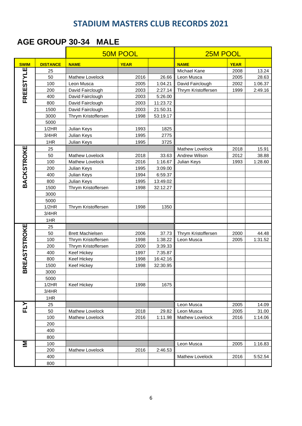#### **AGE GROUP 30-34 MALE**

|                     |                 |                         | <b>50M POOL</b> |          |                        | 25M POOL    |                |  |  |
|---------------------|-----------------|-------------------------|-----------------|----------|------------------------|-------------|----------------|--|--|
| <b>SWIM</b>         | <b>DISTANCE</b> | <b>NAME</b>             | <b>YEAR</b>     |          | <b>NAME</b>            | <b>YEAR</b> |                |  |  |
|                     | 25              |                         |                 |          | Michael Kane           | 2008        | 13.24          |  |  |
| FREESTYLE           | 50              | Mathew Lovelock         | 2016            | 26.66    | Leon Musca             | 2005        | 28.63          |  |  |
|                     | 100             | Leon Musca              | 2005            | 1:04.21  | David Fairclough       | 2002        | 1:06.37        |  |  |
|                     | 200             | David Fairclough        | 2003            | 2:27.14  | Thrym Kristoffersen    | 1999        | 2:49.16        |  |  |
|                     | 400             | David Fairclough        | 2003            | 5:26.00  |                        |             |                |  |  |
|                     | 800             | David Fairclough        | 2003            | 11:23.72 |                        |             |                |  |  |
|                     | 1500            | David Fairclough        | 2003            | 21:50.31 |                        |             |                |  |  |
|                     | 3000            | Thrym Kristoffersen     | 1998            | 53:19.17 |                        |             |                |  |  |
|                     | 5000            |                         |                 |          |                        |             |                |  |  |
|                     | 1/2HR           | Julian Keys             | 1993            | 1825     |                        |             |                |  |  |
|                     | 3/4HR           | Julian Keys             | 1995            | 2775     |                        |             |                |  |  |
|                     | 1HR             | Julian Keys             | 1995            | 3725     |                        |             |                |  |  |
| <b>BACKSTROKE</b>   | 25              |                         |                 |          | Mathew Lovelock        | 2018        | 15.91          |  |  |
|                     | 50              | Mathew Lovelock         | 2018            | 33.63    | Andrew Wilson          | 2012        | 38.88          |  |  |
|                     | 100             | Mathew Lovelock         | 2016            | 1:16.67  | Julian Keys            | 1993        | 1:28.60        |  |  |
|                     | 200             | Julian Keys             | 1995            | 3:09.00  |                        |             |                |  |  |
|                     | 400             | Julian Keys             | 1994            | 6:59.37  |                        |             |                |  |  |
|                     | 800             | Julian Keys             | 1995            | 13:49.02 |                        |             |                |  |  |
|                     | 1500            | Thrym Kristoffersen     | 1998            | 32:12.27 |                        |             |                |  |  |
|                     | 3000            |                         |                 |          |                        |             |                |  |  |
|                     | 5000            |                         |                 |          |                        |             |                |  |  |
|                     | 1/2HR           | Thrym Kristoffersen     | 1998            | 1350     |                        |             |                |  |  |
|                     | 3/4HR           |                         |                 |          |                        |             |                |  |  |
|                     | 1HR             |                         |                 |          |                        |             |                |  |  |
| <b>BREASTSTROKE</b> | 25              |                         |                 |          |                        |             |                |  |  |
|                     | 50              | <b>Brett Machielsen</b> | 2006            | 37.73    | Thrym Kristoffersen    | 2000        | 44.48          |  |  |
|                     | 100             | Thrym Kristoffersen     | 1998            | 1:38.22  | Leon Musca             | 2005        | 1:31.52        |  |  |
|                     | 200             | Thrym Kristoffersen     | 2000            | 3:39.33  |                        |             |                |  |  |
|                     | 400             | Keef Hickey             | 1997            | 7:35.87  |                        |             |                |  |  |
|                     | 800             | Keef Hickey             | 1998            | 16:42.16 |                        |             |                |  |  |
|                     | 1500            | <b>Keef Hickey</b>      | 1998            | 32:30.95 |                        |             |                |  |  |
|                     | 3000            |                         |                 |          |                        |             |                |  |  |
|                     | 5000            |                         |                 |          |                        |             |                |  |  |
|                     | 1/2HR           | <b>Keef Hickey</b>      | 1998            | 1675     |                        |             |                |  |  |
|                     | 3/4HR           |                         |                 |          |                        |             |                |  |  |
|                     | 1HR<br>25       |                         |                 |          | Leon Musca             | 2005        |                |  |  |
| FLY                 | 50              | <b>Mathew Lovelock</b>  | 2018            | 29.82    | Leon Musca             | 2005        | 14.09<br>31.00 |  |  |
|                     | 100             | <b>Mathew Lovelock</b>  | 2016            | 1:11.98  | <b>Mathew Lovelock</b> | 2016        | 1:14.06        |  |  |
|                     | 200             |                         |                 |          |                        |             |                |  |  |
|                     | 400             |                         |                 |          |                        |             |                |  |  |
|                     | 800             |                         |                 |          |                        |             |                |  |  |
| Σ                   | 100             |                         |                 |          | Leon Musca             | 2005        | 1:16.83        |  |  |
|                     | 200             | Mathew Lovelock         | 2016            | 2:46.53  |                        |             |                |  |  |
|                     | 400             |                         |                 |          | Mathew Lovelock        | 2016        | 5:52.54        |  |  |
|                     | 800             |                         |                 |          |                        |             |                |  |  |
|                     |                 |                         |                 |          |                        |             |                |  |  |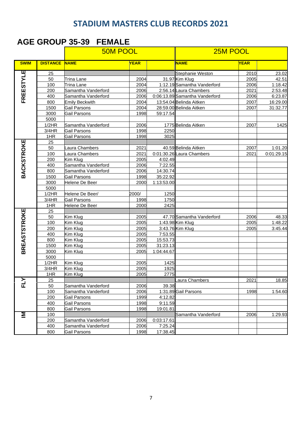#### **AGE GROUP 35-39 FEMALE**

|                     |                 | <b>50M POOL</b>       |       |            | 25M POOL                       |             |            |  |
|---------------------|-----------------|-----------------------|-------|------------|--------------------------------|-------------|------------|--|
| <b>SWIM</b>         | <b>DISTANCE</b> | <b>NAME</b>           | YEAR  |            | <b>NAME</b>                    | <b>YEAR</b> |            |  |
| FREESTYLE           | 25              |                       |       |            | Stephanie Weston               | 2010        | 23.02      |  |
|                     | 50              | Trina Lane            | 2004  |            | 31.97 Kim Klug                 | 2005        | 42.51      |  |
|                     | 100             | Trina Lane            | 2004  |            | 1:12.19 Samantha Vanderford    | 2006        | 1:18.42    |  |
|                     | 200             | Samantha Vanderford   | 2006  |            | 2:56.14 Laura Chambers         | 2021        | 2:53.48    |  |
|                     | 400             | Samantha Vanderford   | 2006  |            | 0:06:13.89 Samantha Vanderford | 2006        | 6:23.87    |  |
|                     | 800             | <b>Emily Beckwith</b> | 2004  |            | 13:54.04 Belinda Aitken        | 2007        | 16:29.00   |  |
|                     | 1500            | Gail Parsons          | 2004  |            | 28:59.00 Belinda Aitken        | 2007        | 31:32.77   |  |
|                     | 3000            | Gail Parsons          | 1998  | 59:17.54   |                                |             |            |  |
|                     | 5000            |                       |       |            |                                |             |            |  |
|                     | 1/2HR           | Samantha Vanderford   | 2006  |            | 1775 Belinda Aitken            | 2007        | 1425       |  |
|                     | 3/4HR           | Gail Parsons          | 1998  | 2250       |                                |             |            |  |
|                     | 1HR             | Gail Parsons          | 1998  | 3025       |                                |             |            |  |
| <b>BACKSTROKE</b>   | 25              |                       |       |            |                                |             |            |  |
|                     | 50              | aura Chambers         | 2021  |            | 40.59 Belinda Aitken           | 2007        | 1:01.20    |  |
|                     | 100             | aura Chambers         | 2021  |            | 0:01:30.26 Laura Chambers      | 2021        | 0:01:29.15 |  |
|                     | 200             | Kim Klug              | 2005  | 4:02.49    |                                |             |            |  |
|                     | 400             | Samantha Vanderford   | 2006  | 7:22.55    |                                |             |            |  |
|                     | 800             | Samantha Vanderford   | 2006  | 14:30.74   |                                |             |            |  |
|                     | 1500            | Gail Parsons          | 1998  | 35:22.92   |                                |             |            |  |
|                     | 3000            | Helene De Beer        | 2000  | 1:13:53.00 |                                |             |            |  |
|                     | 5000            |                       |       |            |                                |             |            |  |
|                     | 1/2HR           | Helene De Beer/       | 2000/ | 1250       |                                |             |            |  |
|                     | 3/4HR           | Gail Parsons          | 1998  | 1750       |                                |             |            |  |
|                     | 1HR             | Helene De Beer        | 2000  | 2425       |                                |             |            |  |
| <b>BREASTSTROKE</b> | 25              |                       |       |            |                                |             |            |  |
|                     | 50              | Kim Klug              | 2005  |            | 47.70 Samantha Vanderford      | 2006        | 48.33      |  |
|                     | 100             | Kim Klug              | 2005  |            | 1:43.98 Kim Klug               | 2005        | 1:48.22    |  |
|                     | 200             | Kim Klug              | 2005  |            | 3:43.76 Kim Klug               | 2005        | 3:45.44    |  |
|                     | 400             | Kim Klug              | 2005  | 7:53.55    |                                |             |            |  |
|                     | 800             | Kim Klug              | 2005  | 15:53.73   |                                |             |            |  |
|                     | 1500            | Kim Klug              | 2005  | 31:23.13   |                                |             |            |  |
|                     | 3000            | Kim Klug              | 2005  | 1:04:44.67 |                                |             |            |  |
|                     | 5000            |                       |       |            |                                |             |            |  |
|                     | 1/2HR           | Kim Klug              | 2005  | 1425       |                                |             |            |  |
|                     | 3/4HR           | Kim Klug              | 2005  | 1925       |                                |             |            |  |
|                     | 1HR             | Kim Klug              | 2005  | 2775       |                                |             |            |  |
|                     | 25              |                       |       |            | aura Chambers                  | 2021        | 18.85      |  |
|                     | 50              | Samantha Vanderford   | 2006  | 39.38      |                                |             |            |  |
|                     | 100             | Samantha Vanderford   | 2006  |            | 1:31.89 Gail Parsons           | 1998        | 1:54.60    |  |
|                     | 200             | Gail Parsons          | 1999  | 4:12.82    |                                |             |            |  |
|                     | 400             | Gail Parsons          | 1998  | 9:11.59    |                                |             |            |  |
|                     | 800             | Gail Parsons          | 1998  | 19:01.81   |                                |             |            |  |
| Σ                   | 100             |                       |       |            | Samantha Vanderford            | 2006        | 1:29.93    |  |
|                     | 200             | Samantha Vanderford   | 2006  | 0:03:17.61 |                                |             |            |  |
|                     | 400             | Samantha Vanderford   | 2006  | 7:25.24    |                                |             |            |  |
|                     | 800             | Gail Parsons          | 1998  | 17:38.45   |                                |             |            |  |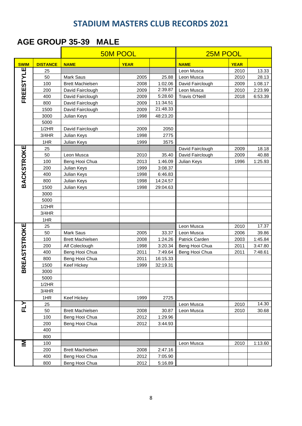#### **AGE GROUP 35-39 MALE**

|                     |                 | <b>50M POOL</b>         |             |          | 25M POOL              |             |         |  |
|---------------------|-----------------|-------------------------|-------------|----------|-----------------------|-------------|---------|--|
| <b>SWIM</b>         | <b>DISTANCE</b> | <b>NAME</b>             | <b>YEAR</b> |          | <b>NAME</b>           | <b>YEAR</b> |         |  |
|                     | 25              |                         |             |          | Leon Musca            | 2010        | 13.33   |  |
| FREESTYLE           | 50              | Mark Saus               | 2005        | 25.88    | Leon Musca            | 2010        | 28.13   |  |
|                     | 100             | <b>Brett Machielsen</b> | 2008        | 1:02.06  | David Fairclough      | 2009        | 1:08.17 |  |
|                     | 200             | David Fairclough        | 2009        | 2:39.87  | Leon Musca            | 2010        | 2:23.99 |  |
|                     | 400             | David Fairclough        | 2009        | 5:28.60  | <b>Travis O'Neill</b> | 2018        | 6:53.39 |  |
|                     | 800             | David Fairclough        | 2009        | 11:34.51 |                       |             |         |  |
|                     | 1500            | David Fairclough        | 2009        | 21:48.33 |                       |             |         |  |
|                     | 3000            | Julian Keys             | 1998        | 48:23.20 |                       |             |         |  |
|                     | 5000            |                         |             |          |                       |             |         |  |
|                     | 1/2HR           | David Fairclough        | 2009        | 2050     |                       |             |         |  |
|                     | 3/4HR           | Julian Keys             | 1998        | 2775     |                       |             |         |  |
|                     | 1HR             | Julian Keys             | 1999        | 3575     |                       |             |         |  |
| <b>BACKSTROKE</b>   | 25              |                         |             |          | David Fairclough      | 2009        | 18.18   |  |
|                     | 50              | Leon Musca              | 2010        | 35.40    | David Fairclough      | 2009        | 40.88   |  |
|                     | 100             | Beng Hooi Chua          | 2013        | 1:46.09  | Julian Keys           | 1996        | 1:25.93 |  |
|                     | 200             | Julian Keys             | 1999        | 3:08.37  |                       |             |         |  |
|                     | 400             | Julian Keys             | 1998        | 6:46.83  |                       |             |         |  |
|                     | 800             | Julian Keys             | 1998        | 14:24.57 |                       |             |         |  |
|                     | 1500            | Julian Keys             | 1998        | 29:04.63 |                       |             |         |  |
|                     | 3000            |                         |             |          |                       |             |         |  |
|                     | 5000            |                         |             |          |                       |             |         |  |
|                     | 1/2HR           |                         |             |          |                       |             |         |  |
|                     | 3/4HR           |                         |             |          |                       |             |         |  |
|                     | 1HR             |                         |             |          |                       |             |         |  |
| <b>BREASTSTROKE</b> | 25              |                         |             |          | Leon Musca            | 2010        | 17.37   |  |
|                     | 50              | Mark Saus               | 2005        | 33.37    | Leon Musca            | 2006        | 39.86   |  |
|                     | 100             | <b>Brett Machielsen</b> | 2008        | 1:24.26  | Patrick Carden        | 2003        | 1:45.84 |  |
|                     | 200             | Alf Coleclough          | 1998        | 3:20.34  | Beng Hooi Chua        | 2011        | 3:47.80 |  |
|                     | 400             | Beng Hooi Chua          | 2011        | 7:49.64  | Beng Hooi Chua        | 2011        | 7:48.61 |  |
|                     | 800             | Beng Hooi Chua          | 2011        | 16:15.33 |                       |             |         |  |
|                     | 1500            | <b>Keef Hickey</b>      | 1999        | 32:19.31 |                       |             |         |  |
|                     | 3000            |                         |             |          |                       |             |         |  |
|                     | 5000            |                         |             |          |                       |             |         |  |
|                     | 1/2HR<br>3/4HR  |                         |             |          |                       |             |         |  |
|                     | 1HR             |                         | 1999        | 2725     |                       |             |         |  |
|                     | 25              | Keef Hickey             |             |          | Leon Musca            | 2010        | 14.30   |  |
| FLY                 | 50              | <b>Brett Machielsen</b> | 2008        | 30.87    | Leon Musca            | 2010        | 30.68   |  |
|                     | 100             | Beng Hooi Chua          | 2012        | 1:29.96  |                       |             |         |  |
|                     | 200             | Beng Hooi Chua          | 2012        | 3:44.93  |                       |             |         |  |
|                     | 400             |                         |             |          |                       |             |         |  |
|                     | 800             |                         |             |          |                       |             |         |  |
| Ξ                   | 100             |                         |             |          | Leon Musca            | 2010        | 1:13.60 |  |
|                     | 200             | <b>Brett Machielsen</b> | 2008        | 2:47.16  |                       |             |         |  |
|                     | 400             | Beng Hooi Chua          | 2012        | 7:05.90  |                       |             |         |  |
|                     | 800             | Beng Hooi Chua          | 2012        | 5:16.89  |                       |             |         |  |
|                     |                 |                         |             |          |                       |             |         |  |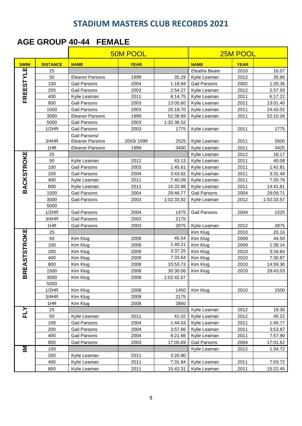#### **AGE GROUP 40-44 FEMALE**

|                    |                 |                                         | <b>50M POOL</b> |                   |               | 25M POOL    |            |  |  |
|--------------------|-----------------|-----------------------------------------|-----------------|-------------------|---------------|-------------|------------|--|--|
| <b>SWIM</b>        | <b>DISTANCE</b> | <b>NAME</b>                             | <b>YEAR</b>     |                   | <b>NAME</b>   | <b>YEAR</b> |            |  |  |
| щ                  | 25              |                                         |                 |                   | Eleatha Beare | 2010        | 16.07      |  |  |
| FREESTYL           | 50              | <b>Eleanor Parsons</b>                  | 1999            | 35.29             | Kylie Leaman  | 2012        | 35.86      |  |  |
|                    | 100             | <b>Gail Parsons</b>                     | 2004            | 1:18.94           | Gail Parsons  | 2002        | 1:20.36    |  |  |
|                    | 200             | Gail Parsons                            | 2003            | 2:54.27           | Kylie Leaman  | 2012        | 2:57.93    |  |  |
|                    | 400             | Kylie Leaman                            | 2011            | 6:14.75           | Kylie Leaman  | 2011        | 6:17.22    |  |  |
|                    | 800             | <b>Gail Parsons</b>                     | 2003            | 13:05.60          | Kylie Leaman  | 2011        | 13:01.40   |  |  |
|                    | 1500            | <b>Gail Parsons</b>                     | 2003            | 25:18.70          | Kylie Leaman  | 2011        | 24:43.02   |  |  |
|                    | 3000            | <b>Eleanor Parsons</b>                  | 1999            | 52:38.69          | Kylie Leaman  | 2011        | 52:10.26   |  |  |
|                    | 5000            | Gail Parsons                            | 2003            | 1:32:36.52        |               |             |            |  |  |
|                    | 1/2HR           | Gail Parsons                            | 2003            | 1775              | Kylie Leaman  | 2011        | 1775       |  |  |
|                    | 3/4HR           | Gail Parsons/<br><b>Eleanor Parsons</b> | 2003/1999       | 2525              | Kylie Leaman  | 2011        | 2600       |  |  |
|                    | 1HR             | <b>Eleanor Parsons</b>                  | 1999            | 3400              | Kylie Leaman  | 2011        | 3425       |  |  |
|                    | 25              |                                         |                 |                   | Kylie Leaman  | 2012        | 18.17      |  |  |
|                    | 50              | Kylie Leaman                            | 2012            | 43.13             | Kylie Leaman  | 2011        | 40.08      |  |  |
|                    | 100             | Gail Parsons                            | 2003            | 1:45.61           | Kylie Leaman  | 2011        | 1:42.81    |  |  |
|                    | 200             | Gail Parsons                            | 2004            | 3:43.82           | Kylie Leaman  | 2011        | 3:31.49    |  |  |
|                    | 400             | Kylie Leaman                            | 2011            | 7:40.09           | Kylie Leaman  | 2011        | 7:20.79    |  |  |
| <b>BACKSTROKE</b>  | 800             | Kylie Leaman                            | 2011            | 15:33.98          | Kylie Leaman  | 2011        | 14:41.81   |  |  |
|                    | 1500            | <b>Gail Parsons</b>                     | 2004            | 29:46.77          | Gail Parsons  | 2004        | 29:09.71   |  |  |
|                    | 3000            | Gail Parsons                            | 2003            | 1:02:33.92        | Kylie Leaman  | 2012        | 1:02:33.57 |  |  |
|                    | 5000            |                                         |                 |                   |               |             |            |  |  |
|                    | 1/2HR           | <b>Gail Parsons</b>                     | 2004            | 1475              | Gail Parsons  | 2004        | 1525       |  |  |
|                    | 3/4HR           | <b>Gail Parsons</b>                     | 2003            | 2175              |               |             |            |  |  |
|                    | 1HR             | Gail Parsons                            | 2003            | 2875              | Kylie Leaman  | 2012        | 2875       |  |  |
| <b>REASTSTROKE</b> | 25              |                                         |                 |                   | Kim Klug      | 2010        | 20.16      |  |  |
|                    | 50              | Kim Klug                                | 2009            | 45.54<br>Kim Klug |               | 2009        | 44.50      |  |  |
|                    | 100             | Kim Klug                                | 2009            | 1:40.21           | Kim Klug      | 2009        | 1:39.14    |  |  |
|                    | 200             | Kim Klug                                | 2009            | 3:37.25           | Kim Klug      | 2010        | 3:34.84    |  |  |
|                    | 400             | Kim Klug                                | 2009            | 7:33.64           | Kim Klug      | 2010        | 7:30.87    |  |  |
|                    | 800             | Kim Klug                                | 2008            | 15:53.72          | Kim Klug      | 2010        | 14:59.30   |  |  |
|                    | 1500            | Kim Klug                                | 2008            | 30:30.06          | Kim Klug      | 2010        | 29:43.03   |  |  |
| $\pmb{\mathsf{m}}$ | 3000            | Kim Klug                                | 2008            | 1:02:42.67        |               |             |            |  |  |
|                    | 5000            |                                         |                 |                   |               |             |            |  |  |
|                    | 1/2HR           | Kim Klug                                | 2008            | 1450              | Kim Klug      | 2010        | 1500       |  |  |
|                    | 3/4HR           | Kim Klug                                | 2009            | 2175              |               |             |            |  |  |
|                    | 1HR             | Kim Klug                                | 2008            | 2850              |               |             |            |  |  |
| FLY                | 25              |                                         |                 |                   | Kylie Leaman  | 2012        | 18.30      |  |  |
|                    | 50              | Kylie Leaman                            | 2011            | 41.02             | Kylie Leaman  | 2012        | 45.22      |  |  |
|                    | 100             | Gail Parsons                            | 2004            | 1:44.03           | Kylie Leaman  | 2011        | 1:45.77    |  |  |
|                    | 200             | Gail Parsons                            | 2004            | 3:57.66           | Kylie Leaman  | 2011        | 3:53.87    |  |  |
|                    | 400             | Gail Parsons                            | 2004            | 8:21.66           | Kylie Leaman  | 2011        | 7:57.90    |  |  |
|                    | 800             | Gail Parsons                            | 2003            | 17:05.69          | Gail Parsons  | 2004        | 17:01.62   |  |  |
| Σ                  | 100             |                                         |                 |                   | Kylie Leaman  | 2012        | 1:34.72    |  |  |
|                    | 200             | Kylie Leaman                            | 2011            | 3:20.90           |               |             |            |  |  |
|                    | 400             | Kylie Leaman                            | 2011            | 7:31.84           | Kylie Leaman  | 2011        | 7:03.72    |  |  |
|                    | 800             | Kylie Leaman                            | 2011            | 15:42.31          | Kylie Leaman  | 2011        | 15:22.45   |  |  |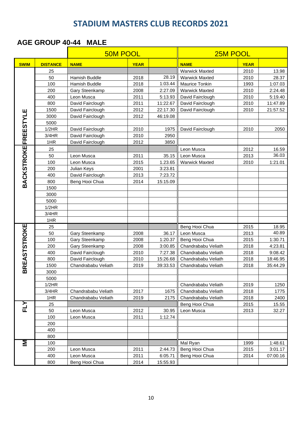#### **AGE GROUP 40-44 MALE**

|                           |                 |                                  | <b>50M POOL</b> |                    |                                       | 25M POOL     |                    |  |
|---------------------------|-----------------|----------------------------------|-----------------|--------------------|---------------------------------------|--------------|--------------------|--|
| <b>SWIM</b>               | <b>DISTANCE</b> | <b>NAME</b>                      | <b>YEAR</b>     |                    | <b>NAME</b>                           | <b>YEAR</b>  |                    |  |
|                           | 25              |                                  |                 |                    | <b>Warwick Maxted</b>                 | 2010         | 13.98              |  |
|                           | 50              | <b>Hamish Buddle</b>             | 2018            | 28.19              | <b>Warwick Maxted</b>                 | 2010         | 28.37              |  |
|                           | 100             | Hamish Buddle                    | 2018            | 1:03.44            | <b>Maurice Tonkin</b>                 | 1993         | 1:07.03            |  |
|                           | 200             | Gary Steenkamp                   | 2008            | 2:27.09            | <b>Warwick Maxted</b>                 | 2010         | 2:24.48            |  |
|                           | 400             | Leon Musca                       | 2011            | 5:13.93            | David Fairclough                      | 2010         | 5:19.40            |  |
|                           | 800             | David Fairclough                 | 2011            | 11:22.67           | David Fairclough                      | 2010         | 11:47.89           |  |
| Ш                         | 1500            | David Fairclough                 | 2012            | 22:17.30           | David Fairclough                      | 2010         | 21:57.52           |  |
|                           | 3000            | David Fairclough                 | 2012            | 46:19.08           |                                       |              |                    |  |
|                           | 5000            |                                  |                 |                    |                                       |              |                    |  |
|                           | 1/2HR           | David Fairclough                 | 2010            | 1975               | David Fairclough                      | 2010         | 2050               |  |
|                           | 3/4HR           | David Fairclough                 | 2010            | 2950               |                                       |              |                    |  |
|                           | 1HR             | David Fairclough                 | 2012            | 3850               |                                       |              |                    |  |
|                           | 25              |                                  |                 |                    | Leon Musca                            | 2012         | 16.59              |  |
|                           | 50              | Leon Musca                       | 2011            | 35.15              | Leon Musca                            | 2013         | 36.03              |  |
|                           | 100             | Leon Musca                       | 2015            | 1.23.65            | <b>Warwick Maxted</b>                 | 2010         | 1:21.01            |  |
|                           | 200             | Julian Keys                      | 2001            | 3:23.81            |                                       |              |                    |  |
|                           | 400             | David Fairclough                 | 2013            | 7:23.72            |                                       |              |                    |  |
| <b>BACKSTROKEFREESTYL</b> | 800             | Beng Hooi Chua                   | 2014            | 15:15.09           |                                       |              |                    |  |
|                           | 1500            |                                  |                 |                    |                                       |              |                    |  |
|                           | 3000            |                                  |                 |                    |                                       |              |                    |  |
|                           | 5000            |                                  |                 |                    |                                       |              |                    |  |
|                           | 1/2HR           |                                  |                 |                    |                                       |              |                    |  |
|                           | 3/4HR           |                                  |                 |                    |                                       |              |                    |  |
|                           | 1HR             |                                  |                 |                    |                                       |              |                    |  |
| <b>BREASTSTROKE</b>       | 25              |                                  |                 |                    | Beng Hooi Chua                        | 2015         | 18.95<br>40.89     |  |
|                           | 50              | Gary Steenkamp                   | 2008            | 36.17              | Leon Musca                            | 2013         |                    |  |
|                           | 100<br>200      | Gary Steenkamp<br>Gary Steenkamp | 2008<br>2008    | 1:20.37            | Beng Hooi Chua<br>Chandrababu Veliath | 2015<br>2018 | 1:30.71<br>4:23.81 |  |
|                           | 400             | David Fairclough                 | 2010            | 3:00.85<br>7:27.38 | Chandrababu Veliath                   | 2018         | 9:08.42            |  |
|                           | 800             | David Fairclough                 | 2010            | 15:26.68           | Chandrababu Veliath                   | 2018         | 18:46.95           |  |
|                           | 1500            | Chandrababu Veliath              | 2019            | 39:33.53           | Chandrababu Veliath                   | 2018         | 35:44.29           |  |
|                           | 3000            |                                  |                 |                    |                                       |              |                    |  |
|                           | 5000            |                                  |                 |                    |                                       |              |                    |  |
|                           | 1/2HR           |                                  |                 |                    | Chandrababu Veliath                   | 2019         | 1250               |  |
|                           | 3/4HR           | Chandrababu Veliath              | 2017            | 1675               | Chandrababu Veliath                   | 2018         | 1775               |  |
|                           | 1HR             | Chandrababu Veliath              | 2019            | 2175               | Chandrababu Veliath                   | 2018         | 2400               |  |
|                           | 25              |                                  |                 |                    | Beng Hooi Chua                        | 2015         | 15.55              |  |
| FLY                       | 50              | Leon Musca                       | 2012            | 30.95              | Leon Musca                            | 2013         | 32.27              |  |
|                           | 100             | Leon Musca                       | 2011            | 1:12.74            |                                       |              |                    |  |
|                           | 200             |                                  |                 |                    |                                       |              |                    |  |
|                           | 400             |                                  |                 |                    |                                       |              |                    |  |
|                           | 800             |                                  |                 |                    |                                       |              |                    |  |
| Σ                         | 100             |                                  |                 |                    | Mal Ryan                              | 1999         | 1:48.61            |  |
|                           | 200             | Leon Musca                       | 2011            | 2:44.73            | Beng Hooi Chua                        | 2015         | 3:01.17            |  |
|                           | 400             | Leon Musca                       | 2011            | 6:05.71            | Beng Hooi Chua                        | 2014         | 07:00.16           |  |
|                           | 800             | Beng Hooi Chua                   | 2014            | 15:55.93           |                                       |              |                    |  |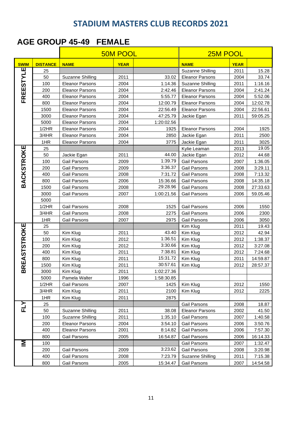#### **AGE GROUP 45-49 FEMALE**

|                     |                 |                        | <b>50M POOL</b> |            | 25M POOL                |             |          |
|---------------------|-----------------|------------------------|-----------------|------------|-------------------------|-------------|----------|
| <b>SWIM</b>         | <b>DISTANCE</b> | <b>NAME</b>            | <b>YEAR</b>     |            | <b>NAME</b>             | <b>YEAR</b> |          |
|                     | 25              |                        |                 |            | <b>Suzanne Shilling</b> | 2011        | 15.28    |
| FREESTYLE           | 50              | Suzanne Shilling       | 2011            | 33.02      | <b>Eleanor Parsons</b>  | 2004        | 33.74    |
|                     | 100             | <b>Eleanor Parsons</b> | 2004            | 1:14.36    | <b>Suzanne Shilling</b> | 2011        | 1:16.16  |
|                     | 200             | <b>Eleanor Parsons</b> | 2004            | 2:42.46    | <b>Eleanor Parsons</b>  | 2004        | 2:41.24  |
|                     | 400             | <b>Eleanor Parsons</b> | 2004            | 5:55.77    | <b>Eleanor Parsons</b>  | 2004        | 5:52.06  |
|                     | 800             | <b>Eleanor Parsons</b> | 2004            | 12:00.79   | <b>Eleanor Parsons</b>  | 2004        | 12:02.78 |
|                     | 1500            | <b>Eleanor Parsons</b> | 2004            | 22:56.49   | <b>Eleanor Parsons</b>  | 2004        | 22:56.61 |
|                     | 3000            | <b>Eleanor Parsons</b> | 2004            | 47:25.79   | Jackie Egan             | 2011        | 59:05.25 |
|                     | 5000            | <b>Eleanor Parsons</b> | 2004            | 1:20:02.56 |                         |             |          |
|                     | 1/2HR           | <b>Eleanor Parsons</b> | 2004            | 1925       | <b>Eleanor Parsons</b>  | 2004        | 1925     |
|                     | 3/4HR           | <b>Eleanor Parsons</b> | 2004            | 2850       | Jackie Egan             | 2011        | 2500     |
|                     | 1HR             | <b>Eleanor Parsons</b> | 2004            | 3775       | Jackie Egan             | 2011        | 3025     |
|                     | 25              |                        |                 |            | Kylie Leaman            | 2013        | 19.05    |
|                     | 50              | Jackie Egan            | 2011            | 44.00      | Jackie Egan             | 2012        | 44.68    |
|                     | 100             | Gail Parsons           | 2009            | 1:39.79    | Gail Parsons            | 2007        | 1:36.05  |
|                     | 200             | Gail Parsons           | 2009            | 3:36.37    | <b>Gail Parsons</b>     | 2008        | 3:29.11  |
|                     | 400             | Gail Parsons           | 2008            | 7:31.72    | Gail Parsons            | 2008        | 7:13.32  |
| <b>BACKSTROKE</b>   | 800             | Gail Parsons           | 2006            | 15:36.66   | Gail Parsons            | 2008        | 14:35.18 |
|                     | 1500            | <b>Gail Parsons</b>    | 2008            | 29:28.96   | Gail Parsons            | 2008        | 27:33.63 |
|                     | 3000            | Gail Parsons           | 2007            | 1:00:21.56 | Gail Parsons            | 2006        | 59.05.46 |
|                     | 5000            |                        |                 |            |                         |             |          |
|                     | 1/2HR           | Gail Parsons           | 2008            | 1525       | Gail Parsons            | 2006        | 1550     |
|                     | 3/4HR           | Gail Parsons           | 2008            | 2275       | Gail Parsons            | 2006        | 2300     |
|                     | 1HR             | Gail Parsons           | 2007            | 2975       | Gail Parsons            | 2006        | 3050     |
| <b>BREASTSTROKE</b> | 25              |                        |                 |            | Kim Klug                | 2011        | 19.43    |
|                     | 50              | Kim Klug               | 2011            | 43.40      | Kim Klug                | 2012        | 42.94    |
|                     | 100             | Kim Klug               | 2012            | 1:36.51    | Kim Klug                | 2012        | 1:38.37  |
|                     | 200             | Kim Klug               | 2012            | 3:30.66    | Kim Klug                | 2012        | 3:27.08  |
|                     | 400             | Kim Klug               | 2011            | 7:38.81    | Kim Klug                | 2012        | 7:24.68  |
|                     | 800             | Kim Klug               | 2011            | 15:31.72   | Kim Klug                | 2011        | 14:59.87 |
|                     | 1500            | Kim Klug               | 2011            | 30:57.61   | Kim Klug                | 2012        | 28:57.37 |
|                     | 3000            | Kim Klug               | 2011            | 1:02:27.36 |                         |             |          |
|                     | 5000            | Pamela Walter          | 1996            | 1:58:30.85 |                         |             |          |
|                     | 1/2HR           | Gail Parsons           | 2007            | 1425       | Kim Klug                | 2012        | 1550     |
|                     | 3/4HR           | Kim Klug               | 2011            | 2100       | Kim Klug                | 2012        | 2225     |
|                     | 1HR             | Kim Klug               | 2011            | 2875       |                         |             |          |
| <b>FLY</b>          | 25              |                        |                 |            | Gail Parsons            | 2008        | 18.87    |
|                     | 50              | Suzanne Shilling       | 2011            | 38.08      | <b>Eleanor Parsons</b>  | 2002        | 41.50    |
|                     | 100             | Suzanne Shilling       | 2011            | 1:35.10    | Gail Parsons            | 2007        | 1:40.58  |
|                     | 200             | <b>Eleanor Parsons</b> | 2004            | 3:54.10    | Gail Parsons            | 2006        | 3:50.76  |
|                     | 400             | <b>Eleanor Parsons</b> | 2001            | 8:14.82    | Gail Parsons            | 2006        | 7:57.30  |
|                     | 800             | <b>Gail Parsons</b>    | 2005            | 16:54.87   | Gail Parsons            | 2006        | 16:14.33 |
| Σ                   | 100             |                        |                 |            | Gail Parsons            | 2007        | 1:32.47  |
|                     | 200             | Gail Parsons           | 2009            | 3:23.62    | Gail Parsons            | 2008        | 3:20.98  |
|                     | 400             | Gail Parsons           | 2008            | 7:23.79    | <b>Suzanne Shilling</b> | 2011        | 7:15.38  |
|                     | 800             | Gail Parsons           | 2005            | 15:34.47   | Gail Parsons            | 2007        | 14:54.58 |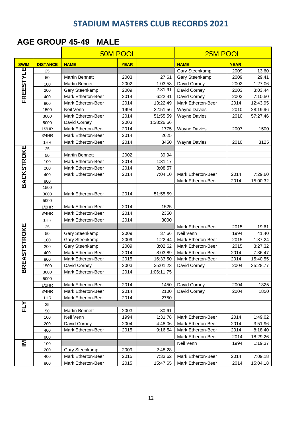#### **AGE GROUP 45-49 MALE**

|                     |                 |                           | <b>50M POOL</b> |            | 25M POOL                  |             |          |  |
|---------------------|-----------------|---------------------------|-----------------|------------|---------------------------|-------------|----------|--|
| <b>SWIM</b>         | <b>DISTANCE</b> | <b>NAME</b>               | <b>YEAR</b>     |            | <b>NAME</b>               | <b>YEAR</b> |          |  |
|                     | 25              |                           |                 |            | Gary Steenkamp            | 2009        | 13.60    |  |
| <b>FREESTYLE</b>    | 50              | <b>Martin Bennett</b>     | 2003            | 27.61      | Gary Steenkamp            | 2009        | 29.41    |  |
|                     | 100             | <b>Martin Bennett</b>     | 2002            | 1:03.53    | David Corney              | 2002        | 1:27.06  |  |
|                     | 200             | Gary Steenkamp            | 2009            | 2:31.91    | David Corney              | 2003        | 3:03.44  |  |
|                     | 400             | <b>Mark Etherton-Beer</b> | 2014            | 6:22.41    | David Corney              | 2003        | 7:10.50  |  |
|                     | 800             | Mark Etherton-Beer        | 2014            | 13:22.49   | Mark Etherton-Beer        | 2014        | 12:43.95 |  |
|                     | 1500            | Neil Venn                 | 1994            | 22:51.56   | <b>Wayne Davies</b>       | 2010        | 28:19.96 |  |
|                     | 3000            | Mark Etherton-Beer        | 2014            | 51:55.59   | <b>Wayne Davies</b>       | 2010        | 57:27.46 |  |
|                     | 5000            | David Corney              | 2003            | 1:38:26.66 |                           |             |          |  |
|                     | 1/2HR           | Mark Etherton-Beer        | 2014            | 1775       | <b>Wayne Davies</b>       | 2007        | 1500     |  |
|                     | 3/4HR           | <b>Mark Etherton-Beer</b> | 2014            | 2625       |                           |             |          |  |
|                     | 1HR             | Mark Etherton-Beer        | 2014            | 3450       | <b>Wayne Davies</b>       | 2010        | 3125     |  |
|                     | 25              |                           |                 |            |                           |             |          |  |
|                     | 50              | <b>Martin Bennett</b>     | 2002            | 39.94      |                           |             |          |  |
|                     | 100             | Mark Etherton-Beer        | 2014            | 1:31.17    |                           |             |          |  |
|                     | 200             | <b>Mark Etherton-Beer</b> | 2014            | 3:08.57    |                           |             |          |  |
|                     | 400             | <b>Mark Etherton-Beer</b> | 2014            | 7:04.10    | Mark Etherton-Beer        | 2014        | 7:29.60  |  |
| <b>BACKSTROKE</b>   | 800             |                           |                 |            | Mark Etherton-Beer        | 2014        | 15:00.32 |  |
|                     | 1500            |                           |                 |            |                           |             |          |  |
|                     | 3000            | <b>Mark Etherton-Beer</b> | 2014            | 51:55.59   |                           |             |          |  |
|                     | 5000            |                           |                 |            |                           |             |          |  |
|                     | 1/2HR           | <b>Mark Etherton-Beer</b> | 2014            | 1525       |                           |             |          |  |
|                     | 3/4HR           | Mark Etherton-Beer        | 2014            | 2350       |                           |             |          |  |
|                     | 1HR             | Mark Etherton-Beer        | 2014            | 3000       |                           |             |          |  |
| <b>BREASTSTROKE</b> | 25              |                           |                 |            | Mark Etherton-Beer        | 2015        | 19.61    |  |
|                     | 50              | Gary Steenkamp            | 2009            | 37.66      | Neil Venn                 | 1994        | 41.40    |  |
|                     | 100             | Gary Steenkamp            | 2009            | 1:22.44    | Mark Etherton-Beer        | 2015        | 1:37.24  |  |
|                     | 200             | Gary Steenkamp            | 2009            | 3:02.62    | Mark Etherton-Beer        | 2015        | 3:27.32  |  |
|                     | 400             | Mark Etherton-Beer        | 2014            | 8:03.89    | Mark Etherton-Beer        | 2014        | 7:36.47  |  |
|                     | 800             | <b>Mark Etherton-Beer</b> | 2015            | 16:33.50   | Mark Etherton-Beer        | 2014        | 15:40.55 |  |
|                     | 1500            | David Corney              | 2003            | 35:01.23   | David Corney              | 2004        | 35:28.77 |  |
|                     | 3000            | Mark Etherton-Beer        | 2014            | 1:06:11.75 |                           |             |          |  |
|                     | 5000            |                           |                 |            |                           |             |          |  |
|                     | 1/2HR           | Mark Etherton-Beer        | 2014            | 1450       | David Corney              | 2004        | 1325     |  |
|                     | 3/4HR           | Mark Etherton-Beer        | 2014            | 2100       | David Corney              | 2004        | 1850     |  |
|                     | 1HR             | Mark Etherton-Beer        | 2014            | 2750       |                           |             |          |  |
| <b>FLY</b>          | 25              |                           |                 |            |                           |             |          |  |
|                     | 50              | Martin Bennett            | 2003            | 30.61      |                           |             |          |  |
|                     | 100             | Neil Venn                 | 1994            | 1:31.78    | Mark Etherton-Beer        | 2014        | 1:49.02  |  |
|                     | 200             | David Corney              | 2004            | 4:48.06    | <b>Mark Etherton-Beer</b> | 2014        | 3:51.96  |  |
|                     | 400             | Mark Etherton-Beer        | 2015            | 9:16.54    | Mark Etherton-Beer        | 2014        | 8:18.40  |  |
|                     | 800             |                           |                 |            | Mark Etherton-Beer        | 2014        | 18:29.26 |  |
| Σ                   | 100             |                           |                 |            | Neil Venn                 | 1994        | 1:19.37  |  |
|                     | 200             | Gary Steenkamp            | 2009            | 2:48.28    |                           |             |          |  |
|                     | 400             | Mark Etherton-Beer        | 2015            | 7:33.62    | Mark Etherton-Beer        | 2014        | 7:09.18  |  |
|                     | 800             | Mark Etherton-Beer        | 2015            | 15:47.65   | Mark Etherton-Beer        | 2014        | 15:04.18 |  |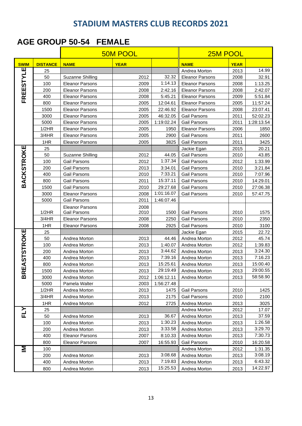#### **AGE GROUP 50-54 FEMALE**

|                              |                 |                                | <b>50M POOL</b> | 25M POOL                 |                                |              |                    |
|------------------------------|-----------------|--------------------------------|-----------------|--------------------------|--------------------------------|--------------|--------------------|
| <b>SWIM</b>                  | <b>DISTANCE</b> | <b>NAME</b>                    | <b>YEAR</b>     |                          | <b>NAME</b>                    | <b>YEAR</b>  |                    |
| щ                            | 25              |                                |                 |                          | Andrea Morton                  | 2013         | 14.99              |
| FREESTYL                     | 50              | <b>Suzanne Shilling</b>        | 2012            | 32.32                    | <b>Eleanor Parsons</b>         | 2008         | 32.91              |
|                              | 100             | <b>Eleanor Parsons</b>         | 2009            | 1:14.13                  | <b>Eleanor Parsons</b>         | 2008         | 1:13.25            |
|                              | 200             | <b>Eleanor Parsons</b>         | 2008            | 2:42.16                  | <b>Eleanor Parsons</b>         | 2008         | 2:42.07            |
|                              | 400             | <b>Eleanor Parsons</b>         | 2008            | 5:45.21                  | <b>Eleanor Parsons</b>         | 2009         | 5:51.84            |
|                              | 800             | <b>Eleanor Parsons</b>         | 2005            | 12:04.61                 | <b>Eleanor Parsons</b>         | 2005         | 11:57.24           |
|                              | 1500            | <b>Eleanor Parsons</b>         | 2005            | 22:46.92                 | <b>Eleanor Parsons</b>         | 2008         | 23:07.41           |
|                              | 3000            | <b>Eleanor Parsons</b>         | 2005            | 46:32.05                 | <b>Gail Parsons</b>            | 2011         | 52:02.23           |
|                              | 5000            | <b>Eleanor Parsons</b>         | 2005            | 1:19:02.24               | <b>Gail Parsons</b>            | 2011         | 1:28:13.54         |
|                              | 1/2HR           | <b>Eleanor Parsons</b>         | 2005            | 1950                     | <b>Eleanor Parsons</b>         | 2006         | 1850               |
|                              | 3/4HR           | <b>Eleanor Parsons</b>         | 2005            | 2900                     | <b>Gail Parsons</b>            | 2011         | 2600               |
|                              | 1HR             | <b>Eleanor Parsons</b>         | 2005            | 3825                     | <b>Gail Parsons</b>            | 2011         | 3425               |
|                              | 25              |                                |                 |                          | Jackie Egan                    | 2015         | 20.21              |
|                              | 50              | <b>Suzanne Shilling</b>        | 2012            | 44.05                    | Gail Parsons                   | 2010         | 43.85              |
|                              | 100             | <b>Gail Parsons</b>            | 2012            | 1:37.34                  | Gail Parsons                   | 2012         | 1:33.99            |
|                              | 200             | Gail Parsons                   | 2013            | 3:34.01                  | Gail Parsons                   | 2010         | 3:21.84            |
|                              | 400             | <b>Gail Parsons</b>            | 2010            | 7:33.21                  | <b>Gail Parsons</b>            | 2010         | 7:07.96            |
| <b>BACKSTROKE</b>            | 800             | <b>Gail Parsons</b>            | 2011            | 15:37.11                 | <b>Gail Parsons</b>            | 2010         | 14:29.01           |
|                              | 1500            | <b>Gail Parsons</b>            | 2010            | 29:27.68                 | Gail Parsons                   | 2010         | 27:06.38           |
|                              | 3000            | <b>Eleanor Parsons</b>         | 2008            | 1:01:16.07               | <b>Gail Parsons</b>            | 2010         | 57:47.75           |
|                              | 5000            | <b>Gail Parsons</b>            | 2011            | 1:46:07.46               |                                |              |                    |
|                              |                 | <b>Eleanor Parsons</b>         | 2008            |                          |                                |              |                    |
|                              | 1/2HR           | Gail Parsons                   | 2010            | 1500                     | Gail Parsons                   | 2010         | 1575               |
|                              | 3/4HR           | <b>Eleanor Parsons</b>         | 2008            | 2250                     | <b>Gail Parsons</b>            | 2010         | 2350               |
|                              | 1HR             | <b>Eleanor Parsons</b>         | 2008            | 2925                     | Gail Parsons                   | 2010         | 3100               |
| EASTSTROKE                   | 25              |                                |                 |                          | Jackie Egan                    | 2015         | 22.72              |
|                              | 50              | Andrea Morton                  | 2013            | 44.46                    | Andrea Morton                  | 2012         | 45.74              |
|                              | 100             | Andrea Morton                  | 2013            | 1:40.07                  | Andrea Morton                  | 2012         | 1:39.83<br>3:24.30 |
|                              | 200             | Andrea Morton                  | 2013            | 3:44.62<br>7:39.16       | Andrea Morton                  | 2013         | 7:16.23            |
|                              | 400             | Andrea Morton                  | 2013            | 15:25.61                 | Andrea Morton<br>Andrea Morton | 2013         | 15:00.40           |
|                              | 800             | Andrea Morton                  | 2013            | 29:19.49                 |                                | 2013         | 29:00.55           |
| $\overline{\mathbf{r}}$<br>മ | 1500<br>3000    | Andrea Morton                  | 2013<br>2012    |                          | Andrea Morton<br>Andrea Morton | 2013<br>2013 | 58:58.90           |
|                              | 5000            | Andrea Morton<br>Pamela Walter | 2003            | 1:06:12.11<br>1:56:27.48 |                                |              |                    |
|                              | 1/2HR           | Andrea Morton                  | 2013            | 1475                     | Gail Parsons                   | 2010         | 1425               |
|                              | 3/4HR           | Andrea Morton                  | 2013            | 2175                     | Gail Parsons                   | 2010         | 2100               |
|                              | 1HR             | Andrea Morton                  | 2012            | 2725                     | Andrea Morton                  | 2013         | 3025               |
|                              | 25              |                                |                 |                          | Andrea Morton                  | 2012         | 17.07              |
| て<br>コ                       | 50              | Andrea Morton                  | 2013            | 36.67                    | Andrea Morton                  | 2013         | 37.59              |
|                              | 100             | Andrea Morton                  | 2013            | 1:30.23                  | Andrea Morton                  | 2013         | 1:26.58            |
|                              | 200             | Andrea Morton                  | 2013            | 3:33.58                  | Andrea Morton                  | 2013         | 3:29.70            |
|                              | 400             | Eleanor Parsons                | 2007            | 8:10.33                  | Andrea Morton                  | 2013         | 7:30.73            |
|                              | 800             | <b>Eleanor Parsons</b>         | 2007            | 16:55.93                 | Gail Parsons                   | 2010         | 16:20.58           |
| ΙM                           | 100             |                                |                 |                          | Andrea Morton                  | 2012         | 1:31.35            |
|                              | 200             | Andrea Morton                  | 2013            | 3:08.68                  | Andrea Morton                  | 2013         | 3:08.19            |
|                              | 400             | Andrea Morton                  | 2013            | 7:19.83                  | Andrea Morton                  | 2013         | 6:43.32            |
|                              | 800             | Andrea Morton                  | 2013            | 15:25.53                 | Andrea Morton                  | 2013         | 14:22.97           |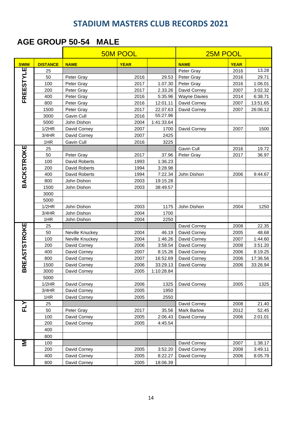#### **AGE GROUP 50-54 MALE**

|                     |                 |                 | <b>50M POOL</b> |            | 25M POOL            |             |          |  |
|---------------------|-----------------|-----------------|-----------------|------------|---------------------|-------------|----------|--|
| <b>SWIM</b>         | <b>DISTANCE</b> | <b>NAME</b>     | <b>YEAR</b>     |            | <b>NAME</b>         | <b>YEAR</b> |          |  |
| ш                   | 25              |                 |                 |            | Peter Gray          | 2016        | 13.28    |  |
| FREESTYL            | 50              | Peter Gray      | 2016            | 29.53      | Peter Gray          | 2016        | 29.71    |  |
|                     | 100             | Peter Gray      | 2017            | 1.07.30    | Peter Gray          | 2016        | 1:06.01  |  |
|                     | 200             | Peter Gray      | 2017            | 2.33.26    | David Corney        | 2007        | 3:02.32  |  |
|                     | 400             | Peter Gray      | 2016            | 5:35.96    | <b>Wayne Davies</b> | 2014        | 6:38.71  |  |
|                     | 800             | Peter Gray      | 2016            | 12:01.11   | David Corney        | 2007        | 13:51.65 |  |
|                     | 1500            | Peter Gray      | 2017            | 22.07.63   | David Corney        | 2007        | 26:06.12 |  |
|                     | 3000            | Gavin Cull      | 2016            | 55:27.96   |                     |             |          |  |
|                     | 5000            | John Dishon     | 2004            | 1:41:33.64 |                     |             |          |  |
|                     | 1/2HR           | David Corney    | 2007            | 1700       | David Corney        | 2007        | 1500     |  |
|                     | 3/4HR           | David Corney    | 2007            | 2425       |                     |             |          |  |
|                     | 1HR             | Gavin Cull      | 2016            | 3225       |                     |             |          |  |
| <b>BACKSTROKE</b>   | 25              |                 |                 |            | Gavin Cull          | 2016        | 19.72    |  |
|                     | 50              | Peter Gray      | 2017            | 37.96      | Peter Gray          | 2017        | 36.97    |  |
|                     | 100             | David Roberts   | 1993            | 1:36.23    |                     |             |          |  |
|                     | 200             | David Roberts   | 1994            | 3:28.98    |                     |             |          |  |
|                     | 400             | David Roberts   | 1994            | 7:22.34    | John Dishon         | 2006        | 9:44.67  |  |
|                     | 800             | John Dishon     | 2003            | 19:15.28   |                     |             |          |  |
|                     | 1500            | John Dishon     | 2003            | 38:49.57   |                     |             |          |  |
|                     | 3000            |                 |                 |            |                     |             |          |  |
|                     | 5000            |                 |                 |            |                     |             |          |  |
|                     | 1/2HR           | John Dishon     | 2003            | 1175       | John Dishon         | 2004        | 1250     |  |
|                     | 3/4HR           | John Dishon     | 2004            | 1700       |                     |             |          |  |
|                     | 1HR             | John Dishon     | 2004            | 2250       |                     |             |          |  |
| <b>BREASTSTROKE</b> | 25              |                 |                 |            | David Corney        | 2008        | 22.35    |  |
|                     | 50              | Neville Knuckey | 2004            | 46.19      | David Corney        | 2005        | 48.68    |  |
|                     | 100             | Neville Knuckey | 2004            | 1:46.26    | David Corney        | 2007        | 1:44.60  |  |
|                     | 200             | David Corney    | 2006            | 3:58.54    | David Corney        | 2008        | 3:51.20  |  |
|                     | 400             | David Corney    | 2007            | 8:15.26    | David Corney        | 2006        | 8:19.25  |  |
|                     | 800             | David Corney    | 2007            | 16:52.69   | David Corney        | 2006        | 17:36.56 |  |
|                     | 1500            | David Corney    | 2006            | 33:29.13   | David Corney        | 2006        | 33:26.94 |  |
|                     | 3000            | David Corney    | 2005            | 1:10:28.84 |                     |             |          |  |
|                     | 5000            |                 |                 |            |                     |             |          |  |
|                     | 1/2HR           | David Corney    | 2006            | 1325       | David Corney        | 2005        | 1325     |  |
|                     | 3/4HR           | David Corney    | 2005            | 1950       |                     |             |          |  |
|                     | 1HR             | David Corney    | 2005            | 2550       |                     |             |          |  |
|                     | 25              |                 |                 |            | David Corney        | 2008        | 21.40    |  |
|                     | 50              | Peter Gray      | 2017            | 35.56      | Mark Barlow         | 2012        | 52.45    |  |
|                     | 100<br>200      | David Corney    | 2005            | 2:06.43    | David Corney        | 2006        | 2:01.01  |  |
|                     | 400             | David Corney    | 2005            | 4:45.54    |                     |             |          |  |
|                     |                 |                 |                 |            |                     |             |          |  |
|                     | 800             |                 |                 |            |                     |             |          |  |
| Σ                   | 100             |                 |                 |            | David Corney        | 2007        | 1:38.17  |  |
|                     | 200             | David Corney    | 2005            | 3:52.20    | David Corney        | 2008        | 3:49.11  |  |
|                     | 400             | David Corney    | 2005            | 8:22.27    | David Corney        | 2006        | 8:05.79  |  |
|                     | 800             | David Corney    | 2005            | 18:06.39   |                     |             |          |  |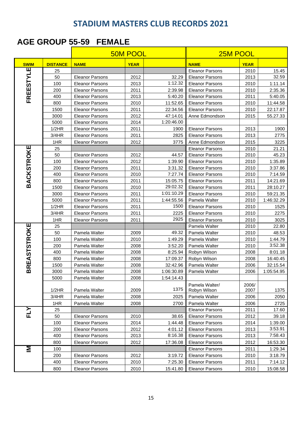### **AGE GROUP 55-59 FEMALE**

|                     |                 |                        |             | <b>50M POOL</b> |                                |               | 25M POOL   |  |  |  |
|---------------------|-----------------|------------------------|-------------|-----------------|--------------------------------|---------------|------------|--|--|--|
| <b>SWIM</b>         | <b>DISTANCE</b> | <b>NAME</b>            | <b>YEAR</b> |                 | <b>NAME</b>                    | <b>YEAR</b>   |            |  |  |  |
| Щ                   | 25              |                        |             |                 | <b>Eleanor Parsons</b>         | 2010          | 15.45      |  |  |  |
|                     | 50              | <b>Eleanor Parsons</b> | 2012        | 32.29           | <b>Eleanor Parsons</b>         | 2013          | 32.59      |  |  |  |
|                     | 100             | <b>Eleanor Parsons</b> | 2013        | 1:12.32         | <b>Eleanor Parsons</b>         | 2010          | 1:11.14    |  |  |  |
| FREESTYL            | 200             | <b>Eleanor Parsons</b> | 2011        | 2:39.98         | <b>Eleanor Parsons</b>         | 2010          | 2:35.36    |  |  |  |
|                     | 400             | <b>Eleanor Parsons</b> | 2013        | 5:40.20         | <b>Eleanor Parsons</b>         | 2011          | 5:40.05    |  |  |  |
|                     | 800             | <b>Eleanor Parsons</b> | 2010        | 11:52.65        | <b>Eleanor Parsons</b>         | 2010          | 11:44.58   |  |  |  |
|                     | 1500            | <b>Eleanor Parsons</b> | 2011        | 22:34.56        | <b>Eleanor Parsons</b>         | 2010          | 22:17.87   |  |  |  |
|                     | 3000            | <b>Eleanor Parsons</b> | 2012        | 47:14.01        | Anne Edmondson                 | 2015          | 55.27.33   |  |  |  |
|                     | 5000            | <b>Eleanor Parsons</b> | 2014        | 1:20:46.00      |                                |               |            |  |  |  |
|                     | 1/2HR           | <b>Eleanor Parsons</b> | 2011        | 1900            | <b>Eleanor Parsons</b>         | 2013          | 1900       |  |  |  |
|                     | 3/4HR           | <b>Eleanor Parsons</b> | 2011        | 2825            | <b>Eleanor Parsons</b>         | 2013          | 2775       |  |  |  |
|                     | 1HR             | <b>Eleanor Parsons</b> | 2012        | 3775            | Anne Edmondson                 | 2015          | 3225       |  |  |  |
|                     | 25              |                        |             |                 | <b>Eleanor Parsons</b>         | 2010          | 21.21      |  |  |  |
|                     | 50              | <b>Eleanor Parsons</b> | 2012        | 44.57           | <b>Eleanor Parsons</b>         | 2010          | 45.23      |  |  |  |
|                     | 100             | <b>Eleanor Parsons</b> | 2012        | 1:39.90         | <b>Eleanor Parsons</b>         | 2010          | 1:35.89    |  |  |  |
|                     | 200             | <b>Eleanor Parsons</b> | 2011        | 3:31.32         | <b>Eleanor Parsons</b>         | 2010          | 3:37.86    |  |  |  |
|                     | 400             | <b>Eleanor Parsons</b> | 2010        | 7:27.74         | <b>Eleanor Parsons</b>         | 2010          | 7:14.59    |  |  |  |
| <b>BACKSTROKE</b>   | 800             | <b>Eleanor Parsons</b> | 2011        | 15:05.75        | <b>Eleanor Parsons</b>         | 2011          | 14:21.69   |  |  |  |
|                     | 1500            | <b>Eleanor Parsons</b> | 2010        | 29:02.32        | <b>Eleanor Parsons</b>         | 2011          | 28:10.27   |  |  |  |
|                     | 3000            | <b>Eleanor Parsons</b> | 2011        | 1:01:10.29      | <b>Eleanor Parsons</b>         | 2010          | 59:21.35   |  |  |  |
|                     | 5000            | <b>Eleanor Parsons</b> | 2011        | 1:44:55.56      | Pamela Walter                  | 2010          | 1:46:32.29 |  |  |  |
|                     | 1/2HR           | <b>Eleanor Parsons</b> | 2011        | 1500            | <b>Eleanor Parsons</b>         | 2010          | 1525       |  |  |  |
|                     | 3/4HR           | <b>Eleanor Parsons</b> | 2011        | 2225            | <b>Eleanor Parsons</b>         | 2010          | 2275       |  |  |  |
|                     | 1HR             | <b>Eleanor Parsons</b> | 2011        | 2925            | <b>Eleanor Parsons</b>         | 2010          | 3025       |  |  |  |
| <b>BREASTSTROKE</b> | 25              |                        |             |                 | Pamela Walter                  | 2010          | 22.80      |  |  |  |
|                     | 50              | Pamela Walter          | 2009        | 49.32           | Pamela Walter                  | 2010          | 48.53      |  |  |  |
|                     | 100             | Pamela Walter          | 2010        | 1:49.29         | Pamela Walter                  | 2010          | 1:44.79    |  |  |  |
|                     | 200             | Pamela Walter          | 2008        | 3:52.20         | Pamela Walter                  | 2010          | 3:52.38    |  |  |  |
|                     | 400             | Pamela Walter          | 2008        | 8:25.94         | Robyn Wilson                   | 2008          | 8:01.18    |  |  |  |
|                     | 800             | Pamela Walter          | 2008        | 17:09.37        | Robyn Wilson                   | 2008          | 16:40.45   |  |  |  |
|                     | 1500            | Pamela Walter          | 2008        | 32:42.96        | Pamela Walter                  | 2006          | 32:15.54   |  |  |  |
|                     | 3000            | Pamela Walter          | 2008        | 1:06:30.89      | Pamela Walter                  | 2006          | 1:05:54.95 |  |  |  |
|                     | 5000            | Pamela Walter          | 2008        | 1:54:14.43      |                                |               |            |  |  |  |
|                     | 1/2HR           | Pamela Walter          | 2009        | 1375            | Pamela Walter/<br>Robyn Wilson | 2006/<br>2007 | 1375       |  |  |  |
|                     | 3/4HR           | Pamela Walter          | 2008        | 2025            | Pamela Walter                  | 2006          | 2050       |  |  |  |
|                     | 1HR             | Pamela Walter          | 2008        | 2700            | Pamela Walter                  | 2006          | 2725       |  |  |  |
|                     | 25              |                        |             |                 | <b>Eleanor Parsons</b>         | 2011          | 17.60      |  |  |  |
| FLY                 | 50              | <b>Eleanor Parsons</b> | 2010        | 38.65           | <b>Eleanor Parsons</b>         | 2012          | 39.18      |  |  |  |
|                     | 100             | <b>Eleanor Parsons</b> | 2014        | 1:44.48         | <b>Eleanor Parsons</b>         | 2014          | 1:39.00    |  |  |  |
|                     | 200             | <b>Eleanor Parsons</b> | 2012        | 4:01.12         | <b>Eleanor Parsons</b>         | 2013          | 3:53.91    |  |  |  |
|                     | 400             | <b>Eleanor Parsons</b> | 2013        | 8:16.38         | <b>Eleanor Parsons</b>         | 2013          | 7:58.43    |  |  |  |
|                     | 800             | <b>Eleanor Parsons</b> | 2012        | 17:36.08        | <b>Eleanor Parsons</b>         | 2012          | 16:53.30   |  |  |  |
| IΜ                  | 100             |                        |             |                 | <b>Eleanor Parsons</b>         | 2011          | 1:29.34    |  |  |  |
|                     | 200             | <b>Eleanor Parsons</b> | 2012        | 3:19.72         | <b>Eleanor Parsons</b>         | 2010          | 3:18.79    |  |  |  |
|                     | 400             | <b>Eleanor Parsons</b> | 2010        | 7:25.30         | <b>Eleanor Parsons</b>         | 2011          | 7:14.12    |  |  |  |
|                     | 800             | <b>Eleanor Parsons</b> | 2010        | 15:41.80        | <b>Eleanor Parsons</b>         | 2010          | 15:08.58   |  |  |  |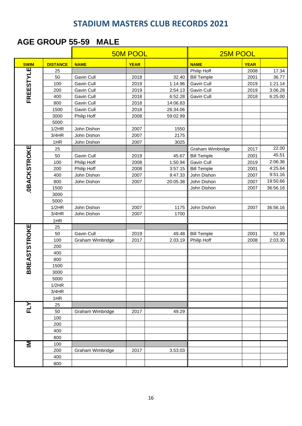#### **AGE GROUP 55-59 MALE**

| <b>AGE GROUP 55-59</b><br><b>MALE</b> |                 |                  |                 |          |                    |             |          |  |  |  |
|---------------------------------------|-----------------|------------------|-----------------|----------|--------------------|-------------|----------|--|--|--|
|                                       |                 |                  | <b>50M POOL</b> |          | 25M POOL           |             |          |  |  |  |
| <b>SWIM</b>                           | <b>DISTANCE</b> | <b>NAME</b>      | <b>YEAR</b>     |          | <b>NAME</b>        | <b>YEAR</b> |          |  |  |  |
|                                       | 25              |                  |                 |          | Philip Hoff        | 2008        | 17.34    |  |  |  |
| FREESTYLE                             | 50              | Gavin Cull       | 2018            | 32.40    | <b>Bill Temple</b> | 2001        | 36.77    |  |  |  |
|                                       | 100             | Gavin Cull       | 2019            | 1:14.96  | Gavin Cull         | 2019        | 1:21.14  |  |  |  |
|                                       | 200             | Gavin Cull       | 2019            | 2:54.13  | Gavin Cull         | 2019        | 3:06.28  |  |  |  |
|                                       | 400             | Gavin Cull       | 2018            | 6:52.28  | Gavin Cull         | 2018        | 6:25.00  |  |  |  |
|                                       | 800             | Gavin Cull       | 2018            | 14:06.83 |                    |             |          |  |  |  |
|                                       | 1500            | Gavin Cull       | 2018            | 26:34.06 |                    |             |          |  |  |  |
|                                       | 3000            | Philip Hoff      | 2008            | 59:02.99 |                    |             |          |  |  |  |
|                                       | 5000            |                  |                 |          |                    |             |          |  |  |  |
|                                       | 1/2HR           | John Dishon      | 2007            | 1550     |                    |             |          |  |  |  |
|                                       | 3/4HR           | John Dishon      | 2007            | 2175     |                    |             |          |  |  |  |
|                                       | 1HR             | John Dishon      | 2007            | 3025     |                    |             |          |  |  |  |
|                                       | 25              |                  |                 |          | Graham Wimbridge   | 2017        | 22.00    |  |  |  |
|                                       | 50              | Gavin Cull       | 2019            | 45.67    | <b>Bill Temple</b> | 2001        | 45.51    |  |  |  |
|                                       | 100             | Philip Hoff      | 2008            | 1:50.94  | Gavin Cull         | 2019        | 2:06.36  |  |  |  |
|                                       | 200             | Philip Hoff      | 2008            | 3:57.15  | <b>Bill Temple</b> | 2001        | 4:25.64  |  |  |  |
|                                       | 400             | John Dishon      | 2007            | 9:47.33  | John Dishon        | 2007        | 9:51.16  |  |  |  |
|                                       | 800             | John Dishon      | 2007            | 20:05.38 | John Dishon        | 2007        | 19:50.66 |  |  |  |
| <b>OBACKSTROKE</b>                    | 1500            |                  |                 |          | John Dishon        | 2007        | 36:56.16 |  |  |  |
|                                       | 3000            |                  |                 |          |                    |             |          |  |  |  |
|                                       | 5000            |                  |                 |          |                    |             |          |  |  |  |
|                                       | 1/2HR           | John Dishon      | 2007            | 1175     | John Dishon        | 2007        | 36:56.16 |  |  |  |
|                                       | 3/4HR           | John Dishon      | 2007            | 1700     |                    |             |          |  |  |  |
|                                       | 1HR             |                  |                 |          |                    |             |          |  |  |  |
| <b>BREASTSTROKE</b>                   | 25              |                  |                 |          |                    |             |          |  |  |  |
|                                       | 50              | Gavin Cull       | 2019            | 49.48    | <b>Bill Temple</b> | 2001        | 52.89    |  |  |  |
|                                       | 100             | Graham Wimbridge | 2017            | 2.03.19  | Philip Hoff        | 2008        | 2:03.30  |  |  |  |
|                                       | 200             |                  |                 |          |                    |             |          |  |  |  |
|                                       | 400             |                  |                 |          |                    |             |          |  |  |  |
|                                       | 800             |                  |                 |          |                    |             |          |  |  |  |
|                                       | 1500            |                  |                 |          |                    |             |          |  |  |  |
|                                       | 3000            |                  |                 |          |                    |             |          |  |  |  |
|                                       | 5000            |                  |                 |          |                    |             |          |  |  |  |
|                                       | 1/2HR           |                  |                 |          |                    |             |          |  |  |  |
|                                       | 3/4HR           |                  |                 |          |                    |             |          |  |  |  |
|                                       | 1HR             |                  |                 |          |                    |             |          |  |  |  |
| FLY                                   | 25              |                  |                 |          |                    |             |          |  |  |  |
|                                       | 50              | Graham Wimbridge | 2017            | 49.29    |                    |             |          |  |  |  |
|                                       | 100             |                  |                 |          |                    |             |          |  |  |  |
|                                       | 200             |                  |                 |          |                    |             |          |  |  |  |
|                                       | 400             |                  |                 |          |                    |             |          |  |  |  |
|                                       | 800             |                  |                 |          |                    |             |          |  |  |  |
| Σ                                     | 100             |                  |                 |          |                    |             |          |  |  |  |
|                                       | 200             | Graham Wimbridge | 2017            | 3.53.03  |                    |             |          |  |  |  |
|                                       | 400             |                  |                 |          |                    |             |          |  |  |  |
|                                       | 800             |                  |                 |          |                    |             |          |  |  |  |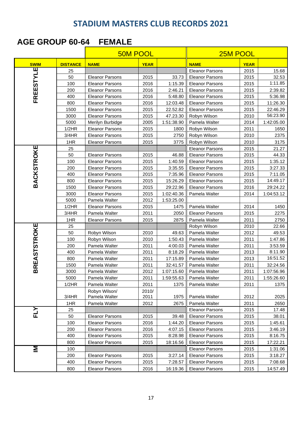#### **AGE GROUP 60-64 FEMALE**

| <b>50M POOL</b>     |                 |                        |             | 25M POOL   |                        |             |            |
|---------------------|-----------------|------------------------|-------------|------------|------------------------|-------------|------------|
| <b>SWIM</b>         | <b>DISTANCE</b> | <b>NAME</b>            | <b>YEAR</b> |            | <b>NAME</b>            | <b>YEAR</b> |            |
|                     | 25              |                        |             |            | <b>Eleanor Parsons</b> | 2015        | 15.68      |
| FREESTYLE           | 50              | <b>Eleanor Parsons</b> | 2015        | 33.73      | <b>Eleanor Parsons</b> | 2015        | 32.53      |
|                     | 100             | <b>Eleanor Parsons</b> | 2016        | 1:15.39    | <b>Eleanor Parsons</b> | 2015        | 1:11.85    |
|                     | 200             | <b>Eleanor Parsons</b> | 2016        | 2:46.21    | <b>Eleanor Parsons</b> | 2015        | 2:39.82    |
|                     | 400             | <b>Eleanor Parsons</b> | 2016        | 5:48.80    | <b>Eleanor Parsons</b> | 2015        | 5:36.98    |
|                     | 800             | <b>Eleanor Parsons</b> | 2016        | 12:03.48   | <b>Eleanor Parsons</b> | 2015        | 11:26.30   |
|                     | 1500            | <b>Eleanor Parsons</b> | 2015        | 22.52.82   | <b>Eleanor Parsons</b> | 2015        | 22:46.29   |
|                     | 3000            | <b>Eleanor Parsons</b> | 2015        | 47.23.30   | Robyn Wilson           | 2010        | 56:23.90   |
|                     | 5000            | Merilyn Burbidge       | 2005        | 1:51:38.90 | Pamela Walter          | 2014        | 1:42:05.00 |
|                     | 1/2HR           | <b>Eleanor Parsons</b> | 2015        | 1800       | Robyn Wilson           | 2011        | 1650       |
|                     | 3/4HR           | <b>Eleanor Parsons</b> | 2015        | 2750       | Robyn Wilson           | 2010        | 2375       |
|                     | 1HR             | <b>Eleanor Parsons</b> | 2015        | 3775       | Robyn Wilson           | 2010        | 3175       |
|                     | 25              |                        |             |            | <b>Eleanor Parsons</b> | 2015        | 21.27      |
|                     | 50              | <b>Eleanor Parsons</b> | 2015        | 46.88      | <b>Eleanor Parsons</b> | 2015        | 44.33      |
|                     | 100             | <b>Eleanor Parsons</b> | 2015        | 1:40.59    | <b>Eleanor Parsons</b> | 2015        | 1:35.12    |
|                     | 200             | <b>Eleanor Parsons</b> | 2015        | 3:35.55    | <b>Eleanor Parsons</b> | 2015        | 3:27.33    |
| <b>BACKSTROKE</b>   | 400             | <b>Eleanor Parsons</b> | 2015        | 7:35.96    | <b>Eleanor Parsons</b> | 2015        | 7:11.05    |
|                     | 800             | <b>Eleanor Parsons</b> | 2015        | 15:26.29   | <b>Eleanor Parsons</b> | 2015        | 14:49.17   |
|                     | 1500            | <b>Eleanor Parsons</b> | 2015        | 29:22.96   | <b>Eleanor Parsons</b> | 2016        | 29:24.22   |
|                     | 3000            | <b>Eleanor Parsons</b> | 2015        | 1:02:40.36 | Pamela Walter          | 2014        | 1:04:53.12 |
|                     | 5000            | Pamela Walter          | 2012        | 1:53:25.00 |                        |             |            |
|                     | 1/2HR           | <b>Eleanor Parsons</b> | 2015        | 1475       | Pamela Walter          | 2014        | 1450       |
|                     | 3/4HR           | Pamela Walter          | 2011        | 2050       | <b>Eleanor Parsons</b> | 2015        | 2275       |
|                     | 1HR             | <b>Eleanor Parsons</b> | 2015        | 2875       | Pamela Walter          | 2011        | 2750       |
| <b>BREASTSTROKE</b> | 25              |                        |             |            | Robyn Wilson           | 2010        | 22.66      |
|                     | 50              | Robyn Wilson           | 2010        | 49.63      | Pamela Walter          | 2012        | 49.53      |
|                     | 100             | Robyn Wilson           | 2010        | 1:50.43    | Pamela Walter          | 2011        | 1:47.86    |
|                     | 200             | Pamela Walter          | 2011        | 4:00.03    | Pamela Walter          | 2011        | 3:53.59    |
|                     | 400             | Pamela Walter          | 2011        | 8:18.29    | Pamela Walter          | 2013        | 8:11.90    |
|                     | 800             | Pamela Walter          | 2011        | 17:15.89   | Pamela Walter          | 2013        | 16:51.52   |
|                     | 1500            | Pamela Walter          | 2011        | 32:41.57   | Pamela Walter          | 2011        | 32:24.56   |
|                     | 3000            | Pamela Walter          | 2012        | 1:07:15.60 | Pamela Walter          | 2011        | 1:07:56.96 |
|                     | 5000            | Pamela Walter          | 2011        | 1:59:55.63 | Pamela Walter          | 2011        | 1:55:26.60 |
|                     | 1/2HR           | Pamela Walter          | 2011        | 1375       | Pamela Walter          | 2011        | 1375       |
|                     |                 | Robyn Wilson/          | 2010/       |            |                        |             |            |
|                     | 3/4HR           | Pamela Walter          | 2011        | 1975       | Pamela Walter          | 2012        | 2025       |
|                     | 1HR             | Pamela Walter          | 2012        | 2675       | Pamela Walter          | 2011        | 2650       |
| FLY                 | 25              |                        |             |            | <b>Eleanor Parsons</b> | 2015        | 17.48      |
|                     | 50              | <b>Eleanor Parsons</b> | 2015        | 39.48      | <b>Eleanor Parsons</b> | 2015        | 38.01      |
|                     | 100             | <b>Eleanor Parsons</b> | 2016        | 1:44.20    | <b>Eleanor Parsons</b> | 2015        | 1:45.61    |
|                     | 200             | <b>Eleanor Parsons</b> | 2016        | 4:07.15    | <b>Eleanor Parsons</b> | 2015        | 3:46.19    |
|                     | 400             | <b>Eleanor Parsons</b> | 2015        | 8:28.98    | <b>Eleanor Parsons</b> | 2015        | 8:16.75    |
|                     | 800             | <b>Eleanor Parsons</b> | 2015        | 18:16.56   | <b>Eleanor Parsons</b> | 2015        | 17:22.21   |
| IΜ                  | 100             |                        |             |            | <b>Eleanor Parsons</b> | 2015        | 1:31.06    |
|                     | 200             | <b>Eleanor Parsons</b> | 2015        | 3:27.14    | <b>Eleanor Parsons</b> | 2015        | 3:18.27    |
|                     | 400             | <b>Eleanor Parsons</b> | 2015        | 7:28.57    | <b>Eleanor Parsons</b> | 2015        | 7:08.68    |
|                     | 800             | <b>Eleanor Parsons</b> | 2016        | 16:19.36   | <b>Eleanor Parsons</b> | 2015        | 14:57.49   |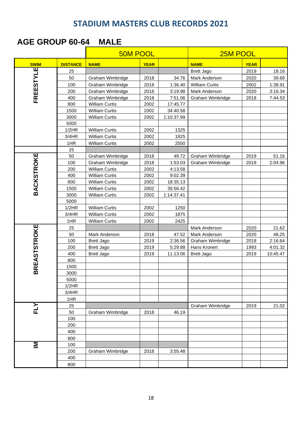#### **AGE GROUP 60-64 MALE**

|                     |                 | <b>50M POOL</b>       |              | 25M POOL            |                       |              |                    |
|---------------------|-----------------|-----------------------|--------------|---------------------|-----------------------|--------------|--------------------|
| <b>SWIM</b>         | <b>DISTANCE</b> | <b>NAME</b>           | <b>YEAR</b>  |                     | <b>NAME</b>           | <b>YEAR</b>  |                    |
|                     | 25              |                       |              |                     | <b>Brett Jago</b>     | 2019         | 18.16              |
| FREESTYLE           | 50              | Graham Wimbridge      | 2018         | 34.76               | Mark Anderson         | 2020         | 39.68              |
|                     | 100             | Graham Wimbridge      | 2018         | 1:36.40             | <b>William Curtis</b> | 2002         | 1:38.91            |
|                     | 200             | Graham Wimbridge      | 2018         | 3:19.98             | Mark Anderson         | 2020         | 3:16.34            |
|                     | 400             | Graham Wimbridge      | 2018         | 7:51.06             | Graham Wimbridge      | 2018         | 7:44.53            |
|                     | 800             | <b>William Curtis</b> | 2002         | 17:45.77            |                       |              |                    |
|                     | 1500            | <b>William Curtis</b> | 2002         | 34:40.58            |                       |              |                    |
|                     | 3000            | <b>William Curtis</b> | 2002         | 1:10:37.99          |                       |              |                    |
|                     | 5000            |                       |              |                     |                       |              |                    |
|                     | 1/2HR           | <b>William Curtis</b> | 2002         | 1325                |                       |              |                    |
|                     | 3/4HR           | <b>William Curtis</b> | 2002         | 1925                |                       |              |                    |
|                     | 1HR             | <b>William Curtis</b> | 2002         | 2550                |                       |              |                    |
|                     | 25              |                       |              |                     |                       |              |                    |
|                     | 50              | Graham Wimbridge      | 2018         | 49.72               | Graham Wimbridge      | 2019         | 51.16              |
|                     | 100             | Graham Wimbridge      | 2018         | 1:53.03             | Graham Wimbridge      | 2019         | 2:04.96            |
|                     | 200             | <b>William Curtis</b> | 2002         | 4:13.58             |                       |              |                    |
|                     | 400             | <b>William Curtis</b> | 2002         | 9:02.39             |                       |              |                    |
|                     | 800             | <b>William Curtis</b> | 2002         | 18:35.13            |                       |              |                    |
| <b>BACKSTROKE</b>   | 1500            | <b>William Curtis</b> | 2002         | 35:56.42            |                       |              |                    |
|                     | 3000            | <b>William Curtis</b> | 2002         | 1:14:37.41          |                       |              |                    |
|                     | 5000            |                       |              |                     |                       |              |                    |
|                     | 1/2HR           | <b>William Curtis</b> | 2002         | 1250                |                       |              |                    |
|                     | 3/4HR           | <b>William Curtis</b> | 2002         | 1875                |                       |              |                    |
|                     | 1HR             | <b>William Curtis</b> | 2002         | 2425                |                       |              |                    |
| <b>SREASTSTROKE</b> | 25              |                       |              |                     | Mark Anderson         | 2020         | 21.62              |
|                     | 50              | Mark Anderson         | 2018         | 47.52               | Mark Anderson         | 2020         | 48.25              |
|                     | 100             | <b>Brett Jago</b>     | 2019         | 2:36.56             | Graham Wimbridge      | 2018         | 2:16.64<br>4:01.32 |
|                     | 200<br>400      | <b>Brett Jago</b>     | 2019<br>2019 | 5:29.88<br>11:13.06 | Hans Kronert          | 1993<br>2019 | 10:45.47           |
|                     | 800             | Brett Jago            |              |                     | <b>Brett Jago</b>     |              |                    |
|                     | 1500            |                       |              |                     |                       |              |                    |
|                     | 3000            |                       |              |                     |                       |              |                    |
|                     | 5000            |                       |              |                     |                       |              |                    |
|                     | 1/2HR           |                       |              |                     |                       |              |                    |
|                     | 3/4HR           |                       |              |                     |                       |              |                    |
|                     | 1HR             |                       |              |                     |                       |              |                    |
|                     | 25              |                       |              |                     | Graham Wimbridge      | 2019         | 21.02              |
| FLY                 | 50              | Graham Wimbridge      | 2018         | 46.19               |                       |              |                    |
|                     | 100             |                       |              |                     |                       |              |                    |
|                     | 200             |                       |              |                     |                       |              |                    |
|                     | 400             |                       |              |                     |                       |              |                    |
|                     | 800             |                       |              |                     |                       |              |                    |
| Ξ                   | 100             |                       |              |                     |                       |              |                    |
|                     | 200             | Graham Wimbridge      | 2018         | 3:55.48             |                       |              |                    |
|                     | 400             |                       |              |                     |                       |              |                    |
|                     | 800             |                       |              |                     |                       |              |                    |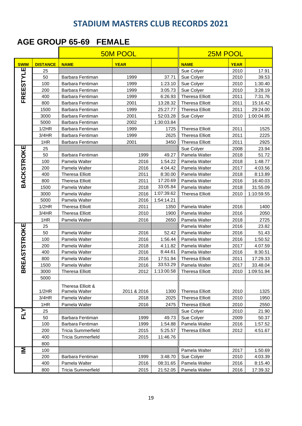#### **AGE GROUP 65-69 FEMALE**

|                     |                 |                                    | <b>50M POOL</b> |            | 25M POOL                     |             |            |  |
|---------------------|-----------------|------------------------------------|-----------------|------------|------------------------------|-------------|------------|--|
| <b>SWIM</b>         | <b>DISTANCE</b> | <b>NAME</b>                        | <b>YEAR</b>     |            | <b>NAME</b>                  | <b>YEAR</b> |            |  |
| щ                   | 25              |                                    |                 |            | Sue Colyer                   | 2010        | 17.91      |  |
|                     | 50              | Barbara Fentiman                   | 1999            | 37.71      | Sue Colyer                   | 2010        | 39.53      |  |
| <b>FREESTYL</b>     | 100             | Barbara Fentiman                   | 1999            | 1:23.10    | Sue Colyer                   | 2010        | 1:30.40    |  |
|                     | 200             | Barbara Fentiman                   | 1999            | 3:05.73    | Sue Colyer                   | 2010        | 3:28.19    |  |
|                     | 400             | Barbara Fentiman                   | 1999            | 6:26.93    | <b>Theresa Elliott</b>       | 2011        | 7:31.76    |  |
|                     | 800             | Barbara Fentiman                   | 2001            | 13:28.32   | <b>Theresa Elliott</b>       | 2011        | 15:16.42   |  |
|                     | 1500            | Barbara Fentiman                   | 1999            | 25:27.77   | <b>Theresa Elliott</b>       | 2011        | 29:24.00   |  |
|                     | 3000            | Barbara Fentiman                   | 2001            | 52:03.28   | Sue Colyer                   | 2010        | 1:00:04.85 |  |
|                     | 5000            | Barbara Fentiman                   | 2002            | 1:30:03.84 |                              |             |            |  |
|                     | 1/2HR           | Barbara Fentiman                   | 1999            | 1725       | <b>Theresa Elliott</b>       | 2011        | 1525       |  |
|                     | 3/4HR           | Barbara Fentiman                   | 1999            | 2625       | <b>Theresa Elliott</b>       | 2011        | 2225       |  |
|                     | 1HR             | Barbara Fentiman                   | 2001            | 3450       | <b>Theresa Elliott</b>       | 2011        | 2925       |  |
|                     | 25              |                                    |                 |            | Sue Colyer                   | 2008        | 23.94      |  |
| <b>BACKSTROKE</b>   | 50              | Barbara Fentiman                   | 1999            | 49.27      | Pamela Walter                | 2018        | 51.72      |  |
|                     | 100             | Pamela Walter                      | 2016            | 1:54.22    | Pamela Walter                | 2018        | 1:48.77    |  |
|                     | 200             | Pamela Walter                      | 2016            | 4:04.42    | Pamela Walter                | 2017        | 4:03.56    |  |
|                     | 400             | <b>Theresa Elliott</b>             | 2011            | 8:30.00    | Pamela Walter                | 2018        | 8:13.89    |  |
|                     | 800             | <b>Theresa Elliott</b>             | 2011            | 17:20.69   | Pamela Walter                | 2016        | 16:40.03   |  |
|                     | 1500            | Pamela Walter                      | 2018            | 33:05.84   | Pamela Walter                | 2018        | 31:55.09   |  |
|                     | 3000            | Pamela Walter                      | 2016            | 1:07:39.62 | <b>Theresa Elliott</b>       | 2010        | 1:10:59.55 |  |
|                     | 5000            | Pamela Walter                      | 2016            | 1:54:14.21 |                              |             |            |  |
|                     | 1/2HR           | <b>Theresa Elliott</b>             | 2011            | 1350       | Pamela Walter                | 2016        | 1400       |  |
|                     | 3/4HR           | <b>Theresa Elliott</b>             | 2010            | 1900       | Pamela Walter                | 2016        | 2050       |  |
|                     | 1HR             | Pamela Walter                      | 2016            | 2650       | Pamela Walter                | 2018        | 2725       |  |
| <b>BREASTSTROKE</b> | 25              |                                    |                 |            | Pamela Walter                | 2016        | 23.82      |  |
|                     | 50              | Pamela Walter                      | 2016            | 52.42      | Pamela Walter                | 2016        | 51.43      |  |
|                     | 100             | Pamela Walter                      | 2016            | 1:56.44    | Pamela Walter                | 2016        | 1:50.52    |  |
|                     | 200             | Pamela Walter                      | 2018            | 4:11.82    | Pamela Walter                | 2017        | 4.07.59    |  |
|                     | 400             | Pamela Walter                      | 2016            | 8:44.61    | Pamela Walter                | 2016        | 8:30.51    |  |
|                     | 800             | Pamela Walter                      | 2016            | 17:51.94   | <b>Theresa Elliott</b>       | 2011        | 17:29.33   |  |
|                     | 1500            | Pamela Walter                      | 2016            | 33:53.29   | Pamela Walter                | 2017        | 33.48.04   |  |
|                     | 3000            | <b>Theresa Elliott</b>             | 2012            |            | 1:13:00.58   Theresa Elliott | 2010        | 1:09:51.94 |  |
|                     | 5000            |                                    |                 |            |                              |             |            |  |
|                     | 1/2HR           | Theresa Elliott &<br>Pamela Walter | 2011 & 2016     | 1300       | <b>Theresa Elliott</b>       | 2010        | 1325       |  |
|                     | 3/4HR           | Pamela Walter                      | 2018            | 2025       | <b>Theresa Elliott</b>       | 2010        | 1950       |  |
|                     | 1HR             | Pamela Walter                      | 2016            | 2475       | <b>Theresa Elliott</b>       | 2010        | 2550       |  |
|                     | 25              |                                    |                 |            | Sue Colyer                   | 2010        | 21.90      |  |
| FLY                 | 50              | Barbara Fentiman                   | 1999            | 49.73      | Sue Colyer                   | 2009        | 50.37      |  |
|                     | 100             | Barbara Fentiman                   | 1999            | 1:54.88    | Pamela Walter                | 2016        | 1:57.52    |  |
|                     | 200             | <b>Tricia Summerfield</b>          | 2015            | 5:25.57    | <b>Theresa Elliott</b>       | 2012        | 4:51.67    |  |
|                     | 400             | <b>Tricia Summerfield</b>          | 2015            | 11:46.76   |                              |             |            |  |
|                     | 800             |                                    |                 |            |                              |             |            |  |
| IΜ                  | 100             |                                    |                 |            | Pamela Walter                | 2017        | 1.50.69    |  |
|                     | 200             | Barbara Fentiman                   | 1999            | 3:48.70    | Sue Colyer                   | 2010        | 4:03.39    |  |
|                     | 400             | Pamela Walter                      | 2016            | 08:31.65   | Pamela Walter                | 2016        | 8:15.40    |  |
|                     | 800             | <b>Tricia Summerfield</b>          | 2015            | 21:52.05   | Pamela Walter                | 2016        | 17:39.32   |  |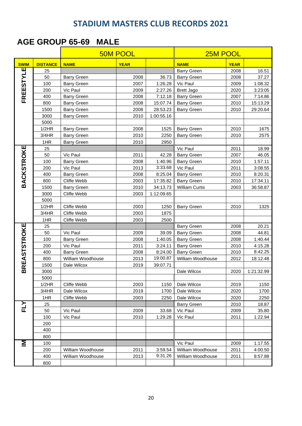#### **AGE GROUP 65-69 MALE**

|                     |                 |                    | <b>50M POOL</b> | 25M POOL   |                       |             |            |
|---------------------|-----------------|--------------------|-----------------|------------|-----------------------|-------------|------------|
| <b>SWIM</b>         | <b>DISTANCE</b> | <b>NAME</b>        | <b>YEAR</b>     |            | <b>NAME</b>           | <b>YEAR</b> |            |
|                     | 25              |                    |                 |            | <b>Barry Green</b>    | 2008        | 16.51      |
| FREESTYLE           | 50              | <b>Barry Green</b> | 2008            | 36.73      | <b>Barry Green</b>    | 2008        | 37.27      |
|                     | 100             | <b>Barry Green</b> | 2007            | 1:26.28    | Vic Paul              | 2009        | 1:08.32    |
|                     | 200             | Vic Paul           | 2009            | 2:27.26    | <b>Brett Jago</b>     | 2020        | 3:23:05    |
|                     | 400             | <b>Barry Green</b> | 2008            | 7:12.18    | <b>Barry Green</b>    | 2007        | 7:14.86    |
|                     | 800             | <b>Barry Green</b> | 2008            | 15:07.74   | <b>Barry Green</b>    | 2010        | 15:13.29   |
|                     | 1500            | <b>Barry Green</b> | 2008            | 28:53.23   | <b>Barry Green</b>    | 2010        | 29:20.64   |
|                     | 3000            | <b>Barry Green</b> | 2010            | 1:00:55.16 |                       |             |            |
|                     | 5000            |                    |                 |            |                       |             |            |
|                     | 1/2HR           | <b>Barry Green</b> | 2008            | 1525       | <b>Barry Green</b>    | 2010        | 1675       |
|                     | 3/4HR           | <b>Barry Green</b> | 2010            | 2250       | <b>Barry Green</b>    | 2010        | 2575       |
|                     | 1HR             | <b>Barry Green</b> | 2010            | 2950       |                       |             |            |
|                     | 25              |                    |                 |            | Vic Paul              | 2011        | 18.99      |
|                     | 50              | Vic Paul           | 2011            | 42.28      | <b>Barry Green</b>    | 2007        | 46.05      |
|                     | 100             | <b>Barry Green</b> | 2008            | 1:40.96    | <b>Barry Green</b>    | 2010        | 1:57.11    |
|                     | 200             | Vic Paul           | 2013            | 3:33.68    | Vic Paul              | 2011        | 3:08.55    |
|                     | 400             | <b>Barry Green</b> | 2008            | 8:25.04    | <b>Barry Green</b>    | 2010        | 8:20.31    |
| <b>BACKSTROKE</b>   | 800             | Cliffe Webb        | 2003            | 17:35.82   | <b>Barry Green</b>    | 2010        | 17:34.11   |
|                     | 1500            | <b>Barry Green</b> | 2010            | 34:13.73   | <b>William Curtis</b> | 2003        | 36:58.87   |
|                     | 3000            | Cliffe Webb        | 2003            | 1:12:09.65 |                       |             |            |
|                     | 5000            |                    |                 |            |                       |             |            |
|                     | 1/2HR           | Cliffe Webb        | 2003            | 1250       | <b>Barry Green</b>    | 2010        | 1325       |
|                     | 3/4HR           | Cliffe Webb        | 2003            | 1875       |                       |             |            |
|                     | 1HR             | Cliffe Webb        | 2003            | 2500       |                       |             |            |
| <b>BREASTSTROKE</b> | 25              |                    |                 |            | <b>Barry Green</b>    | 2008        | 20.21      |
|                     | 50              | Vic Paul           | 2009            | 39.09      | <b>Barry Green</b>    | 2008        | 44.81      |
|                     | 100             | <b>Barry Green</b> | 2008            | 1:40.05    | <b>Barry Green</b>    | 2008        | 1:40.44    |
|                     | 200             | Vic Paul           | 2011            | 3:24.11    | <b>Barry Green</b>    | 2010        | 4:15.28    |
|                     | 400             | <b>Barry Green</b> | 2008            | 8:24.00    | <b>Barry Green</b>    | 2010        | 8:42.25    |
|                     | 800             | William Woodhouse  | 2013            | 19:00.87   | William Woodhouse     | 2012        | 18:12.48   |
|                     | 1500            | Dale Wilcox        | 2019            | 39:07.71   |                       |             |            |
|                     | 3000            |                    |                 |            | Dale Wilcox           | 2020        | 1:21:32.99 |
|                     | 5000            |                    |                 |            |                       |             |            |
|                     | 1/2HR           | Cliffe Webb        | 2003            | 1150       | Dale Wilcox           | 2019        | 1150       |
|                     | 3/4HR           | Dale Wilcox        | 2019            | 1700       | Dale Wilcox           | 2020        | 1700       |
|                     | 1HR             | Cliffe Webb        | 2003            | 2250       | Dale Wilcox           | 2020        | 2250       |
| <b>FLY</b>          | 25              |                    |                 |            | <b>Barry Green</b>    | 2010        | 18.87      |
|                     | 50              | Vic Paul           | 2009            | 33.68      | Vic Paul              | 2009        | 35.80      |
|                     | 100             | Vic Paul           | 2010            | 1:29.28    | Vic Paul              | 2011        | 1:22.94    |
|                     | 200             |                    |                 |            |                       |             |            |
|                     | 400             |                    |                 |            |                       |             |            |
|                     | 800             |                    |                 |            |                       |             |            |
| М                   | 100             |                    |                 |            | Vic Paul              | 2009        | 1:17.55    |
|                     | 200             | William Woodhouse  | 2011            | 3:59.54    | William Woodhouse     | 2011        | 4:00.50    |
|                     | 400             | William Woodhouse  | 2013            | 9:31.26    | William Woodhouse     | 2011        | 8:57.88    |
|                     | 800             |                    |                 |            |                       |             |            |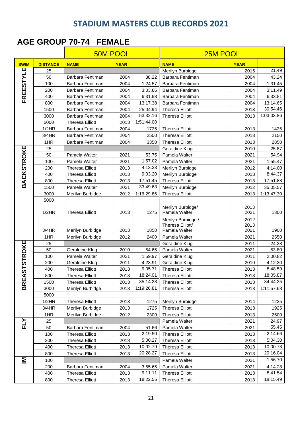#### **AGE GROUP 70-74 FEMALE**

|                   |                 | <b>50M POOL</b>        |             |            | 25M POOL                          |              |                |  |
|-------------------|-----------------|------------------------|-------------|------------|-----------------------------------|--------------|----------------|--|
| <b>SWIM</b>       | <b>DISTANCE</b> | <b>NAME</b>            | <b>YEAR</b> |            | <b>NAME</b>                       | <b>YEAR</b>  |                |  |
|                   | 25              |                        |             |            | Merilyn Burbidge                  | 2015         | 21.49          |  |
| FREESTYLE         | 50              | Barbara Fentiman       | 2004        | 38.22      | Barbara Fentiman                  | 2004         | 43.24          |  |
|                   | 100             | Barbara Fentiman       | 2004        | 1:24.57    | Barbara Fentiman                  | 2004         | 1:31.45        |  |
|                   | 200             | Barbara Fentiman       | 2004        | 3:03.86    | Barbara Fentiman                  | 2004         | 3:11.49        |  |
|                   | 400             | Barbara Fentiman       | 2004        | 6:31.98    | Barbara Fentiman                  | 2004         | 6:33.81        |  |
|                   | 800             | Barbara Fentiman       | 2004        | 13:17.38   | Barbara Fentiman                  | 2004         | 13:14.65       |  |
|                   | 1500            | Barbara Fentiman       | 2004        | 25:04.94   | <b>Theresa Elliott</b>            | 2013         | 30:54.46       |  |
|                   | 3000            | Barbara Fentiman       | 2004        | 53:32.16   | <b>Theresa Elliott</b>            | 2013         | 1:03:03.86     |  |
|                   | 5000            | <b>Theresa Elliott</b> | 2013        | 1:51:44.00 |                                   |              |                |  |
|                   | 1/2HR           | Barbara Fentiman       | 2004        | 1725       | <b>Theresa Elliott</b>            | 2013         | 1425           |  |
|                   | 3/4HR           | Barbara Fentiman       | 2004        | 2500       | <b>Theresa Elliott</b>            | 2013         | 2150           |  |
|                   | 1HR             | Barbara Fentiman       | 2004        | 3350       | <b>Theresa Elliott</b>            | 2013         | 2850           |  |
|                   | 25              |                        |             |            | Geraldine Klug                    | 2010         | 25.87          |  |
| <b>BACKSTROKE</b> | 50              | Pamela Walter          | 2021        | 53.75      | Pamela Walter                     | 2021         | 54.94          |  |
|                   | 100             | Pamela Walter          | 2021        | 1:57.02    | Pamela Walter                     | 2021         | 1:55.47        |  |
|                   | 200             | <b>Theresa Elliott</b> | 2013        | 4:13.33    | Merilyn Burbidge                  | 2012         | 4:14.00        |  |
|                   | 400             | <b>Theresa Elliott</b> | 2013        | 9:03.20    | Merilyn Burbidge                  | 2013         | 8:44.37        |  |
|                   | 800             | <b>Theresa Elliott</b> | 2013        | 17:51.45   | <b>Theresa Elliott</b>            | 2013         | 17:51.88       |  |
|                   | 1500            | Pamela Walter          | 2021        | 33.49.63   | Merilyn Burbidge                  | 2012         | 35:05.57       |  |
|                   | 3000            | Merilyn Burbidge       | 2012        | 1:16:29.86 | <b>Theresa Elliott</b>            | 2013         | 1:13:47.30     |  |
|                   | 5000            |                        |             |            |                                   |              |                |  |
|                   |                 |                        |             |            | Merilyn Burbidge/                 | 2013         |                |  |
|                   | 1/2HR           | <b>Theresa Elliott</b> | 2013        | 1275       | Pamela Walter                     | 2021         | 1300           |  |
|                   |                 |                        |             |            | Merilyn Burbidge /                | 2012         |                |  |
|                   |                 |                        |             |            | Theresa Elliott/<br>Pamela Walter | 2013         |                |  |
|                   | 3/4HR           | Merilyn Burbidge       | 2013        | 1850       |                                   | 2021         | 1900           |  |
|                   | 1HR             | Merilyn Burbidge       | 2012        | 2400       | Pamela Walter                     | 2021         | 2550           |  |
|                   | 25<br>50        | Geraldine Klug         | 2010        | 54.65      | Geraldine Klug<br>Pamela Walter   | 2011<br>2021 | 24.28<br>53.80 |  |
|                   | 100             | Pamela Walter          | 2021        | 1:59.97    | Geraldine Klug                    | 2011         | 2:00.82        |  |
|                   | 200             | Geraldine Klug         | 2011        | 4:23.91    | Geraldine Klug                    | 2010         | 4:12.30        |  |
| <b>STSTROKE</b>   | 400             | <b>Theresa Elliott</b> | 2013        | 9:05.71    | <b>Theresa Elliott</b>            | 2013         | 8:48.59        |  |
|                   | 800             | <b>Theresa Elliott</b> | 2013        | 18:24.01   | <b>Theresa Elliott</b>            | 2013         | 18:05.87       |  |
| <b>BREA</b>       | 1500            | <b>Theresa Elliott</b> | 2013        | 35:14.28   | <b>Theresa Elliott</b>            | 2013         | 34:44.25       |  |
|                   | 3000            | Merilyn Burbidge       | 2013        | 1:19:26.81 | <b>Theresa Elliott</b>            | 2013         | 1:11:57.68     |  |
|                   | 5000            |                        |             |            |                                   |              |                |  |
|                   | 1/2HR           | <b>Theresa Elliott</b> | 2013        | 1275       | Merilyn Burbidge                  | 2014         | 1225           |  |
|                   | 3/4HR           | Merilyn Burbidge       | 2013        | 1725       | <b>Theresa Elliott</b>            | 2013         | 1925           |  |
|                   | 1HR             | Merilyn Burbidge       | 2012        | 2300       | <b>Theresa Elliott</b>            | 2013         | 2500           |  |
|                   | 25              |                        |             |            | Pamela Walter                     | 2021         | 24.97          |  |
| FLY               | 50              | Barbara Fentiman       | 2004        | 51.66      | Pamela Walter                     | 2021         | 55.45          |  |
|                   | 100             | <b>Theresa Elliott</b> | 2013        | 2:19.50    | <b>Theresa Elliott</b>            | 2013         | 2:14.66        |  |
|                   | 200             | <b>Theresa Elliott</b> | 2013        | 5:00.27    | <b>Theresa Elliott</b>            | 2013         | 5:04.30        |  |
|                   | 400             | <b>Theresa Elliott</b> | 2013        | 10:02.79   | <b>Theresa Elliott</b>            | 2013         | 10:00.73       |  |
|                   | 800             | <b>Theresa Elliott</b> | 2013        | 20:28.27   | <b>Theresa Elliott</b>            | 2013         | 20:16.04       |  |
| 홀                 | 100             |                        |             |            | Pamela Walter                     | 2021         | 1:56.70        |  |
|                   | 200             | Barbara Fentiman       | 2004        | 3:55.65    | Pamela Walter                     | 2021         | 4:14.28        |  |
|                   | 400             | <b>Theresa Elliott</b> | 2013        | 9:11.11    | <b>Theresa Elliott</b>            | 2013         | 8:41.54        |  |
|                   | 800             | <b>Theresa Elliott</b> | 2013        | 18:22.55   | <b>Theresa Elliott</b>            | 2013         | 18:15.49       |  |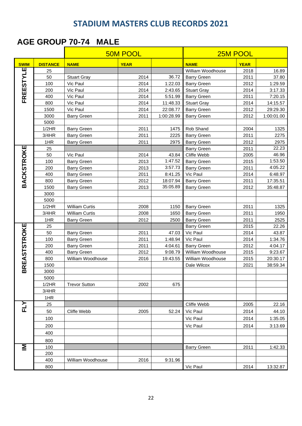#### **AGE GROUP 70-74 MALE**

| AGE GROUP 70-74<br>MALE |                 |                                         |                 |                    |                                         |              |                     |  |  |  |
|-------------------------|-----------------|-----------------------------------------|-----------------|--------------------|-----------------------------------------|--------------|---------------------|--|--|--|
|                         |                 |                                         | <b>50M POOL</b> |                    |                                         | 25M POOL     |                     |  |  |  |
| <b>SWIM</b>             | <b>DISTANCE</b> | <b>NAME</b>                             | <b>YEAR</b>     |                    | <b>NAME</b>                             | <b>YEAR</b>  |                     |  |  |  |
|                         | 25              |                                         |                 |                    | William Woodhouse                       | 2018         | 16.89               |  |  |  |
|                         | 50              | <b>Stuart Gray</b>                      | 2014            | 36.72              | <b>Barry Green</b>                      | 2011         | 37.80               |  |  |  |
| FREESTYLE               | 100             | Vic Paul                                | 2014            | 1:22.03            | <b>Barry Green</b>                      | 2012         | 1:29.59             |  |  |  |
|                         | 200             | Vic Paul                                | 2014            | 2:43.65            | <b>Stuart Gray</b>                      | 2014         | 3:17.33             |  |  |  |
|                         | 400             | Vic Paul                                | 2014            | 5:51.99            | <b>Barry Green</b>                      | 2011         | 7:20.15             |  |  |  |
|                         | 800             | Vic Paul                                | 2014            | 11:48.33           | <b>Stuart Gray</b>                      | 2014         | 14:15.57            |  |  |  |
|                         | 1500            | Vic Paul                                | 2014            | 22:08.77           | <b>Barry Green</b>                      | 2012         | 29:29.30            |  |  |  |
|                         | 3000            | <b>Barry Green</b>                      | 2011            | 1:00:28.99         | <b>Barry Green</b>                      | 2012         | 1:00:01.00          |  |  |  |
|                         | 5000            |                                         |                 |                    |                                         |              |                     |  |  |  |
|                         | 1/2HR           | <b>Barry Green</b>                      | 2011            | 1475               | Rob Shand                               | 2004         | 1325                |  |  |  |
|                         | 3/4HR           | <b>Barry Green</b>                      | 2011            | 2225               | <b>Barry Green</b>                      | 2011         | 2275                |  |  |  |
|                         | 1HR             | <b>Barry Green</b>                      | 2011            | 2975               | <b>Barry Green</b>                      | 2012         | 2975                |  |  |  |
| <b>BACKSTROKE</b>       | 25              |                                         |                 |                    | <b>Barry Green</b>                      | 2011         | 22.23               |  |  |  |
|                         | 50              | Vic Paul                                | 2014            | 43.84              | Cliffe Webb                             | 2005         | 46.96               |  |  |  |
|                         | 100             | <b>Barry Green</b>                      | 2013            | 1:47.52            | <b>Barry Green</b>                      | 2015         | 1:53.50             |  |  |  |
|                         | 200             | <b>Barry Green</b>                      | 2013            | 3:57.73            | <b>Barry Green</b>                      | 2011         | 4:05.22             |  |  |  |
|                         | 400             | <b>Barry Green</b>                      | 2011            | 8:41.25            | Vic Paul                                | 2014         | 6:48.97             |  |  |  |
|                         | 800             | <b>Barry Green</b>                      | 2012            | 18:07.94           | <b>Barry Green</b>                      | 2011         | 17:35.51            |  |  |  |
|                         | 1500            | <b>Barry Green</b>                      | 2013            | 35:05.89           | <b>Barry Green</b>                      | 2012         | 35:48.87            |  |  |  |
|                         | 3000            |                                         |                 |                    |                                         |              |                     |  |  |  |
|                         | 5000            |                                         |                 |                    |                                         |              |                     |  |  |  |
|                         | 1/2HR           | <b>William Curtis</b>                   | 2008            | 1150               | <b>Barry Green</b>                      | 2011         | 1325                |  |  |  |
|                         | 3/4HR           | <b>William Curtis</b>                   | 2008            | 1650               | <b>Barry Green</b>                      | 2011         | 1950                |  |  |  |
|                         | 1HR             | <b>Barry Green</b>                      | 2012            | 2500               | <b>Barry Green</b>                      | 2011         | 2525                |  |  |  |
| <b>REASTSTROKE</b>      | 25              |                                         |                 |                    | <b>Barry Green</b>                      | 2015         | 22.26               |  |  |  |
|                         | 50              | <b>Barry Green</b>                      | 2011            | 47.03              | Vic Paul                                | 2014         | 43.87               |  |  |  |
|                         | 100             | <b>Barry Green</b>                      | 2011            | 1:48.94            | Vic Paul                                | 2014         | 1:34.76             |  |  |  |
|                         | 200<br>400      | <b>Barry Green</b>                      | 2011<br>2012    | 4:04.61<br>9:08.79 | <b>Barry Green</b><br>William Woodhouse | 2012         | 4:04.17             |  |  |  |
|                         | 800             | <b>Barry Green</b><br>William Woodhouse | 2016            |                    | William Woodhouse                       | 2015         | 9:23.67<br>20:30.17 |  |  |  |
|                         | 1500            |                                         |                 | 19:43.55           | Dale Wilcox                             | 2015<br>2021 | 38:59.34            |  |  |  |
| 靣                       | 3000            |                                         |                 |                    |                                         |              |                     |  |  |  |
|                         | 5000            |                                         |                 |                    |                                         |              |                     |  |  |  |
|                         | 1/2HR           | <b>Trevor Sutton</b>                    | 2002            | 675                |                                         |              |                     |  |  |  |
|                         | 3/4HR           |                                         |                 |                    |                                         |              |                     |  |  |  |
|                         | 1HR             |                                         |                 |                    |                                         |              |                     |  |  |  |
|                         | 25              |                                         |                 |                    | Cliffe Webb                             | 2005         | 22.16               |  |  |  |
| FLY                     | 50              | Cliffe Webb                             | 2005            | 52.24              | Vic Paul                                | 2014         | 44.10               |  |  |  |
|                         | 100             |                                         |                 |                    | Vic Paul                                | 2014         | 1:35.05             |  |  |  |
|                         |                 |                                         |                 |                    |                                         |              |                     |  |  |  |
|                         | 200             |                                         |                 |                    | Vic Paul                                | 2014         | 3:13.69             |  |  |  |
|                         | 400             |                                         |                 |                    |                                         |              |                     |  |  |  |
|                         | 800             |                                         |                 |                    |                                         |              |                     |  |  |  |
| Σ                       | 100             |                                         |                 |                    | <b>Barry Green</b>                      | 2011         | 1:42.33             |  |  |  |
|                         | 200             |                                         |                 |                    |                                         |              |                     |  |  |  |
|                         | 400             | William Woodhouse                       | 2016            | 9:31.96            |                                         |              |                     |  |  |  |
|                         | 800             |                                         |                 |                    | Vic Paul                                | 2014         | 13:32.87            |  |  |  |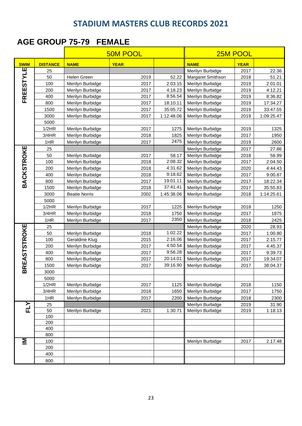#### **AGE GROUP 75-79 FEMALE**

| <b>SWIM</b><br><b>DISTANCE</b><br><b>NAME</b><br><b>YEAR</b><br><b>NAME</b><br><b>YEAR</b><br>Ш<br>Merilyn Burbidge<br>22.36<br>2017<br>25<br><b>FREESTYL</b><br>50<br>Helen Green<br>2019<br>52.22<br>Margaret Smithson<br>2018<br>51.21<br>100<br>2017<br>2:03.15<br>Merilyn Burbidge<br>2019<br>2:01.01<br>Merilyn Burbidge<br>200<br>Merilyn Burbidge<br>2017<br>4:18.23<br>Merilyn Burbidge<br>2019<br>4:12.21<br>8:56.54<br>400<br>Merilyn Burbidge<br>2019<br>Merilyn Burbidge<br>2017<br>8:36.82<br>800<br>Merilyn Burbidge<br>2017<br>18:10.11<br>Merilyn Burbidge<br>2019<br>17:34.27<br>2017<br>35:05.72<br>2019<br>1500<br>Merilyn Burbidge<br>Merilyn Burbidge<br>33:47.55<br>3000<br>2017<br>1:12:48.06<br>Merilyn Burbidge<br>2019<br>1:09:25.47<br>Merilyn Burbidge<br>5000<br>1/2HR<br>2017<br>1275<br>Merilyn Burbidge<br>2019<br>1325<br>Merilyn Burbidge<br>2017<br>3/4HR<br>2018<br>1825<br>1950<br>Merilyn Burbidge<br>Merilyn Burbidge<br>2475<br>1HR<br>2017<br>Merilyn Burbidge<br>2019<br>2600<br>Merilyn Burbidge<br><b>BACKSTROKE</b><br>2017<br>25<br>Merilyn Burbidge<br>27.86<br>50<br>Merilyn Burbidge<br>58.99<br>Merilyn Burbidge<br>2017<br>58.17<br>2018<br>2:08.32<br>100<br>Merilyn Burbidge<br>2018<br>Merilyn Burbidge<br>2017<br>2:04.50<br>4:31.62<br>200<br>2018<br>Merilyn Burbidge<br>2020<br>4:44.43<br>Merilyn Burbidge<br>9:18.62<br>400<br>2017<br>2018<br>Merilyn Burbidge<br>9:00.87<br>Merilyn Burbidge<br>19:01.11<br>800<br>Merilyn Burbidge<br>2017<br>Merilyn Burbidge<br>2017<br>18:22.34<br>37:41.41<br>1500<br>Merilyn Burbidge<br>2017<br>35:55.83<br>Merilyn Burbidge<br>2018<br>3000<br>2002<br>1:45:38.06<br>2018<br>1:14:25.61<br><b>Beatie Norris</b><br>Merilyn Burbidge<br>5000<br>2017<br>2018<br>1250<br>1/2HR<br>Merilyn Burbidge<br>1225<br>Merilyn Burbidge<br>3/4HR<br>2018<br>Merilyn Burbidge<br>2017<br>1875<br>Merilyn Burbidge<br>1750<br>2350<br>1HR<br>Merilyn Burbidge<br>2017<br>Merilyn Burbidge<br>2018<br>2425<br><b>BREASTSTROKE</b><br>25<br>Merilyn Burbidge<br>2020<br>28.93<br>1:02.22<br>50<br>2018<br>Merilyn Burbidge<br>2017<br>Merilyn Burbidge<br>1:00.80<br>2:16.06<br>100<br>2015<br>Merilyn Burbidge<br>2017<br>2:15.77<br>Geraldine Klug<br>4:50.54<br>2017<br>2017<br>200<br>Merilyn Burbidge<br>Merilyn Burbidge<br>4:45.37<br>9:56.28<br>400<br>Merilyn Burbidge<br>2017<br>Merilyn Burbidge<br>2017<br>9:39.73<br>20:14.01<br>800<br>Merilyn Burbidge<br>2017<br>Merilyn Burbidge<br>2017<br>19:34.07<br>39:16.90<br>1500<br>2017<br>Merilyn Burbidge<br>Merilyn Burbidge<br>2017<br>38:04.37<br>3000<br>5000<br>1/2HR<br>2017<br>2018<br>Merilyn Burbidge<br>1125<br>Merilyn Burbidge<br>1150<br>2018<br>2017<br>3/4HR<br>Merilyn Burbidge<br>1650<br>Merilyn Burbidge<br>1750<br>2018<br>1HR<br>Merilyn Burbidge<br>2017<br>2200<br>Merilyn Burbidge<br>2300<br>FLY<br>25<br>Merilyn Burbidge<br>2019<br>31.90<br>50<br>Merilyn Burbidge<br>Merilyn Burbidge<br>2021<br>1:30.71<br>2019<br>1:18.13<br>100<br>200<br>400<br>800<br>Σ<br>2.17.48<br>Merilyn Burbidge<br>2017<br>100<br>200<br>400 |  |     | <b>50M POOL</b> | 25M POOL |  |  |  |
|-----------------------------------------------------------------------------------------------------------------------------------------------------------------------------------------------------------------------------------------------------------------------------------------------------------------------------------------------------------------------------------------------------------------------------------------------------------------------------------------------------------------------------------------------------------------------------------------------------------------------------------------------------------------------------------------------------------------------------------------------------------------------------------------------------------------------------------------------------------------------------------------------------------------------------------------------------------------------------------------------------------------------------------------------------------------------------------------------------------------------------------------------------------------------------------------------------------------------------------------------------------------------------------------------------------------------------------------------------------------------------------------------------------------------------------------------------------------------------------------------------------------------------------------------------------------------------------------------------------------------------------------------------------------------------------------------------------------------------------------------------------------------------------------------------------------------------------------------------------------------------------------------------------------------------------------------------------------------------------------------------------------------------------------------------------------------------------------------------------------------------------------------------------------------------------------------------------------------------------------------------------------------------------------------------------------------------------------------------------------------------------------------------------------------------------------------------------------------------------------------------------------------------------------------------------------------------------------------------------------------------------------------------------------------------------------------------------------------------------------------------------------------------------------------------------------------------------------------------------------------------------------------------------------------------------------------------------------------------------------------------------------------------------------------------------------------------------------------------------|--|-----|-----------------|----------|--|--|--|
|                                                                                                                                                                                                                                                                                                                                                                                                                                                                                                                                                                                                                                                                                                                                                                                                                                                                                                                                                                                                                                                                                                                                                                                                                                                                                                                                                                                                                                                                                                                                                                                                                                                                                                                                                                                                                                                                                                                                                                                                                                                                                                                                                                                                                                                                                                                                                                                                                                                                                                                                                                                                                                                                                                                                                                                                                                                                                                                                                                                                                                                                                                           |  |     |                 |          |  |  |  |
|                                                                                                                                                                                                                                                                                                                                                                                                                                                                                                                                                                                                                                                                                                                                                                                                                                                                                                                                                                                                                                                                                                                                                                                                                                                                                                                                                                                                                                                                                                                                                                                                                                                                                                                                                                                                                                                                                                                                                                                                                                                                                                                                                                                                                                                                                                                                                                                                                                                                                                                                                                                                                                                                                                                                                                                                                                                                                                                                                                                                                                                                                                           |  |     |                 |          |  |  |  |
|                                                                                                                                                                                                                                                                                                                                                                                                                                                                                                                                                                                                                                                                                                                                                                                                                                                                                                                                                                                                                                                                                                                                                                                                                                                                                                                                                                                                                                                                                                                                                                                                                                                                                                                                                                                                                                                                                                                                                                                                                                                                                                                                                                                                                                                                                                                                                                                                                                                                                                                                                                                                                                                                                                                                                                                                                                                                                                                                                                                                                                                                                                           |  |     |                 |          |  |  |  |
|                                                                                                                                                                                                                                                                                                                                                                                                                                                                                                                                                                                                                                                                                                                                                                                                                                                                                                                                                                                                                                                                                                                                                                                                                                                                                                                                                                                                                                                                                                                                                                                                                                                                                                                                                                                                                                                                                                                                                                                                                                                                                                                                                                                                                                                                                                                                                                                                                                                                                                                                                                                                                                                                                                                                                                                                                                                                                                                                                                                                                                                                                                           |  |     |                 |          |  |  |  |
|                                                                                                                                                                                                                                                                                                                                                                                                                                                                                                                                                                                                                                                                                                                                                                                                                                                                                                                                                                                                                                                                                                                                                                                                                                                                                                                                                                                                                                                                                                                                                                                                                                                                                                                                                                                                                                                                                                                                                                                                                                                                                                                                                                                                                                                                                                                                                                                                                                                                                                                                                                                                                                                                                                                                                                                                                                                                                                                                                                                                                                                                                                           |  |     |                 |          |  |  |  |
|                                                                                                                                                                                                                                                                                                                                                                                                                                                                                                                                                                                                                                                                                                                                                                                                                                                                                                                                                                                                                                                                                                                                                                                                                                                                                                                                                                                                                                                                                                                                                                                                                                                                                                                                                                                                                                                                                                                                                                                                                                                                                                                                                                                                                                                                                                                                                                                                                                                                                                                                                                                                                                                                                                                                                                                                                                                                                                                                                                                                                                                                                                           |  |     |                 |          |  |  |  |
|                                                                                                                                                                                                                                                                                                                                                                                                                                                                                                                                                                                                                                                                                                                                                                                                                                                                                                                                                                                                                                                                                                                                                                                                                                                                                                                                                                                                                                                                                                                                                                                                                                                                                                                                                                                                                                                                                                                                                                                                                                                                                                                                                                                                                                                                                                                                                                                                                                                                                                                                                                                                                                                                                                                                                                                                                                                                                                                                                                                                                                                                                                           |  |     |                 |          |  |  |  |
|                                                                                                                                                                                                                                                                                                                                                                                                                                                                                                                                                                                                                                                                                                                                                                                                                                                                                                                                                                                                                                                                                                                                                                                                                                                                                                                                                                                                                                                                                                                                                                                                                                                                                                                                                                                                                                                                                                                                                                                                                                                                                                                                                                                                                                                                                                                                                                                                                                                                                                                                                                                                                                                                                                                                                                                                                                                                                                                                                                                                                                                                                                           |  |     |                 |          |  |  |  |
|                                                                                                                                                                                                                                                                                                                                                                                                                                                                                                                                                                                                                                                                                                                                                                                                                                                                                                                                                                                                                                                                                                                                                                                                                                                                                                                                                                                                                                                                                                                                                                                                                                                                                                                                                                                                                                                                                                                                                                                                                                                                                                                                                                                                                                                                                                                                                                                                                                                                                                                                                                                                                                                                                                                                                                                                                                                                                                                                                                                                                                                                                                           |  |     |                 |          |  |  |  |
|                                                                                                                                                                                                                                                                                                                                                                                                                                                                                                                                                                                                                                                                                                                                                                                                                                                                                                                                                                                                                                                                                                                                                                                                                                                                                                                                                                                                                                                                                                                                                                                                                                                                                                                                                                                                                                                                                                                                                                                                                                                                                                                                                                                                                                                                                                                                                                                                                                                                                                                                                                                                                                                                                                                                                                                                                                                                                                                                                                                                                                                                                                           |  |     |                 |          |  |  |  |
|                                                                                                                                                                                                                                                                                                                                                                                                                                                                                                                                                                                                                                                                                                                                                                                                                                                                                                                                                                                                                                                                                                                                                                                                                                                                                                                                                                                                                                                                                                                                                                                                                                                                                                                                                                                                                                                                                                                                                                                                                                                                                                                                                                                                                                                                                                                                                                                                                                                                                                                                                                                                                                                                                                                                                                                                                                                                                                                                                                                                                                                                                                           |  |     |                 |          |  |  |  |
|                                                                                                                                                                                                                                                                                                                                                                                                                                                                                                                                                                                                                                                                                                                                                                                                                                                                                                                                                                                                                                                                                                                                                                                                                                                                                                                                                                                                                                                                                                                                                                                                                                                                                                                                                                                                                                                                                                                                                                                                                                                                                                                                                                                                                                                                                                                                                                                                                                                                                                                                                                                                                                                                                                                                                                                                                                                                                                                                                                                                                                                                                                           |  |     |                 |          |  |  |  |
|                                                                                                                                                                                                                                                                                                                                                                                                                                                                                                                                                                                                                                                                                                                                                                                                                                                                                                                                                                                                                                                                                                                                                                                                                                                                                                                                                                                                                                                                                                                                                                                                                                                                                                                                                                                                                                                                                                                                                                                                                                                                                                                                                                                                                                                                                                                                                                                                                                                                                                                                                                                                                                                                                                                                                                                                                                                                                                                                                                                                                                                                                                           |  |     |                 |          |  |  |  |
|                                                                                                                                                                                                                                                                                                                                                                                                                                                                                                                                                                                                                                                                                                                                                                                                                                                                                                                                                                                                                                                                                                                                                                                                                                                                                                                                                                                                                                                                                                                                                                                                                                                                                                                                                                                                                                                                                                                                                                                                                                                                                                                                                                                                                                                                                                                                                                                                                                                                                                                                                                                                                                                                                                                                                                                                                                                                                                                                                                                                                                                                                                           |  |     |                 |          |  |  |  |
|                                                                                                                                                                                                                                                                                                                                                                                                                                                                                                                                                                                                                                                                                                                                                                                                                                                                                                                                                                                                                                                                                                                                                                                                                                                                                                                                                                                                                                                                                                                                                                                                                                                                                                                                                                                                                                                                                                                                                                                                                                                                                                                                                                                                                                                                                                                                                                                                                                                                                                                                                                                                                                                                                                                                                                                                                                                                                                                                                                                                                                                                                                           |  |     |                 |          |  |  |  |
|                                                                                                                                                                                                                                                                                                                                                                                                                                                                                                                                                                                                                                                                                                                                                                                                                                                                                                                                                                                                                                                                                                                                                                                                                                                                                                                                                                                                                                                                                                                                                                                                                                                                                                                                                                                                                                                                                                                                                                                                                                                                                                                                                                                                                                                                                                                                                                                                                                                                                                                                                                                                                                                                                                                                                                                                                                                                                                                                                                                                                                                                                                           |  |     |                 |          |  |  |  |
|                                                                                                                                                                                                                                                                                                                                                                                                                                                                                                                                                                                                                                                                                                                                                                                                                                                                                                                                                                                                                                                                                                                                                                                                                                                                                                                                                                                                                                                                                                                                                                                                                                                                                                                                                                                                                                                                                                                                                                                                                                                                                                                                                                                                                                                                                                                                                                                                                                                                                                                                                                                                                                                                                                                                                                                                                                                                                                                                                                                                                                                                                                           |  |     |                 |          |  |  |  |
|                                                                                                                                                                                                                                                                                                                                                                                                                                                                                                                                                                                                                                                                                                                                                                                                                                                                                                                                                                                                                                                                                                                                                                                                                                                                                                                                                                                                                                                                                                                                                                                                                                                                                                                                                                                                                                                                                                                                                                                                                                                                                                                                                                                                                                                                                                                                                                                                                                                                                                                                                                                                                                                                                                                                                                                                                                                                                                                                                                                                                                                                                                           |  |     |                 |          |  |  |  |
|                                                                                                                                                                                                                                                                                                                                                                                                                                                                                                                                                                                                                                                                                                                                                                                                                                                                                                                                                                                                                                                                                                                                                                                                                                                                                                                                                                                                                                                                                                                                                                                                                                                                                                                                                                                                                                                                                                                                                                                                                                                                                                                                                                                                                                                                                                                                                                                                                                                                                                                                                                                                                                                                                                                                                                                                                                                                                                                                                                                                                                                                                                           |  |     |                 |          |  |  |  |
|                                                                                                                                                                                                                                                                                                                                                                                                                                                                                                                                                                                                                                                                                                                                                                                                                                                                                                                                                                                                                                                                                                                                                                                                                                                                                                                                                                                                                                                                                                                                                                                                                                                                                                                                                                                                                                                                                                                                                                                                                                                                                                                                                                                                                                                                                                                                                                                                                                                                                                                                                                                                                                                                                                                                                                                                                                                                                                                                                                                                                                                                                                           |  |     |                 |          |  |  |  |
|                                                                                                                                                                                                                                                                                                                                                                                                                                                                                                                                                                                                                                                                                                                                                                                                                                                                                                                                                                                                                                                                                                                                                                                                                                                                                                                                                                                                                                                                                                                                                                                                                                                                                                                                                                                                                                                                                                                                                                                                                                                                                                                                                                                                                                                                                                                                                                                                                                                                                                                                                                                                                                                                                                                                                                                                                                                                                                                                                                                                                                                                                                           |  |     |                 |          |  |  |  |
|                                                                                                                                                                                                                                                                                                                                                                                                                                                                                                                                                                                                                                                                                                                                                                                                                                                                                                                                                                                                                                                                                                                                                                                                                                                                                                                                                                                                                                                                                                                                                                                                                                                                                                                                                                                                                                                                                                                                                                                                                                                                                                                                                                                                                                                                                                                                                                                                                                                                                                                                                                                                                                                                                                                                                                                                                                                                                                                                                                                                                                                                                                           |  |     |                 |          |  |  |  |
|                                                                                                                                                                                                                                                                                                                                                                                                                                                                                                                                                                                                                                                                                                                                                                                                                                                                                                                                                                                                                                                                                                                                                                                                                                                                                                                                                                                                                                                                                                                                                                                                                                                                                                                                                                                                                                                                                                                                                                                                                                                                                                                                                                                                                                                                                                                                                                                                                                                                                                                                                                                                                                                                                                                                                                                                                                                                                                                                                                                                                                                                                                           |  |     |                 |          |  |  |  |
|                                                                                                                                                                                                                                                                                                                                                                                                                                                                                                                                                                                                                                                                                                                                                                                                                                                                                                                                                                                                                                                                                                                                                                                                                                                                                                                                                                                                                                                                                                                                                                                                                                                                                                                                                                                                                                                                                                                                                                                                                                                                                                                                                                                                                                                                                                                                                                                                                                                                                                                                                                                                                                                                                                                                                                                                                                                                                                                                                                                                                                                                                                           |  |     |                 |          |  |  |  |
|                                                                                                                                                                                                                                                                                                                                                                                                                                                                                                                                                                                                                                                                                                                                                                                                                                                                                                                                                                                                                                                                                                                                                                                                                                                                                                                                                                                                                                                                                                                                                                                                                                                                                                                                                                                                                                                                                                                                                                                                                                                                                                                                                                                                                                                                                                                                                                                                                                                                                                                                                                                                                                                                                                                                                                                                                                                                                                                                                                                                                                                                                                           |  |     |                 |          |  |  |  |
|                                                                                                                                                                                                                                                                                                                                                                                                                                                                                                                                                                                                                                                                                                                                                                                                                                                                                                                                                                                                                                                                                                                                                                                                                                                                                                                                                                                                                                                                                                                                                                                                                                                                                                                                                                                                                                                                                                                                                                                                                                                                                                                                                                                                                                                                                                                                                                                                                                                                                                                                                                                                                                                                                                                                                                                                                                                                                                                                                                                                                                                                                                           |  |     |                 |          |  |  |  |
|                                                                                                                                                                                                                                                                                                                                                                                                                                                                                                                                                                                                                                                                                                                                                                                                                                                                                                                                                                                                                                                                                                                                                                                                                                                                                                                                                                                                                                                                                                                                                                                                                                                                                                                                                                                                                                                                                                                                                                                                                                                                                                                                                                                                                                                                                                                                                                                                                                                                                                                                                                                                                                                                                                                                                                                                                                                                                                                                                                                                                                                                                                           |  |     |                 |          |  |  |  |
|                                                                                                                                                                                                                                                                                                                                                                                                                                                                                                                                                                                                                                                                                                                                                                                                                                                                                                                                                                                                                                                                                                                                                                                                                                                                                                                                                                                                                                                                                                                                                                                                                                                                                                                                                                                                                                                                                                                                                                                                                                                                                                                                                                                                                                                                                                                                                                                                                                                                                                                                                                                                                                                                                                                                                                                                                                                                                                                                                                                                                                                                                                           |  |     |                 |          |  |  |  |
|                                                                                                                                                                                                                                                                                                                                                                                                                                                                                                                                                                                                                                                                                                                                                                                                                                                                                                                                                                                                                                                                                                                                                                                                                                                                                                                                                                                                                                                                                                                                                                                                                                                                                                                                                                                                                                                                                                                                                                                                                                                                                                                                                                                                                                                                                                                                                                                                                                                                                                                                                                                                                                                                                                                                                                                                                                                                                                                                                                                                                                                                                                           |  |     |                 |          |  |  |  |
|                                                                                                                                                                                                                                                                                                                                                                                                                                                                                                                                                                                                                                                                                                                                                                                                                                                                                                                                                                                                                                                                                                                                                                                                                                                                                                                                                                                                                                                                                                                                                                                                                                                                                                                                                                                                                                                                                                                                                                                                                                                                                                                                                                                                                                                                                                                                                                                                                                                                                                                                                                                                                                                                                                                                                                                                                                                                                                                                                                                                                                                                                                           |  |     |                 |          |  |  |  |
|                                                                                                                                                                                                                                                                                                                                                                                                                                                                                                                                                                                                                                                                                                                                                                                                                                                                                                                                                                                                                                                                                                                                                                                                                                                                                                                                                                                                                                                                                                                                                                                                                                                                                                                                                                                                                                                                                                                                                                                                                                                                                                                                                                                                                                                                                                                                                                                                                                                                                                                                                                                                                                                                                                                                                                                                                                                                                                                                                                                                                                                                                                           |  |     |                 |          |  |  |  |
|                                                                                                                                                                                                                                                                                                                                                                                                                                                                                                                                                                                                                                                                                                                                                                                                                                                                                                                                                                                                                                                                                                                                                                                                                                                                                                                                                                                                                                                                                                                                                                                                                                                                                                                                                                                                                                                                                                                                                                                                                                                                                                                                                                                                                                                                                                                                                                                                                                                                                                                                                                                                                                                                                                                                                                                                                                                                                                                                                                                                                                                                                                           |  |     |                 |          |  |  |  |
|                                                                                                                                                                                                                                                                                                                                                                                                                                                                                                                                                                                                                                                                                                                                                                                                                                                                                                                                                                                                                                                                                                                                                                                                                                                                                                                                                                                                                                                                                                                                                                                                                                                                                                                                                                                                                                                                                                                                                                                                                                                                                                                                                                                                                                                                                                                                                                                                                                                                                                                                                                                                                                                                                                                                                                                                                                                                                                                                                                                                                                                                                                           |  |     |                 |          |  |  |  |
|                                                                                                                                                                                                                                                                                                                                                                                                                                                                                                                                                                                                                                                                                                                                                                                                                                                                                                                                                                                                                                                                                                                                                                                                                                                                                                                                                                                                                                                                                                                                                                                                                                                                                                                                                                                                                                                                                                                                                                                                                                                                                                                                                                                                                                                                                                                                                                                                                                                                                                                                                                                                                                                                                                                                                                                                                                                                                                                                                                                                                                                                                                           |  |     |                 |          |  |  |  |
|                                                                                                                                                                                                                                                                                                                                                                                                                                                                                                                                                                                                                                                                                                                                                                                                                                                                                                                                                                                                                                                                                                                                                                                                                                                                                                                                                                                                                                                                                                                                                                                                                                                                                                                                                                                                                                                                                                                                                                                                                                                                                                                                                                                                                                                                                                                                                                                                                                                                                                                                                                                                                                                                                                                                                                                                                                                                                                                                                                                                                                                                                                           |  |     |                 |          |  |  |  |
|                                                                                                                                                                                                                                                                                                                                                                                                                                                                                                                                                                                                                                                                                                                                                                                                                                                                                                                                                                                                                                                                                                                                                                                                                                                                                                                                                                                                                                                                                                                                                                                                                                                                                                                                                                                                                                                                                                                                                                                                                                                                                                                                                                                                                                                                                                                                                                                                                                                                                                                                                                                                                                                                                                                                                                                                                                                                                                                                                                                                                                                                                                           |  |     |                 |          |  |  |  |
|                                                                                                                                                                                                                                                                                                                                                                                                                                                                                                                                                                                                                                                                                                                                                                                                                                                                                                                                                                                                                                                                                                                                                                                                                                                                                                                                                                                                                                                                                                                                                                                                                                                                                                                                                                                                                                                                                                                                                                                                                                                                                                                                                                                                                                                                                                                                                                                                                                                                                                                                                                                                                                                                                                                                                                                                                                                                                                                                                                                                                                                                                                           |  |     |                 |          |  |  |  |
|                                                                                                                                                                                                                                                                                                                                                                                                                                                                                                                                                                                                                                                                                                                                                                                                                                                                                                                                                                                                                                                                                                                                                                                                                                                                                                                                                                                                                                                                                                                                                                                                                                                                                                                                                                                                                                                                                                                                                                                                                                                                                                                                                                                                                                                                                                                                                                                                                                                                                                                                                                                                                                                                                                                                                                                                                                                                                                                                                                                                                                                                                                           |  |     |                 |          |  |  |  |
|                                                                                                                                                                                                                                                                                                                                                                                                                                                                                                                                                                                                                                                                                                                                                                                                                                                                                                                                                                                                                                                                                                                                                                                                                                                                                                                                                                                                                                                                                                                                                                                                                                                                                                                                                                                                                                                                                                                                                                                                                                                                                                                                                                                                                                                                                                                                                                                                                                                                                                                                                                                                                                                                                                                                                                                                                                                                                                                                                                                                                                                                                                           |  |     |                 |          |  |  |  |
|                                                                                                                                                                                                                                                                                                                                                                                                                                                                                                                                                                                                                                                                                                                                                                                                                                                                                                                                                                                                                                                                                                                                                                                                                                                                                                                                                                                                                                                                                                                                                                                                                                                                                                                                                                                                                                                                                                                                                                                                                                                                                                                                                                                                                                                                                                                                                                                                                                                                                                                                                                                                                                                                                                                                                                                                                                                                                                                                                                                                                                                                                                           |  |     |                 |          |  |  |  |
|                                                                                                                                                                                                                                                                                                                                                                                                                                                                                                                                                                                                                                                                                                                                                                                                                                                                                                                                                                                                                                                                                                                                                                                                                                                                                                                                                                                                                                                                                                                                                                                                                                                                                                                                                                                                                                                                                                                                                                                                                                                                                                                                                                                                                                                                                                                                                                                                                                                                                                                                                                                                                                                                                                                                                                                                                                                                                                                                                                                                                                                                                                           |  |     |                 |          |  |  |  |
|                                                                                                                                                                                                                                                                                                                                                                                                                                                                                                                                                                                                                                                                                                                                                                                                                                                                                                                                                                                                                                                                                                                                                                                                                                                                                                                                                                                                                                                                                                                                                                                                                                                                                                                                                                                                                                                                                                                                                                                                                                                                                                                                                                                                                                                                                                                                                                                                                                                                                                                                                                                                                                                                                                                                                                                                                                                                                                                                                                                                                                                                                                           |  |     |                 |          |  |  |  |
|                                                                                                                                                                                                                                                                                                                                                                                                                                                                                                                                                                                                                                                                                                                                                                                                                                                                                                                                                                                                                                                                                                                                                                                                                                                                                                                                                                                                                                                                                                                                                                                                                                                                                                                                                                                                                                                                                                                                                                                                                                                                                                                                                                                                                                                                                                                                                                                                                                                                                                                                                                                                                                                                                                                                                                                                                                                                                                                                                                                                                                                                                                           |  |     |                 |          |  |  |  |
|                                                                                                                                                                                                                                                                                                                                                                                                                                                                                                                                                                                                                                                                                                                                                                                                                                                                                                                                                                                                                                                                                                                                                                                                                                                                                                                                                                                                                                                                                                                                                                                                                                                                                                                                                                                                                                                                                                                                                                                                                                                                                                                                                                                                                                                                                                                                                                                                                                                                                                                                                                                                                                                                                                                                                                                                                                                                                                                                                                                                                                                                                                           |  |     |                 |          |  |  |  |
|                                                                                                                                                                                                                                                                                                                                                                                                                                                                                                                                                                                                                                                                                                                                                                                                                                                                                                                                                                                                                                                                                                                                                                                                                                                                                                                                                                                                                                                                                                                                                                                                                                                                                                                                                                                                                                                                                                                                                                                                                                                                                                                                                                                                                                                                                                                                                                                                                                                                                                                                                                                                                                                                                                                                                                                                                                                                                                                                                                                                                                                                                                           |  |     |                 |          |  |  |  |
|                                                                                                                                                                                                                                                                                                                                                                                                                                                                                                                                                                                                                                                                                                                                                                                                                                                                                                                                                                                                                                                                                                                                                                                                                                                                                                                                                                                                                                                                                                                                                                                                                                                                                                                                                                                                                                                                                                                                                                                                                                                                                                                                                                                                                                                                                                                                                                                                                                                                                                                                                                                                                                                                                                                                                                                                                                                                                                                                                                                                                                                                                                           |  | 800 |                 |          |  |  |  |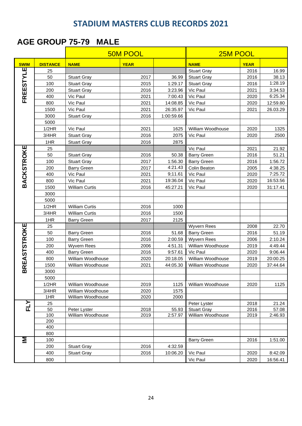#### **AGE GROUP 75-79 MALE**

| AGE GROUP 75-79<br>MALE |                 |                       |                 |            |                    |             |          |  |  |
|-------------------------|-----------------|-----------------------|-----------------|------------|--------------------|-------------|----------|--|--|
|                         |                 |                       | <b>50M POOL</b> |            | 25M POOL           |             |          |  |  |
| <b>SWIM</b>             | <b>DISTANCE</b> | <b>NAME</b>           | <b>YEAR</b>     |            | <b>NAME</b>        | <b>YEAR</b> |          |  |  |
|                         | 25              |                       |                 |            | <b>Stuart Gray</b> | 2016        | 16.99    |  |  |
|                         | 50              | <b>Stuart Gray</b>    | 2017            | 36.99      | <b>Stuart Gray</b> | 2016        | 38.13    |  |  |
|                         | 100             | <b>Stuart Gray</b>    | 2015            | 1:29.17    | <b>Stuart Gray</b> | 2016        | 1:28.19  |  |  |
|                         | 200             | <b>Stuart Gray</b>    | 2016            | 3:23.96    | Vic Paul           | 2021        | 3:34.53  |  |  |
| FREESTYLE               | 400             | Vic Paul              | 2021            | 7:00.43    | Vic Paul           | 2020        | 6:25.34  |  |  |
|                         | 800             | Vic Paul              | 2021            | 14:08.85   | Vic Paul           | 2020        | 12:59.80 |  |  |
|                         | 1500            | Vic Paul              | 2021            | 26:35.97   | Vic Paul           | 2021        | 26.03.29 |  |  |
|                         | 3000            | <b>Stuart Gray</b>    | 2016            | 1:00:59.66 |                    |             |          |  |  |
|                         | 5000            |                       |                 |            |                    |             |          |  |  |
|                         | 1/2HR           | Vic Paul              | 2021            | 1625       | William Woodhouse  | 2020        | 1325     |  |  |
|                         | 3/4HR           | <b>Stuart Gray</b>    | 2016            | 2075       | Vic Paul           | 2020        | 2500     |  |  |
|                         | 1HR             | <b>Stuart Gray</b>    | 2016            | 2875       |                    |             |          |  |  |
|                         | 25              |                       |                 |            | Vic Paul           | 2021        | 21.92    |  |  |
|                         | 50              | <b>Stuart Gray</b>    | 2016            | 50.38      | <b>Barry Green</b> | 2016        | 51.21    |  |  |
|                         | 100             | <b>Stuart Gray</b>    | 2017            | 1:56.30    | <b>Barry Green</b> | 2016        | 1:56.72  |  |  |
|                         | 200             | <b>Barry Green</b>    | 2017            | 4:21.43    | Colin Beaton       | 2005        | 4:38.25  |  |  |
|                         | 400             | Vic Paul              | 2021            | 9;11.61    | Vic Paul           | 2020        | 7:25.72  |  |  |
| BACKSTROKE              | 800             | Vic Paul              | 2021            | 19:36.04   | Vic Paul           | 2020        | 16:53.56 |  |  |
|                         | 1500            | <b>William Curtis</b> | 2016            | 45:27.21   | Vic Paul           | 2020        | 31:17.41 |  |  |
|                         | 3000            |                       |                 |            |                    |             |          |  |  |
|                         | 5000            |                       |                 |            |                    |             |          |  |  |
|                         | 1/2HR           | <b>William Curtis</b> | 2016            | 1000       |                    |             |          |  |  |
|                         | 3/4HR           | <b>William Curtis</b> | 2016            | 1500       |                    |             |          |  |  |
|                         | 1HR             | <b>Barry Green</b>    | 2017            | 2125       |                    |             |          |  |  |
|                         | 25              |                       |                 |            | <b>Wyvern Rees</b> | 2008        | 22.70    |  |  |
| REASTSTROKE             | 50              | <b>Barry Green</b>    | 2016            | 51.68      | <b>Barry Green</b> | 2016        | 51.19    |  |  |
|                         | 100             | <b>Barry Green</b>    | 2016            | 2:00.59    | Wyvern Rees        | 2006        | 2:10.24  |  |  |
|                         | 200             | <b>Wyvern Rees</b>    | 2006            | 4:51.31    | William Woodhouse  | 2019        | 4:49.44  |  |  |
|                         | 400             | <b>Barry Green</b>    | 2016            | 9:57.61    | Vic Paul           | 2020        | 9:06.44  |  |  |
|                         | 800             | William Woodhouse     | 2020            | 20:18.05   | William Woodhouse  | 2019        | 20:00.25 |  |  |
|                         | 1500            | William Woodhouse     | 2021            | 44:05.30   | William Woodhouse  | 2020        | 37:44.64 |  |  |
| 靣                       | 3000            |                       |                 |            |                    |             |          |  |  |
|                         | 5000            |                       |                 |            |                    |             |          |  |  |
|                         | 1/2HR           | William Woodhouse     | 2019            | 1125       | William Woodhouse  | 2020        | 1125     |  |  |
|                         | 3/4HR           | William Woodhouse     | 2020            | 1575       |                    |             |          |  |  |
|                         | 1HR             | William Woodhouse     | 2020            | 2000       |                    |             |          |  |  |
| FLY                     | 25              |                       |                 |            | Peter Lyster       | 2018        | 21.24    |  |  |
|                         | 50              | Peter Lyster          | 2018            | 55.93      | <b>Stuart Gray</b> | 2016        | 57.08    |  |  |
|                         | 100<br>200      | William Woodhouse     | 2019            | 2:57.97    | William Woodhouse  | 2019        | 2:46.93  |  |  |
|                         |                 |                       |                 |            |                    |             |          |  |  |
|                         | 400<br>800      |                       |                 |            |                    |             |          |  |  |
| Σ                       | 100             |                       |                 |            | <b>Barry Green</b> | 2016        | 1:51.00  |  |  |
|                         | 200             | <b>Stuart Gray</b>    | 2016            | 4:32.59    |                    |             |          |  |  |
|                         | 400             | <b>Stuart Gray</b>    | 2016            | 10:06.20   | Vic Paul           | 2020        | 8:42.09  |  |  |
|                         | 800             |                       |                 |            | Vic Paul           | 2020        | 16:56.41 |  |  |
|                         |                 |                       |                 |            |                    |             |          |  |  |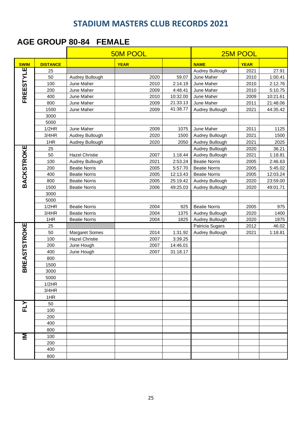#### **AGE GROUP 80-84 FEMALE**

|                     |                 | <b>50M POOL</b>       |             |          | 25M POOL             |             |          |
|---------------------|-----------------|-----------------------|-------------|----------|----------------------|-------------|----------|
| <b>SWIM</b>         | <b>DISTANCE</b> |                       | <b>YEAR</b> |          | <b>NAME</b>          | <b>YEAR</b> |          |
|                     | 25              |                       |             |          | Audrey Bullough      | 2021        | 27.91    |
|                     | 50              | Audrey Bullough       | 2020        | 59.07    | June Maher           | 2010        | 1:00.41  |
| FREESTYLE           | 100             | June Maher            | 2010        | 2:14.19  | June Maher           | 2010        | 2:12.76  |
|                     | 200             | June Maher            | 2009        | 4:48.41  | June Maher           | 2010        | 5:10.75  |
|                     | 400             | June Maher            | 2010        | 10:32.00 | June Maher           | 2009        | 10:21.61 |
|                     | 800             | June Maher            | 2009        | 21:33.13 | June Maher           | 2011        | 21:48.06 |
|                     | 1500            | June Maher            | 2009        | 41:38.77 | Audrey Bullough      | 2021        | 44:35.42 |
|                     | 3000            |                       |             |          |                      |             |          |
|                     | 5000            |                       |             |          |                      |             |          |
|                     | 1/2HR           | June Maher            | 2009        | 1075     | June Maher           | 2011        | 1125     |
|                     | 3/4HR           | Audrey Bullough       | 2020        | 1500     | Audrey Bullough      | 2021        | 1500     |
|                     | 1HR             | Audrey Bullough       | 2020        | 2050     | Audrey Bullough      | 2021        | 2025     |
|                     | 25              |                       |             |          | Audrey Bullough      | 2020        | 36.21    |
|                     | 50              | <b>Hazel Christie</b> | 2007        | 1:18.44  | Audrey Bullough      | 2021        | 1:18.81  |
|                     | 100             | Audrey Bullough       | 2021        | 2:53.24  | <b>Beatie Norris</b> | 2005        | 2:46.63  |
| <b>BACKSTROKE</b>   | 200             | <b>Beatie Norris</b>  | 2005        | 5:57.70  | <b>Beatie Norris</b> | 2005        | 5:45.02  |
|                     | 400             | <b>Beatie Norris</b>  | 2005        | 12:13.43 | <b>Beatie Norris</b> | 2005        | 12:03.24 |
|                     | 800             | <b>Beatie Norris</b>  | 2005        | 25:19.42 | Audrey Bullough      | 2020        | 23:59.00 |
|                     | 1500            | <b>Beatie Norris</b>  | 2006        | 49:25.03 | Audrey Bullough      | 2020        | 49:01.71 |
|                     | 3000            |                       |             |          |                      |             |          |
|                     | 5000            |                       |             |          |                      |             |          |
|                     | 1/2HR           | <b>Beatie Norris</b>  | 2004        | 925      | <b>Beatie Norris</b> | 2005        | 975      |
|                     | 3/4HR           | <b>Beatie Norris</b>  | 2004        | 1375     | Audrey Bullough      | 2020        | 1400     |
|                     | 1HR             | <b>Beatie Norris</b>  | 2004        | 1825     | Audrey Bullough      | 2020        | 1875     |
| <b>BREASTSTROKE</b> | 25              |                       |             |          | Patricia Sugars      | 2012        | 46.02    |
|                     | 50              | <b>Margaret Somes</b> | 2014        | 1:31.92  | Audrey Bullough      | 2021        | 1:18.81  |
|                     | 100             | <b>Hazel Christie</b> | 2007        | 3:39.25  |                      |             |          |
|                     | 200             | June Hough            | 2007        | 14:46.01 |                      |             |          |
|                     | 400             | June Hough            | 2007        | 31:18.17 |                      |             |          |
|                     | 800             |                       |             |          |                      |             |          |
|                     | 1500            |                       |             |          |                      |             |          |
|                     | 3000            |                       |             |          |                      |             |          |
|                     | 5000            |                       |             |          |                      |             |          |
|                     | 1/2HR           |                       |             |          |                      |             |          |
|                     | 3/4HR           |                       |             |          |                      |             |          |
|                     | 1HR             |                       |             |          |                      |             |          |
| <b>ETA</b>          | 50              |                       |             |          |                      |             |          |
|                     | 100             |                       |             |          |                      |             |          |
|                     | 200             |                       |             |          |                      |             |          |
|                     | 400             |                       |             |          |                      |             |          |
|                     | 800             |                       |             |          |                      |             |          |
| Σ                   | 100             |                       |             |          |                      |             |          |
|                     | 200             |                       |             |          |                      |             |          |
|                     | 400             |                       |             |          |                      |             |          |
|                     | 800             |                       |             |          |                      |             |          |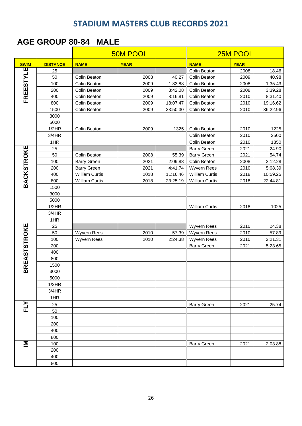#### **AGE GROUP 80-84 MALE**

|                     |                 |                       | <b>50M POOL</b> |          |                       | 25M POOL    |          |
|---------------------|-----------------|-----------------------|-----------------|----------|-----------------------|-------------|----------|
| <b>SWIM</b>         | <b>DISTANCE</b> | <b>NAME</b>           | <b>YEAR</b>     |          | <b>NAME</b>           | <b>YEAR</b> |          |
| Ш                   | 25              |                       |                 |          | Colin Beaton          | 2008        | 18.46    |
| FREESTYL            | 50              | Colin Beaton          | 2008            | 40.27    | Colin Beaton          | 2009        | 40.98    |
|                     | 100             | Colin Beaton          | 2009            | 1:33.88  | Colin Beaton          | 2008        | 1:35.43  |
|                     | 200             | Colin Beaton          | 2009            | 3:42.08  | Colin Beaton          | 2008        | 3:39.28  |
|                     | 400             | Colin Beaton          | 2009            | 8:16.81  | Colin Beaton          | 2010        | 8:31.40  |
|                     | 800             | Colin Beaton          | 2009            | 18:07.47 | Colin Beaton          | 2010        | 19:16.62 |
|                     | 1500            | Colin Beaton          | 2009            | 33:50.30 | Colin Beaton          | 2010        | 36:22.96 |
|                     | 3000            |                       |                 |          |                       |             |          |
|                     | 5000            |                       |                 |          |                       |             |          |
|                     | 1/2HR           | Colin Beaton          | 2009            | 1325     | Colin Beaton          | 2010        | 1225     |
|                     | 3/4HR           |                       |                 |          | Colin Beaton          | 2010        | 2500     |
|                     | 1HR             |                       |                 |          | Colin Beaton          | 2010        | 1850     |
|                     | 25              |                       |                 |          | <b>Barry Green</b>    | 2021        | 24.90    |
|                     | 50              | Colin Beaton          | 2008            | 55.39    | <b>Barry Green</b>    | 2021        | 54.74    |
|                     | 100             | <b>Barry Green</b>    | 2021            | 2:09.88  | Colin Beaton          | 2008        | 2:12.28  |
|                     | 200             | <b>Barry Green</b>    | 2021            | 4:41.74  | <b>Wyvern Rees</b>    | 2010        | 5:08.39  |
|                     | 400             | <b>William Curtis</b> | 2018            | 11:16.46 | <b>William Curtis</b> | 2018        | 10:59.25 |
| <b>BACKSTROKE</b>   | 800             | William Curtis        | 2018            | 23:25.19 | <b>William Curtis</b> | 2018        | 22.44.81 |
|                     | 1500            |                       |                 |          |                       |             |          |
|                     | 3000            |                       |                 |          |                       |             |          |
|                     | 5000            |                       |                 |          |                       |             |          |
|                     | 1/2HR           |                       |                 |          | <b>William Curtis</b> | 2018        | 1025     |
|                     | 3/4HR           |                       |                 |          |                       |             |          |
|                     | 1HR             |                       |                 |          |                       |             |          |
|                     | 25              |                       |                 |          | <b>Wyvern Rees</b>    | 2010        | 24.38    |
|                     | 50              | <b>Wyvern Rees</b>    | 2010            | 57.39    | Wyvern Rees           | 2010        | 57.89    |
|                     | 100             | <b>Wyvern Rees</b>    | 2010            | 2:24.38  | Wyvern Rees           | 2010        | 2:21.31  |
|                     | 200<br>400      |                       |                 |          | <b>Barry Green</b>    | 2021        | 5:23.65  |
|                     | 800             |                       |                 |          |                       |             |          |
|                     | 1500            |                       |                 |          |                       |             |          |
| <b>BREASTSTROKE</b> | 3000            |                       |                 |          |                       |             |          |
|                     | 5000            |                       |                 |          |                       |             |          |
|                     | 1/2HR           |                       |                 |          |                       |             |          |
|                     | 3/4HR           |                       |                 |          |                       |             |          |
|                     | 1HR             |                       |                 |          |                       |             |          |
|                     | 25              |                       |                 |          | <b>Barry Green</b>    | 2021        | 25.74    |
| FLY                 | 50              |                       |                 |          |                       |             |          |
|                     | 100             |                       |                 |          |                       |             |          |
|                     | 200             |                       |                 |          |                       |             |          |
|                     | 400             |                       |                 |          |                       |             |          |
|                     | 800             |                       |                 |          |                       |             |          |
| Σ                   | 100             |                       |                 |          | <b>Barry Green</b>    | 2021        | 2:03.88  |
|                     | 200             |                       |                 |          |                       |             |          |
|                     | 400             |                       |                 |          |                       |             |          |
|                     | 800             |                       |                 |          |                       |             |          |
|                     |                 |                       |                 |          |                       |             |          |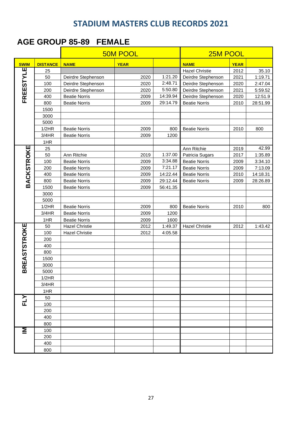#### **AGE GROUP 85-89 FEMALE**

|                     |                 |                       | <b>50M POOL</b> | 25M POOL |                       |             |          |
|---------------------|-----------------|-----------------------|-----------------|----------|-----------------------|-------------|----------|
| <b>SWIM</b>         | <b>DISTANCE</b> | <b>NAME</b>           | <b>YEAR</b>     |          | <b>NAME</b>           | <b>YEAR</b> |          |
|                     | 25              |                       |                 |          | <b>Hazel Christie</b> | 2012        | 35.10    |
|                     | 50              | Deirdre Stephenson    | 2020            | 1:21.20  | Deirdre Stephenson    | 2021        | 1:19.71  |
|                     | 100             | Deirdre Stephenson    | 2020            | 2:48.71  | Deirdre Stephenson    | 2020        | 2:47.04  |
|                     | 200             | Deirdre Stephenson    | 2020            | 5:50.80  | Deirdre Stephenson    | 2021        | 5:59.52  |
| FREESTYLE           | 400             | <b>Beatie Norris</b>  | 2009            | 14:39.94 | Deirdre Stephenson    | 2020        | 12:51.9  |
|                     | 800             | <b>Beatie Norris</b>  | 2009            | 29:14.79 | <b>Beatie Norris</b>  | 2010        | 28:51.99 |
|                     | 1500            |                       |                 |          |                       |             |          |
|                     | 3000            |                       |                 |          |                       |             |          |
|                     | 5000            |                       |                 |          |                       |             |          |
|                     | 1/2HR           | <b>Beatie Norris</b>  | 2009            | 800      | <b>Beatie Norris</b>  | 2010        | 800      |
|                     | 3/4HR           | <b>Beatie Norris</b>  | 2009            | 1200     |                       |             |          |
|                     | 1HR             |                       |                 |          |                       |             |          |
| <b>BACKSTROKE</b>   | 25              |                       |                 |          | Ann Ritchie           | 2019        | 42.99    |
|                     | 50              | Ann Ritchie           | 2019            | 1:37.00  | Patricia Sugars       | 2017        | 1:35.89  |
|                     | 100             | <b>Beatie Norris</b>  | 2009            | 3:34.88  | <b>Beatie Norris</b>  | 2009        | 3:34.10  |
|                     | 200             | <b>Beatie Norris</b>  | 2009            | 7:21.17  | <b>Beatie Norris</b>  | 2009        | 7:13.09  |
|                     | 400             | <b>Beatie Norris</b>  | 2009            | 14:22.44 | <b>Beatie Norris</b>  | 2010        | 14:18.31 |
|                     | 800             | <b>Beatie Norris</b>  | 2009            | 29:12.44 | <b>Beatie Norris</b>  | 2009        | 28:26.89 |
|                     | 1500            | <b>Beatie Norris</b>  | 2009            | 56:41.35 |                       |             |          |
|                     | 3000            |                       |                 |          |                       |             |          |
|                     | 5000            |                       |                 |          |                       |             |          |
|                     | 1/2HR           | <b>Beatie Norris</b>  | 2009            | 800      | <b>Beatie Norris</b>  | 2010        | 800      |
|                     | 3/4HR           | <b>Beatie Norris</b>  | 2009            | 1200     |                       |             |          |
|                     | 1HR             | <b>Beatie Norris</b>  | 2009            | 1600     |                       |             |          |
| <b>BREASTSTROKE</b> | 50              | <b>Hazel Christie</b> | 2012            | 1:49.37  | <b>Hazel Christie</b> | 2012        | 1:43.42  |
|                     | 100             | <b>Hazel Christie</b> | 2012            | 4:05.58  |                       |             |          |
|                     | 200             |                       |                 |          |                       |             |          |
|                     | 400             |                       |                 |          |                       |             |          |
|                     | 800             |                       |                 |          |                       |             |          |
|                     | 1500            |                       |                 |          |                       |             |          |
|                     | 3000            |                       |                 |          |                       |             |          |
|                     | 5000            |                       |                 |          |                       |             |          |
|                     | 1/2HR           |                       |                 |          |                       |             |          |
|                     | 3/4HR           |                       |                 |          |                       |             |          |
|                     | 1HR             |                       |                 |          |                       |             |          |
| <b>ELY</b>          | 50              |                       |                 |          |                       |             |          |
|                     | 100             |                       |                 |          |                       |             |          |
|                     | 200             |                       |                 |          |                       |             |          |
|                     | 400             |                       |                 |          |                       |             |          |
|                     | 800             |                       |                 |          |                       |             |          |
| Σ                   | 100             |                       |                 |          |                       |             |          |
|                     | 200             |                       |                 |          |                       |             |          |
|                     | 400             |                       |                 |          |                       |             |          |
|                     | 800             |                       |                 |          |                       |             |          |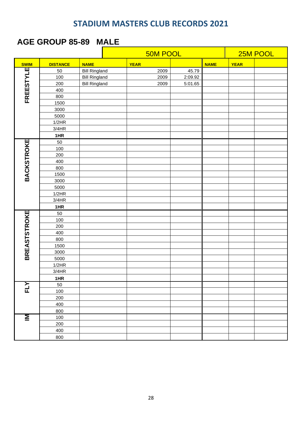#### **AGE GROUP 85-89 MALE**

|                     |                 |                      | <b>50M POOL</b> |             |      |         |             |             | 25M POOL |
|---------------------|-----------------|----------------------|-----------------|-------------|------|---------|-------------|-------------|----------|
| <b>SWIM</b>         | <b>DISTANCE</b> | <b>NAME</b>          |                 | <b>YEAR</b> |      |         | <b>NAME</b> | <b>YEAR</b> |          |
|                     | 50              | <b>Bill Ringland</b> |                 |             | 2009 | 45.79   |             |             |          |
| <b>FREESTYLE</b>    | 100             | <b>Bill Ringland</b> |                 |             | 2009 | 2:09.92 |             |             |          |
|                     | 200             | <b>Bill Ringland</b> |                 |             | 2009 | 5:01.65 |             |             |          |
|                     | 400             |                      |                 |             |      |         |             |             |          |
|                     | 800             |                      |                 |             |      |         |             |             |          |
|                     | 1500            |                      |                 |             |      |         |             |             |          |
|                     | 3000            |                      |                 |             |      |         |             |             |          |
|                     | 5000            |                      |                 |             |      |         |             |             |          |
|                     | 1/2HR           |                      |                 |             |      |         |             |             |          |
|                     | 3/4HR           |                      |                 |             |      |         |             |             |          |
|                     | 1HR             |                      |                 |             |      |         |             |             |          |
|                     | 50              |                      |                 |             |      |         |             |             |          |
|                     | 100             |                      |                 |             |      |         |             |             |          |
|                     | 200             |                      |                 |             |      |         |             |             |          |
|                     | 400             |                      |                 |             |      |         |             |             |          |
|                     | 800             |                      |                 |             |      |         |             |             |          |
| <b>BACKSTROKE</b>   | 1500            |                      |                 |             |      |         |             |             |          |
|                     | 3000            |                      |                 |             |      |         |             |             |          |
|                     | 5000            |                      |                 |             |      |         |             |             |          |
|                     | 1/2HR           |                      |                 |             |      |         |             |             |          |
|                     | 3/4HR           |                      |                 |             |      |         |             |             |          |
|                     | 1HR             |                      |                 |             |      |         |             |             |          |
| <b>BREASTSTROKE</b> | 50              |                      |                 |             |      |         |             |             |          |
|                     | 100             |                      |                 |             |      |         |             |             |          |
|                     | 200             |                      |                 |             |      |         |             |             |          |
|                     | 400             |                      |                 |             |      |         |             |             |          |
|                     | 800             |                      |                 |             |      |         |             |             |          |
|                     | 1500            |                      |                 |             |      |         |             |             |          |
|                     | 3000            |                      |                 |             |      |         |             |             |          |
|                     | 5000            |                      |                 |             |      |         |             |             |          |
|                     | 1/2HR           |                      |                 |             |      |         |             |             |          |
|                     | 3/4HR           |                      |                 |             |      |         |             |             |          |
|                     | 1HR             |                      |                 |             |      |         |             |             |          |
| FLY                 | 50              |                      |                 |             |      |         |             |             |          |
|                     | 100             |                      |                 |             |      |         |             |             |          |
|                     | 200             |                      |                 |             |      |         |             |             |          |
|                     | 400             |                      |                 |             |      |         |             |             |          |
|                     | 800             |                      |                 |             |      |         |             |             |          |
| <u>Σ</u>            | 100             |                      |                 |             |      |         |             |             |          |
|                     | 200             |                      |                 |             |      |         |             |             |          |
|                     | 400             |                      |                 |             |      |         |             |             |          |
|                     | 800             |                      |                 |             |      |         |             |             |          |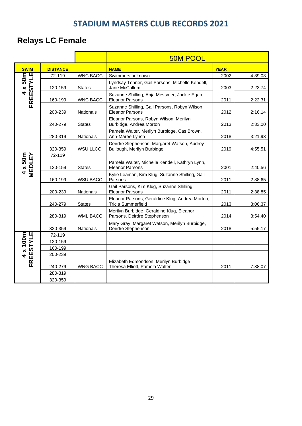# **Relays LC Female**

|                                |                 |                  | <b>50M POOL</b>                                                              |             |         |
|--------------------------------|-----------------|------------------|------------------------------------------------------------------------------|-------------|---------|
| <b>SWIM</b>                    | <b>DISTANCE</b> |                  | <b>NAME</b>                                                                  | <b>YEAR</b> |         |
| ш                              | 72-119          | <b>WNC BACC</b>  | Swimmers unknown                                                             | 2002        | 4:39.03 |
| $4 \times 50m$<br>ESTY<br>FREI | 120-159         | <b>States</b>    | Lyndsay Tonner, Gail Parsons, Michelle Kendell,<br>Jane McCallum             | 2003        | 2:23.74 |
|                                | 160-199         | <b>WNC BACC</b>  | Suzanne Shilling, Anja Messmer, Jackie Egan,<br><b>Eleanor Parsons</b>       | 2011        | 2:22.31 |
|                                | 200-239         | <b>Nationals</b> | Suzanne Shilling, Gail Parsons, Robyn Wilson,<br><b>Eleanor Parsons</b>      | 2012        | 2:16.14 |
|                                | 240-279         | <b>States</b>    | Eleanor Parsons, Robyn Wilson, Merilyn<br>Burbidge, Andrea Morton            | 2013        | 2:33.00 |
|                                | 280-319         | <b>Nationals</b> | Pamela Walter, Merilyn Burbidge, Cas Brown,<br>Ann-Maree Lynch               | 2018        | 3:21.93 |
|                                | 320-359         | <b>WSU LLCC</b>  | Deirdre Stephenson, Margaret Watson, Audrey<br>Bullough, Merilyn Burbidge    | 2019        | 4:55.51 |
|                                | 72-119          |                  |                                                                              |             |         |
| 4 x 50m<br>MEDLEY              | 120-159         | <b>States</b>    | Pamela Walter, Michelle Kendell, Kathryn Lynn,<br><b>Eleanor Parsons</b>     | 2001        | 2:40.56 |
|                                | 160-199         | <b>WSU BACC</b>  | Kylie Leaman, Kim Klug, Suzanne Shilling, Gail<br>Parsons                    | 2011        | 2:38.65 |
|                                | 200-239         | <b>Nationals</b> | Gail Parsons, Kim Klug, Suzanne Shilling,<br><b>Eleanor Parsons</b>          | 2011        | 2:38.85 |
|                                | 240-279         | <b>States</b>    | Eleanor Parsons, Geraldine Klug, Andrea Morton,<br><b>Tricia Summerfield</b> | 2013        | 3:06.37 |
|                                | 280-319         | WML BACC         | Merilyn Burbidge, Geraldine Klug, Eleanor<br>Parsons, Deirdre Stephenson     | 2014        | 3:54.40 |
|                                | 320-359         | <b>Nationals</b> | Mary Gray, Margaret Watson, Merilyn Burbidge,<br>Deirdre Stephenson          | 2018        | 5:55.17 |
|                                | 72-119          |                  |                                                                              |             |         |
|                                | 120-159         |                  |                                                                              |             |         |
|                                | 160-199         |                  |                                                                              |             |         |
|                                | 200-239         |                  |                                                                              |             |         |
| 4 x 100m<br>FREESTYLE          | 240-279         | WNG BACC         | Elizabeth Edmondson, Merilyn Burbidge<br>Theresa Elliott, Pamela Walter      | 2011        | 7:38.07 |
|                                | 280-319         |                  |                                                                              |             |         |
|                                | 320-359         |                  |                                                                              |             |         |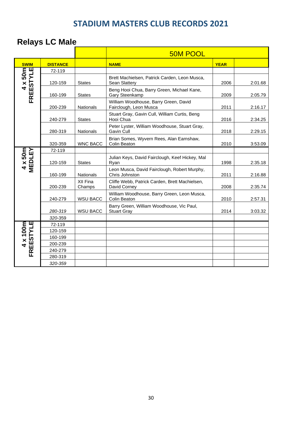|                     | <b>Relays LC Male</b> |                    |                                                                       |             |         |
|---------------------|-----------------------|--------------------|-----------------------------------------------------------------------|-------------|---------|
|                     |                       |                    | <b>50M POOL</b>                                                       |             |         |
| <b>SWIM</b>         | <b>DISTANCE</b>       |                    | <b>NAME</b>                                                           | <b>YEAR</b> |         |
|                     | 72-119                |                    |                                                                       |             |         |
| FREESTYLE           | 120-159               | <b>States</b>      | Brett Machielsen, Patrick Carden, Leon Musca,<br><b>Sean Slattery</b> | 2006        | 2:01.68 |
|                     | 160-199               | <b>States</b>      | Beng Hooi Chua, Barry Green, Michael Kane,<br>Gary Steenkamp          | 2009        | 2:05.79 |
|                     | 200-239               | Nationals          | William Woodhouse, Barry Green, David<br>Fairclough, Leon Musca       | 2011        | 2:16.17 |
|                     | 240-279               | <b>States</b>      | Stuart Gray, Gavin Cull, William Curtis, Beng<br>Hooi Chua            | 2016        | 2:34.25 |
|                     | 280-319               | <b>Nationals</b>   | Peter Lyster, William Woodhouse, Stuart Gray,<br>Gavin Cull           | 2018        | 2:29.15 |
|                     | 320-359               | <b>WNC BACC</b>    | Brian Somes, Wyvern Rees, Alan Earnshaw,<br>Colin Beaton              | 2010        | 3:53.09 |
|                     | 72-119                |                    |                                                                       |             |         |
| 4 x 50m<br>MEDLEY   | 120-159               | <b>States</b>      | Julian Keys, David Fairclough, Keef Hickey, Mal<br>Ryan               | 1998        | 2:35.18 |
|                     | 160-199               | <b>Nationals</b>   | Leon Musca, David Fairclough, Robert Murphy,<br>Chris Johnston        | 2011        | 2:16.88 |
|                     | 200-239               | XII Fina<br>Champs | Cliffe Webb, Patrick Carden, Brett Machielsen,<br>David Corney        | 2008        | 2:35.74 |
|                     | 240-279               | <b>WSU BACC</b>    | William Woodhouse, Barry Green, Leon Musca,<br>Colin Beaton           | 2010        | 2:57.31 |
|                     | 280-319               | <b>WSU BACC</b>    | Barry Green, William Woodhouse, Vic Paul,<br><b>Stuart Gray</b>       | 2014        | 3:03.32 |
|                     | 320-359               |                    |                                                                       |             |         |
|                     | 72-119                |                    |                                                                       |             |         |
|                     | 120-159               |                    |                                                                       |             |         |
|                     | 160-199               |                    |                                                                       |             |         |
| 4 x 100m<br>EESTYLE | 200-239               |                    |                                                                       |             |         |
| ER                  | 240-279               |                    |                                                                       |             |         |
|                     | 280-319<br>320-359    |                    |                                                                       |             |         |
|                     |                       |                    |                                                                       |             |         |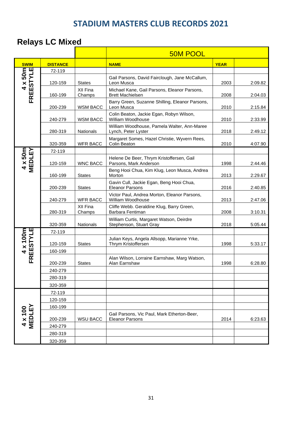# **Relays LC Mixed**

|                          |                 |                    | <b>50M POOL</b>                                                         |             |         |  |  |
|--------------------------|-----------------|--------------------|-------------------------------------------------------------------------|-------------|---------|--|--|
| <b>SWIM</b>              | <b>DISTANCE</b> |                    | <b>NAME</b>                                                             | <b>YEAR</b> |         |  |  |
|                          | 72-119          |                    |                                                                         |             |         |  |  |
| FREESTYLE                | 120-159         | <b>States</b>      | Gail Parsons, David Fairclough, Jane McCallum,<br>Leon Musca            | 2003        | 2:09.82 |  |  |
|                          | 160-199         | XII Fina<br>Champs | Michael Kane, Gail Parsons, Eleanor Parsons,<br><b>Brett Machielsen</b> | 2008        | 2:04.03 |  |  |
|                          | 200-239         | <b>WSM BACC</b>    | Barry Green, Suzanne Shilling, Eleanor Parsons,<br>Leon Musca           | 2010        | 2:15.84 |  |  |
|                          | 240-279         | WSM BACC           | Colin Beaton, Jackie Egan, Robyn Wilson,<br>William Woodhouse           | 2010        | 2:33.99 |  |  |
|                          | 280-319         | <b>Nationals</b>   | William Woodhouse, Pamela Walter, Ann-Maree<br>Lynch, Peter Lyster      | 2018        | 2:49.12 |  |  |
|                          | 320-359         | <b>WFR BACC</b>    | Margaret Somes, Hazel Christie, Wyvern Rees,<br>Colin Beaton            | 2010        | 4:07.90 |  |  |
|                          | 72-119          |                    |                                                                         |             |         |  |  |
| 4 x 50m<br>MEDLEY        | 120-159         | <b>WNC BACC</b>    | Helene De Beer, Thrym Kristoffersen, Gail<br>Parsons, Mark Anderson     | 1998        | 2:44.46 |  |  |
|                          | 160-199         | <b>States</b>      | Beng Hooi Chua, Kim Klug, Leon Musca, Andrea<br>Morton                  | 2013        | 2:29.67 |  |  |
|                          | 200-239         | <b>States</b>      | Gavin Cull, Jackie Egan, Beng Hooi Chua,<br><b>Eleanor Parsons</b>      | 2016        | 2:40.85 |  |  |
|                          | 240-279         | <b>WFR BACC</b>    | Victor Paul, Andrea Morton, Eleanor Parsons,<br>William Woodhouse       | 2013        | 2:47.06 |  |  |
|                          | 280-319         | XII Fina<br>Champs | Cliffe Webb. Geraldine Klug, Barry Green,<br>Barbara Fentiman           | 2008        | 3:10.31 |  |  |
|                          | 320-359         | Nationals          | William Curtis, Margaret Watson, Deirdre<br>Stephenson, Stuart Gray     | 2018        | 5:05.44 |  |  |
|                          | 72-119          |                    |                                                                         |             |         |  |  |
| 4 x 100m<br>REESTYLE     | 120-159         | <b>States</b>      | Julian Keys, Angela Allsopp, Marianne Yrke,<br>Thrym Kristoffersen      | 1998        | 5:33.17 |  |  |
|                          | 160-199         |                    |                                                                         |             |         |  |  |
| FK                       | 200-239         | <b>States</b>      | Alan Wilson, Lorraine Earnshaw, Marg Watson,<br>Alan Earnshaw           | 1998        | 6:28.80 |  |  |
|                          | 240-279         |                    |                                                                         |             |         |  |  |
|                          | 280-319         |                    |                                                                         |             |         |  |  |
|                          | 320-359         |                    |                                                                         |             |         |  |  |
|                          | 72-119          |                    |                                                                         |             |         |  |  |
|                          | 120-159         |                    |                                                                         |             |         |  |  |
|                          | 160-199         |                    |                                                                         |             |         |  |  |
| $4 \times 100$<br>MEDLEY | 200-239         | <b>WSU BACC</b>    | Gail Parsons, Vic Paul, Mark Etherton-Beer,<br><b>Eleanor Parsons</b>   | 2014        | 6:23.63 |  |  |
|                          | 240-279         |                    |                                                                         |             |         |  |  |
|                          | 280-319         |                    |                                                                         |             |         |  |  |
|                          | 320-359         |                    |                                                                         |             |         |  |  |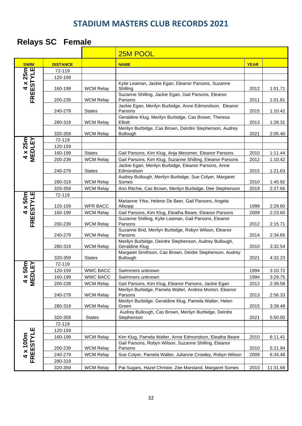## **Relays SC Female**

|                       |                    |                                      | 25M POOL                                                                                                                   |              |                    |
|-----------------------|--------------------|--------------------------------------|----------------------------------------------------------------------------------------------------------------------------|--------------|--------------------|
| <b>SWIM</b>           | <b>DISTANCE</b>    |                                      | <b>NAME</b>                                                                                                                | <b>YEAR</b>  |                    |
|                       | 72-119             |                                      |                                                                                                                            |              |                    |
|                       | 120-159            |                                      |                                                                                                                            |              |                    |
| FREESTYLE             | 160-199            | <b>WCM Relay</b>                     | Kylie Leaman, Jackie Egan, Eleanor Parsons, Suzanne<br>Shilling                                                            | 2012         | 1:01.71            |
|                       | 200-239            | <b>WCM Relay</b>                     | Suzanne Shilling, Jackie Egan, Gail Parsons, Eleanor<br>Parsons                                                            | 2011         | 1:01.81            |
|                       | 240-279            | <b>States</b>                        | Jackie Egan, Merilyn Burbidge, Anne Edmondson, Eleanor<br>Parsons                                                          | 2015         | 1:10.42            |
|                       | 280-319            | <b>WCM Relay</b>                     | Geraldine Klug, Merilyn Burbidge, Cas Brown, Theresa<br>Elliott                                                            | 2013         | 1:28.31            |
|                       | 320-359            | <b>WCM Relay</b>                     | Merilyn Burbidge, Cas Brown, Deirdre Stephenson, Audrey<br>Bullough                                                        | 2021         | 2:05.40            |
|                       | 72-119             |                                      |                                                                                                                            |              |                    |
|                       | 120-159            |                                      |                                                                                                                            |              |                    |
| 4 x 25m<br>MEDLEY     | 160-199            | <b>States</b>                        | Gail Parsons, Kim Klug, Anja Messmer, Eleanor Parsons                                                                      | 2010         | 1:11.44            |
|                       | 200-239            | <b>WCM Relay</b>                     | Gail Parsons, Kim Klug, Suzanne Shilling, Eleanor Parsons                                                                  | 2012         | 1:10.42            |
|                       | 240-279            | <b>States</b>                        | Jackie Egan, Merilyn Burbidge, Eleanor Parsons, Anne<br>Edmondson                                                          | 2015         | 1:21.63            |
|                       | 280-319            | <b>WCM Relay</b>                     | Audrey Bullough, Merilyn Burbidge, Sue Colyer, Margaret<br>Somes                                                           | 2010         | 1:45.92            |
|                       | 320-359            | <b>WCM Relay</b>                     | Ann Ritchie, Cas Brown, Merilyn Burbidge, Dee Stephenson                                                                   | 2019         | 2:27.66            |
|                       | 72-119             |                                      |                                                                                                                            |              |                    |
| 4 x 50m<br>FREESTYLE  | 120-159            | <b>WFR BACC</b>                      | Marianne Yrke, Helene De Beer, Gail Parsons, Angela<br>Allsopp                                                             | 1999         | 2:29.60            |
|                       | 160-199            | <b>WCM Relay</b>                     | Gail Parsons, Kim Klug, Eleatha Beare, Eleanor Parsons                                                                     | 2009         | 2:23.60            |
|                       | 200-239            | <b>WCM Relay</b>                     | Suzanne Shilling, Kylie Leaman, Gail Parsons, Eleanor<br>Parsons                                                           | 2012         | 2:15.71            |
|                       | 240-279            | <b>WCM Relay</b>                     | Suzanne Brid, Merilyn Burbidge, Robyn Wilson, Eleanor<br>Parsons                                                           | 2014         | 2:34.65            |
|                       | 280-319            | <b>WCM Relay</b>                     | Merilyn Burbidge, Deirdre Stephenson, Audrey Bullough,<br>Geraldine Klug                                                   | 2010         | 3:32.54            |
|                       | 320-359            | <b>States</b>                        | Margaret Smithson, Cas Brown, Deidre Stephenson, Audrey<br><b>Bullough</b>                                                 | 2021         | 4:32.23            |
| 50m<br>IEY            | 72-119             |                                      |                                                                                                                            |              |                    |
|                       | 120-159            | <b>WWC BACC</b>                      | Swimmers unknown                                                                                                           | 1994         | 3:10.72            |
| 4 x !<br>MED          | 160-199            | <b>WWC BACC</b>                      | Swimmers unknown                                                                                                           | 1994         | 3:29.75            |
|                       | 200-239<br>240-279 | <b>WCM Relay</b><br><b>WCM Relay</b> | Gail Parsons, Kim Klug, Eleanor Parsons, Jackie Egan<br>Merilyn Burbidge, Pamela Walter, Andrea Morton, Eleanor<br>Parsons | 2012<br>2013 | 2:39.58<br>2:56.33 |
|                       | 280-319            | <b>WCM Relay</b>                     | Merilyn Burbidge, Geraldine Klug, Pamela Walter, Helen<br>Green                                                            | 2015         | 3:39.48            |
|                       | 320-359            | <b>States</b>                        | Audrey Bullough, Cas Brown, Merilyn Burbidge, Deirdre<br>Stephenson                                                        | 2021         | 5:50.00            |
|                       | 72-119             |                                      |                                                                                                                            |              |                    |
|                       | 120-159            |                                      |                                                                                                                            |              |                    |
| 4 x 100m<br>FREESTYLE | 160-199            | <b>WCM Relay</b>                     | Kim Klug, Pamela Walter, Anne Edmondson, Eleatha Beare                                                                     | 2010         | 6:11.41            |
|                       |                    |                                      | Gail Parsons, Robyn Wilson, Suzanne Shilling, Eleanor                                                                      |              |                    |
|                       | 200-239            | <b>WCM Relay</b>                     | Parsons                                                                                                                    | 2010         | 5:21.94            |
|                       | 240-279<br>280-319 | <b>WCM Relay</b>                     | Sue Colyer, Pamela Walter, Julianne Crowley, Robyn Wilson                                                                  | 2009         | 6:34.48            |
|                       | 320-359            | <b>WCM Relay</b>                     | Pat Sugars, Hazel Christie, Zee Marsland, Margaret Somes                                                                   | 2010         | 11:31.68           |
|                       |                    |                                      |                                                                                                                            |              |                    |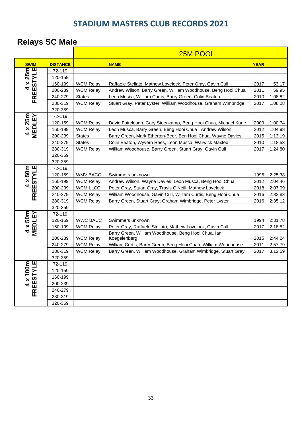# **Relays SC Male**

|                                 |                    |                                      | 25M POOL                                                                                                                        |              |                    |
|---------------------------------|--------------------|--------------------------------------|---------------------------------------------------------------------------------------------------------------------------------|--------------|--------------------|
| <b>SWIM</b>                     | <b>DISTANCE</b>    |                                      | <b>NAME</b>                                                                                                                     | <b>YEAR</b>  |                    |
|                                 | 72-119             |                                      |                                                                                                                                 |              |                    |
| 4 x 25m                         | 120-159            |                                      |                                                                                                                                 |              |                    |
|                                 | 160-199            | <b>WCM Relay</b>                     | Raffaele Stellato, Mathew Lovelock, Peter Gray, Gavin Cull                                                                      | 2017         | 53.17              |
|                                 | 200-239            | <b>WCM Relay</b>                     | Andrew Wilson, Barry Green, William Woodhouse, Beng Hooi Chua                                                                   | 2011         | 59.95              |
| <b>FREESTYLE</b>                | 240-279            | <b>States</b>                        | Leon Musca, William Curtis, Barry Green, Colin Beaton                                                                           | 2010         | 1:08.82            |
|                                 | 280-319            | <b>WCM Relay</b>                     | Stuart Gray, Peter Lyster, William Woodhouse, Graham Wimbridge                                                                  | 2017         | 1.08.28            |
|                                 | 320-359            |                                      |                                                                                                                                 |              |                    |
| 4 x 25m<br>MEDLEY               | 72-119             |                                      |                                                                                                                                 |              |                    |
|                                 | 120-159            | <b>WCM Relay</b>                     | David Fairclough, Gary Steenkamp, Beng Hooi Chua, Michael Kane                                                                  | 2009         | 1:00.74            |
|                                 | 160-199            | <b>WCM Relay</b>                     | Leon Musca, Barry Green, Beng Hooi Chua, Andrew Wilson                                                                          | 2012         | 1:04.98            |
|                                 | 200-239            | <b>States</b>                        | Barry Green, Mark Etherton-Beer, Ben Hooi Chua, Wayne Davies                                                                    | 2015         | 1:13.19            |
|                                 | 240-279            | <b>States</b>                        | Colin Beaton, Wyvern Rees, Leon Musca, Warwick Maxted                                                                           | 2010         | 1:18.53            |
|                                 | 280-319            | <b>WCM Relay</b>                     | William Woodhouse, Barry Green, Stuart Gray, Gavin Cull                                                                         | 2017         | 1.24.80            |
|                                 | 320-359            |                                      |                                                                                                                                 |              |                    |
|                                 | 320-359            |                                      |                                                                                                                                 |              |                    |
| <b>FREESTYLE</b>                | 72-119             |                                      |                                                                                                                                 |              |                    |
| $4 \times 50m$                  | 120-159            | <b>WMV BACC</b>                      | Swimmers unknown                                                                                                                | 1995         | 2:25.38            |
|                                 | 160-199            | <b>WCM Relay</b>                     | Andrew Wilson, Wayne Davies, Leon Musca, Beng Hooi Chua                                                                         | 2012         | 2:04.46            |
|                                 | 200-239            | <b>WCM LLCC</b>                      | Peter Gray, Stuart Gray, Travis O'Neill, Mathew Lovelock                                                                        | 2018         | 2:07.09            |
|                                 | 240-279            | <b>WCM Relay</b>                     | William Woodhouse, Gavin Cull, William Curtis, Beng Hooi Chua                                                                   | 2016         | 2:32.83            |
|                                 | 280-319            | <b>WCM Relay</b>                     | Barry Green, Stuart Gray, Graham Wimbridge, Peter Lyster                                                                        | 2016         | 2:35.12            |
|                                 | 320-359            |                                      |                                                                                                                                 |              |                    |
| $4 \times 50m$<br><b>MEDLEY</b> | 72-119             |                                      |                                                                                                                                 |              |                    |
|                                 | 120-159            | <b>WWC BACC</b>                      | Swimmers unknown                                                                                                                | 1994         | 2:31.78            |
|                                 | 160-199            | <b>WCM Relay</b>                     | Peter Gray, Raffaele Stellato, Mathew Lovelock, Gavin Cull                                                                      | 2017         | 2.18.52            |
|                                 |                    |                                      | Barry Green, William Woodhouse, Beng Hooi Chua, lan                                                                             |              |                    |
|                                 | 200-239            | <b>WCM Relay</b>                     | Koegelenberg                                                                                                                    | 2015<br>2011 | 2:44.24<br>2:57.79 |
|                                 | 240-279<br>280-319 | <b>WCM Relay</b><br><b>WCM Relay</b> | William Curtis, Barry Green, Beng Hooi Chau, William Woodhouse<br>Barry Green, William Woodhouse, Graham Wimbridge, Stuart Gray | 2017         | 3.12.59            |
|                                 | 320-359            |                                      |                                                                                                                                 |              |                    |
|                                 | 72-119             |                                      |                                                                                                                                 |              |                    |
|                                 | 120-159            |                                      |                                                                                                                                 |              |                    |
|                                 | 160-199            |                                      |                                                                                                                                 |              |                    |
| FREESTYLE<br>$4 \times 100$ m   | 200-239            |                                      |                                                                                                                                 |              |                    |
|                                 | 240-279            |                                      |                                                                                                                                 |              |                    |
|                                 | 280-319            |                                      |                                                                                                                                 |              |                    |
|                                 | 320-359            |                                      |                                                                                                                                 |              |                    |